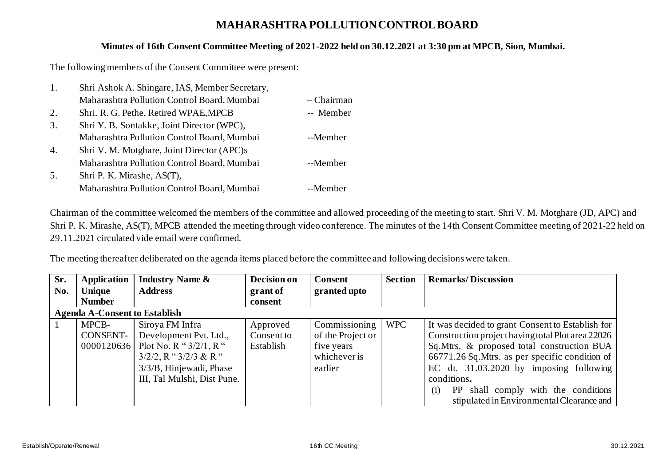## **MAHARASHTRA POLLUTION CONTROL BOARD**

## **Minutes of 16th Consent Committee Meeting of 2021-2022 held on 30.12.2021 at 3:30 pm at MPCB, Sion, Mumbai.**

The following members of the Consent Committee were present:

| 1.               | Shri Ashok A. Shingare, IAS, Member Secretary, |              |
|------------------|------------------------------------------------|--------------|
|                  | Maharashtra Pollution Control Board, Mumbai    | $-$ Chairman |
| 2.               | Shri. R. G. Pethe, Retired WPAE, MPCB          | -- Member    |
| 3.               | Shri Y. B. Sontakke, Joint Director (WPC),     |              |
|                  | Maharashtra Pollution Control Board, Mumbai    | --Member     |
| $\overline{4}$ . | Shri V. M. Motghare, Joint Director (APC)s     |              |
|                  | Maharashtra Pollution Control Board, Mumbai    | --Member     |
| 5.               | Shri P. K. Mirashe, AS(T),                     |              |
|                  | Maharashtra Pollution Control Board, Mumbai    | --Member     |

Chairman of the committee welcomed the members of the committee and allowed proceeding of the meeting to start. Shri V. M. Motghare (JD, APC) and Shri P. K. Mirashe, AS(T), MPCB attended the meeting through video conference. The minutes of the 14th Consent Committee meeting of 2021-22 held on 29.11.2021 circulated vide email were confirmed.

The meeting thereafter deliberated on the agenda items placed before the committee and following decisions were taken.

| Sr. | Application                          | <b>Industry Name &amp;</b>  | Decision on | <b>Consent</b>    | <b>Section</b> | <b>Remarks/Discussion</b>                         |  |  |
|-----|--------------------------------------|-----------------------------|-------------|-------------------|----------------|---------------------------------------------------|--|--|
| No. | <b>Unique</b>                        | <b>Address</b>              | grant of    | granted upto      |                |                                                   |  |  |
|     | <b>Number</b>                        |                             | consent     |                   |                |                                                   |  |  |
|     | <b>Agenda A-Consent to Establish</b> |                             |             |                   |                |                                                   |  |  |
|     | MPCB-                                | Siroya FM Infra             | Approved    | Commissioning     | <b>WPC</b>     | It was decided to grant Consent to Establish for  |  |  |
|     | CONSENT-                             | Development Pvt. Ltd.,      | Consent to  | of the Project or |                | Construction project having total Plot area 22026 |  |  |
|     | 0000120636                           | Plot No. R " $3/2/1$ , R "  | Establish   | five years        |                | Sq.Mtrs, & proposed total construction BUA        |  |  |
|     |                                      | $3/2/2$ , R " $3/2/3$ & R " |             | whichever is      |                | 66771.26 Sq. Mtrs. as per specific condition of   |  |  |
|     |                                      | 3/3/B, Hinjewadi, Phase     |             | earlier           |                | EC dt. $31.03.2020$ by imposing following         |  |  |
|     |                                      | III, Tal Mulshi, Dist Pune. |             |                   |                | conditions.                                       |  |  |
|     |                                      |                             |             |                   |                | PP shall comply with the conditions<br>(i)        |  |  |
|     |                                      |                             |             |                   |                | stipulated in Environmental Clearance and         |  |  |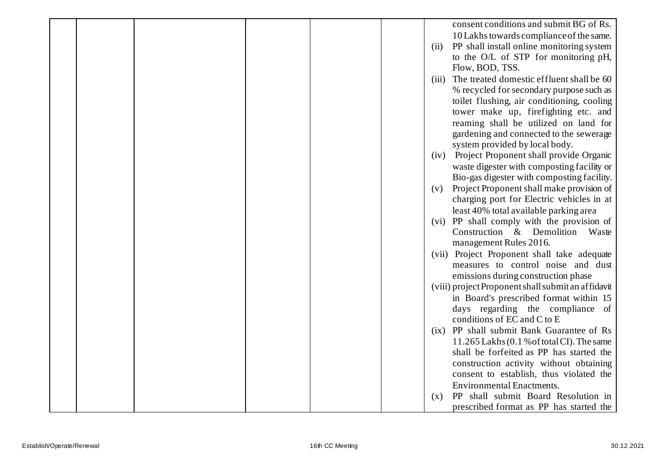|  |  |  | consent conditions and submit BG of Rs.            |
|--|--|--|----------------------------------------------------|
|  |  |  | 10 Lakhs towards compliance of the same.           |
|  |  |  | PP shall install online monitoring system<br>(ii)  |
|  |  |  | to the O/L of STP for monitoring pH,               |
|  |  |  | Flow, BOD, TSS.                                    |
|  |  |  | The treated domestic effluent shall be 60<br>(iii) |
|  |  |  | % recycled for secondary purpose such as           |
|  |  |  | toilet flushing, air conditioning, cooling         |
|  |  |  | tower make up, firefighting etc. and               |
|  |  |  | reaming shall be utilized on land for              |
|  |  |  | gardening and connected to the sewerage            |
|  |  |  | system provided by local body.                     |
|  |  |  | (iv) Project Proponent shall provide Organic       |
|  |  |  | waste digester with composting facility or         |
|  |  |  | Bio-gas digester with composting facility.         |
|  |  |  | Project Proponent shall make provision of<br>(v)   |
|  |  |  | charging port for Electric vehicles in at          |
|  |  |  | least 40% total available parking area             |
|  |  |  | (vi) PP shall comply with the provision of         |
|  |  |  | Construction & Demolition Waste                    |
|  |  |  | management Rules 2016.                             |
|  |  |  | (vii) Project Proponent shall take adequate        |
|  |  |  | measures to control noise and dust                 |
|  |  |  | emissions during construction phase                |
|  |  |  | (viii) project Proponent shall submit an affidavit |
|  |  |  | in Board's prescribed format within 15             |
|  |  |  | days regarding the compliance of                   |
|  |  |  | conditions of EC and C to E                        |
|  |  |  | (ix) PP shall submit Bank Guarantee of Rs          |
|  |  |  | 11.265 Lakhs (0.1 % of total CI). The same         |
|  |  |  | shall be forfeited as PP has started the           |
|  |  |  | construction activity without obtaining            |
|  |  |  | consent to establish, thus violated the            |
|  |  |  | <b>Environmental Enactments.</b>                   |
|  |  |  | PP shall submit Board Resolution in<br>(x)         |
|  |  |  | prescribed format as PP has started the            |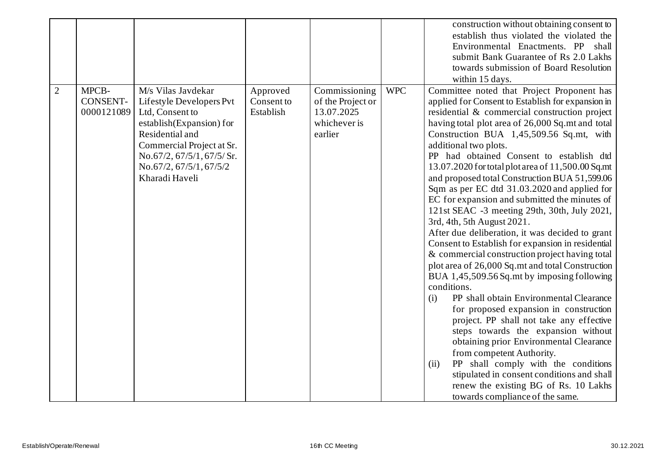|                |                                 |                                                                                                                                                                                                                          |                                     |                                                                             |            | construction without obtaining consent to<br>establish thus violated the violated the<br>Environmental Enactments. PP shall<br>submit Bank Guarantee of Rs 2.0 Lakhs<br>towards submission of Board Resolution<br>within 15 days.                                                                                                                                                                                                                                                                                                                                                                                                                                                                                                                                                                                                                                                                                                                                                                                                                                                                                                                                                                                                                                                                                      |
|----------------|---------------------------------|--------------------------------------------------------------------------------------------------------------------------------------------------------------------------------------------------------------------------|-------------------------------------|-----------------------------------------------------------------------------|------------|------------------------------------------------------------------------------------------------------------------------------------------------------------------------------------------------------------------------------------------------------------------------------------------------------------------------------------------------------------------------------------------------------------------------------------------------------------------------------------------------------------------------------------------------------------------------------------------------------------------------------------------------------------------------------------------------------------------------------------------------------------------------------------------------------------------------------------------------------------------------------------------------------------------------------------------------------------------------------------------------------------------------------------------------------------------------------------------------------------------------------------------------------------------------------------------------------------------------------------------------------------------------------------------------------------------------|
| $\overline{2}$ | MPCB-<br>CONSENT-<br>0000121089 | M/s Vilas Javdekar<br>Lifestyle Developers Pvt<br>Ltd, Consent to<br>establish(Expansion) for<br>Residential and<br>Commercial Project at Sr.<br>No.67/2, 67/5/1, 67/5/ Sr.<br>No.67/2, 67/5/1, 67/5/2<br>Kharadi Haveli | Approved<br>Consent to<br>Establish | Commissioning<br>of the Project or<br>13.07.2025<br>whichever is<br>earlier | <b>WPC</b> | Committee noted that Project Proponent has<br>applied for Consent to Establish for expansion in<br>residential & commercial construction project<br>having total plot area of 26,000 Sq.mt and total<br>Construction BUA 1,45,509.56 Sq.mt, with<br>additional two plots.<br>PP had obtained Consent to establish dtd<br>13.07.2020 for total plot area of 11,500.00 Sq.mt<br>and proposed total Construction BUA 51,599.06<br>Sqm as per EC dtd 31.03.2020 and applied for<br>EC for expansion and submitted the minutes of<br>121st SEAC -3 meeting 29th, 30th, July 2021,<br>3rd, 4th, 5th August 2021.<br>After due deliberation, it was decided to grant<br>Consent to Establish for expansion in residential<br>& commercial construction project having total<br>plot area of 26,000 Sq.mt and total Construction<br>BUA 1,45,509.56 Sq.mt by imposing following<br>conditions.<br>PP shall obtain Environmental Clearance<br>(i)<br>for proposed expansion in construction<br>project. PP shall not take any effective<br>steps towards the expansion without<br>obtaining prior Environmental Clearance<br>from competent Authority.<br>(ii)<br>PP shall comply with the conditions<br>stipulated in consent conditions and shall<br>renew the existing BG of Rs. 10 Lakhs<br>towards compliance of the same. |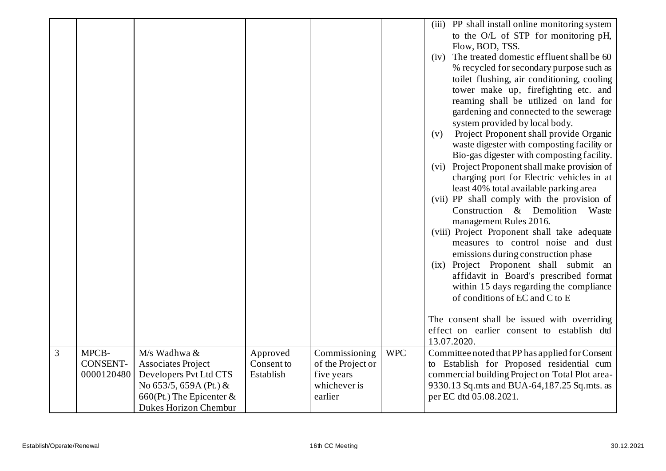|                |                 |                            |            |                   |            | (iii) PP shall install online monitoring system   |
|----------------|-----------------|----------------------------|------------|-------------------|------------|---------------------------------------------------|
|                |                 |                            |            |                   |            | to the O/L of STP for monitoring pH,              |
|                |                 |                            |            |                   |            | Flow, BOD, TSS.                                   |
|                |                 |                            |            |                   |            | The treated domestic effluent shall be 60<br>(iv) |
|                |                 |                            |            |                   |            | % recycled for secondary purpose such as          |
|                |                 |                            |            |                   |            | toilet flushing, air conditioning, cooling        |
|                |                 |                            |            |                   |            | tower make up, firefighting etc. and              |
|                |                 |                            |            |                   |            | reaming shall be utilized on land for             |
|                |                 |                            |            |                   |            | gardening and connected to the sewerage           |
|                |                 |                            |            |                   |            | system provided by local body.                    |
|                |                 |                            |            |                   |            | Project Proponent shall provide Organic<br>(v)    |
|                |                 |                            |            |                   |            | waste digester with composting facility or        |
|                |                 |                            |            |                   |            | Bio-gas digester with composting facility.        |
|                |                 |                            |            |                   |            | (vi) Project Proponent shall make provision of    |
|                |                 |                            |            |                   |            | charging port for Electric vehicles in at         |
|                |                 |                            |            |                   |            | least 40% total available parking area            |
|                |                 |                            |            |                   |            | (vii) PP shall comply with the provision of       |
|                |                 |                            |            |                   |            | Construction & Demolition<br>Waste                |
|                |                 |                            |            |                   |            | management Rules 2016.                            |
|                |                 |                            |            |                   |            | (viii) Project Proponent shall take adequate      |
|                |                 |                            |            |                   |            | measures to control noise and dust                |
|                |                 |                            |            |                   |            | emissions during construction phase               |
|                |                 |                            |            |                   |            | (ix) Project Proponent shall submit an            |
|                |                 |                            |            |                   |            | affidavit in Board's prescribed format            |
|                |                 |                            |            |                   |            | within 15 days regarding the compliance           |
|                |                 |                            |            |                   |            | of conditions of EC and C to E                    |
|                |                 |                            |            |                   |            |                                                   |
|                |                 |                            |            |                   |            | The consent shall be issued with overriding       |
|                |                 |                            |            |                   |            | effect on earlier consent to establish dtd        |
|                |                 |                            |            |                   |            | 13.07.2020.                                       |
| $\overline{3}$ | MPCB-           | M/s Wadhwa &               | Approved   | Commissioning     | <b>WPC</b> | Committee noted that PP has applied for Consent   |
|                | <b>CONSENT-</b> | <b>Associates Project</b>  | Consent to | of the Project or |            | to Establish for Proposed residential cum         |
|                | 0000120480      | Developers Pvt Ltd CTS     | Establish  | five years        |            | commercial building Project on Total Plot area-   |
|                |                 | No 653/5, 659A (Pt.) &     |            | whichever is      |            | 9330.13 Sq.mts and BUA-64,187.25 Sq.mts. as       |
|                |                 | 660(Pt.) The Epicenter $&$ |            | earlier           |            | per EC dtd 05.08.2021.                            |
|                |                 | Dukes Horizon Chembur      |            |                   |            |                                                   |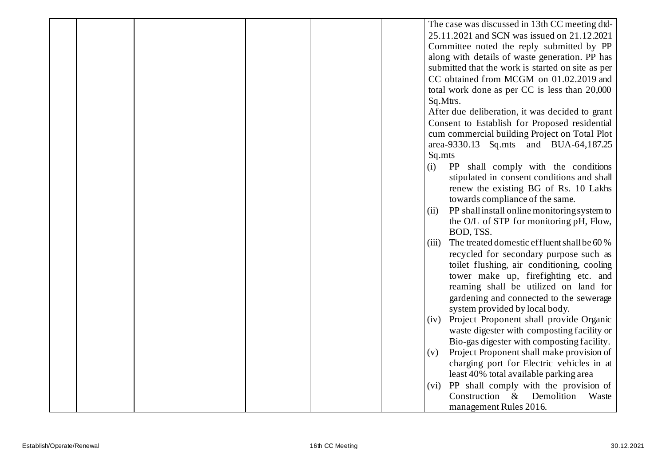|  |  |        | The case was discussed in 13th CC meeting dtd-    |
|--|--|--------|---------------------------------------------------|
|  |  |        | 25.11.2021 and SCN was issued on 21.12.2021       |
|  |  |        | Committee noted the reply submitted by PP         |
|  |  |        | along with details of waste generation. PP has    |
|  |  |        | submitted that the work is started on site as per |
|  |  |        | CC obtained from MCGM on 01.02.2019 and           |
|  |  |        | total work done as per CC is less than 20,000     |
|  |  |        | Sq.Mtrs.                                          |
|  |  |        | After due deliberation, it was decided to grant   |
|  |  |        | Consent to Establish for Proposed residential     |
|  |  |        | cum commercial building Project on Total Plot     |
|  |  |        | area-9330.13 Sq.mts and BUA-64,187.25             |
|  |  | Sq.mts |                                                   |
|  |  | (i)    | PP shall comply with the conditions               |
|  |  |        | stipulated in consent conditions and shall        |
|  |  |        | renew the existing BG of Rs. 10 Lakhs             |
|  |  |        | towards compliance of the same.                   |
|  |  | (ii)   | PP shall install online monitoring system to      |
|  |  |        | the O/L of STP for monitoring pH, Flow,           |
|  |  |        | BOD, TSS.                                         |
|  |  | (iii)  | The treated domestic effluent shall be 60 %       |
|  |  |        | recycled for secondary purpose such as            |
|  |  |        | toilet flushing, air conditioning, cooling        |
|  |  |        | tower make up, firefighting etc. and              |
|  |  |        | reaming shall be utilized on land for             |
|  |  |        | gardening and connected to the sewerage           |
|  |  |        | system provided by local body.                    |
|  |  | (iv)   | Project Proponent shall provide Organic           |
|  |  |        | waste digester with composting facility or        |
|  |  |        | Bio-gas digester with composting facility.        |
|  |  | (v)    | Project Proponent shall make provision of         |
|  |  |        | charging port for Electric vehicles in at         |
|  |  |        | least 40% total available parking area            |
|  |  |        | (vi) PP shall comply with the provision of        |
|  |  |        | Demolition<br>Construction $\&$<br>Waste          |
|  |  |        | management Rules 2016.                            |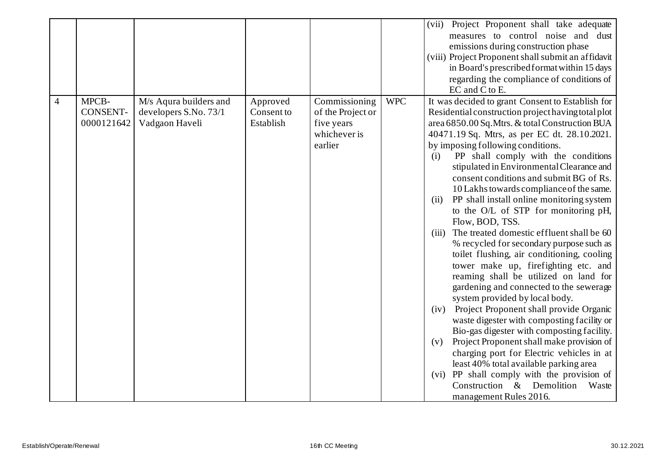|   |                 |                        |            |                   |            | Project Proponent shall take adequate<br>(vii)     |
|---|-----------------|------------------------|------------|-------------------|------------|----------------------------------------------------|
|   |                 |                        |            |                   |            | measures to control noise and dust                 |
|   |                 |                        |            |                   |            | emissions during construction phase                |
|   |                 |                        |            |                   |            | (viii) Project Proponent shall submit an affidavit |
|   |                 |                        |            |                   |            | in Board's prescribed format within 15 days        |
|   |                 |                        |            |                   |            | regarding the compliance of conditions of          |
|   |                 |                        |            |                   |            | EC and C to E.                                     |
| 4 | MPCB-           | M/s Aqura builders and | Approved   | Commissioning     | <b>WPC</b> | It was decided to grant Consent to Establish for   |
|   | <b>CONSENT-</b> | developers S.No. 73/1  | Consent to | of the Project or |            | Residential construction project having total plot |
|   | 0000121642      | Vadgaon Haveli         | Establish  | five years        |            | area 6850.00 Sq. Mtrs. & total Construction BUA    |
|   |                 |                        |            | whichever is      |            | 40471.19 Sq. Mtrs, as per EC dt. 28.10.2021.       |
|   |                 |                        |            | earlier           |            | by imposing following conditions.                  |
|   |                 |                        |            |                   |            | PP shall comply with the conditions<br>(i)         |
|   |                 |                        |            |                   |            | stipulated in Environmental Clearance and          |
|   |                 |                        |            |                   |            | consent conditions and submit BG of Rs.            |
|   |                 |                        |            |                   |            | 10 Lakhs towards compliance of the same.           |
|   |                 |                        |            |                   |            | PP shall install online monitoring system<br>(ii)  |
|   |                 |                        |            |                   |            | to the O/L of STP for monitoring pH,               |
|   |                 |                        |            |                   |            | Flow, BOD, TSS.                                    |
|   |                 |                        |            |                   |            | (iii) The treated domestic effluent shall be 60    |
|   |                 |                        |            |                   |            | % recycled for secondary purpose such as           |
|   |                 |                        |            |                   |            | toilet flushing, air conditioning, cooling         |
|   |                 |                        |            |                   |            | tower make up, firefighting etc. and               |
|   |                 |                        |            |                   |            | reaming shall be utilized on land for              |
|   |                 |                        |            |                   |            | gardening and connected to the sewerage            |
|   |                 |                        |            |                   |            | system provided by local body.                     |
|   |                 |                        |            |                   |            | Project Proponent shall provide Organic<br>(iv)    |
|   |                 |                        |            |                   |            | waste digester with composting facility or         |
|   |                 |                        |            |                   |            | Bio-gas digester with composting facility.         |
|   |                 |                        |            |                   |            | Project Proponent shall make provision of<br>(v)   |
|   |                 |                        |            |                   |            | charging port for Electric vehicles in at          |
|   |                 |                        |            |                   |            | least 40% total available parking area             |
|   |                 |                        |            |                   |            | (vi) PP shall comply with the provision of         |
|   |                 |                        |            |                   |            | Construction & Demolition<br>Waste                 |
|   |                 |                        |            |                   |            | management Rules 2016.                             |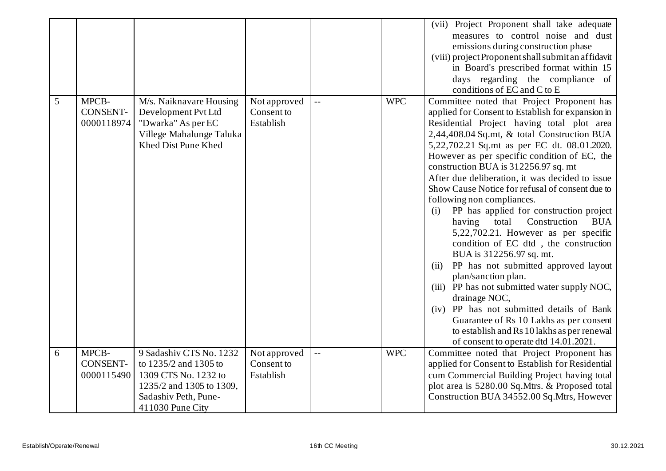|   |                                        |                                                                                                                                                  |                                         |                |            | (vii) Project Proponent shall take adequate<br>measures to control noise and dust<br>emissions during construction phase<br>(viii) project Proponent shall submit an affidavit<br>in Board's prescribed format within 15<br>days regarding the compliance of<br>conditions of EC and C to E                                                                                                                                                                                                                                                                                                                                                                                                                                                                                                                                                                                                                                                                                                                     |
|---|----------------------------------------|--------------------------------------------------------------------------------------------------------------------------------------------------|-----------------------------------------|----------------|------------|-----------------------------------------------------------------------------------------------------------------------------------------------------------------------------------------------------------------------------------------------------------------------------------------------------------------------------------------------------------------------------------------------------------------------------------------------------------------------------------------------------------------------------------------------------------------------------------------------------------------------------------------------------------------------------------------------------------------------------------------------------------------------------------------------------------------------------------------------------------------------------------------------------------------------------------------------------------------------------------------------------------------|
| 5 | MPCB-<br><b>CONSENT-</b><br>0000118974 | M/s. Naiknavare Housing<br>Development Pvt Ltd<br>"Dwarka" As per EC<br>Villege Mahalunge Taluka<br>Khed Dist Pune Khed                          | Not approved<br>Consent to<br>Establish | $\overline{a}$ | <b>WPC</b> | Committee noted that Project Proponent has<br>applied for Consent to Establish for expansion in<br>Residential Project having total plot area<br>2,44,408.04 Sq.mt, & total Construction BUA<br>5,22,702.21 Sq.mt as per EC dt. 08.01.2020.<br>However as per specific condition of EC, the<br>construction BUA is 312256.97 sq. mt<br>After due deliberation, it was decided to issue<br>Show Cause Notice for refusal of consent due to<br>following non compliances.<br>PP has applied for construction project<br>(i)<br>Construction<br><b>BUA</b><br>having<br>total<br>5,22,702.21. However as per specific<br>condition of EC dtd, the construction<br>BUA is 312256.97 sq. mt.<br>PP has not submitted approved layout<br>(ii)<br>plan/sanction plan.<br>(iii) PP has not submitted water supply NOC,<br>drainage NOC,<br>(iv) PP has not submitted details of Bank<br>Guarantee of Rs 10 Lakhs as per consent<br>to establish and Rs 10 lakhs as per renewal<br>of consent to operate dtd 14.01.2021. |
| 6 | MPCB-<br>CONSENT-<br>0000115490        | 9 Sadashiv CTS No. 1232<br>to 1235/2 and 1305 to<br>1309 CTS No. 1232 to<br>1235/2 and 1305 to 1309,<br>Sadashiv Peth, Pune-<br>411030 Pune City | Not approved<br>Consent to<br>Establish | $\perp$ .      | <b>WPC</b> | Committee noted that Project Proponent has<br>applied for Consent to Establish for Residential<br>cum Commercial Building Project having total<br>plot area is 5280.00 Sq.Mtrs. & Proposed total<br>Construction BUA 34552.00 Sq.Mtrs, However                                                                                                                                                                                                                                                                                                                                                                                                                                                                                                                                                                                                                                                                                                                                                                  |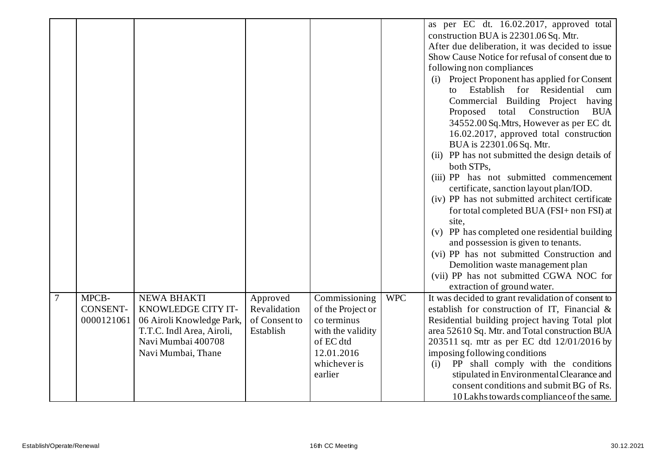|        |                 |                           |               |                   |            | as per EC dt. 16.02.2017, approved total                            |
|--------|-----------------|---------------------------|---------------|-------------------|------------|---------------------------------------------------------------------|
|        |                 |                           |               |                   |            | construction BUA is 22301.06 Sq. Mtr.                               |
|        |                 |                           |               |                   |            | After due deliberation, it was decided to issue                     |
|        |                 |                           |               |                   |            | Show Cause Notice for refusal of consent due to                     |
|        |                 |                           |               |                   |            | following non compliances                                           |
|        |                 |                           |               |                   |            | (i) Project Proponent has applied for Consent                       |
|        |                 |                           |               |                   |            | Establish for Residential<br>cum<br>to                              |
|        |                 |                           |               |                   |            | Commercial Building Project<br>having                               |
|        |                 |                           |               |                   |            | Construction<br>Proposed<br>total<br><b>BUA</b>                     |
|        |                 |                           |               |                   |            |                                                                     |
|        |                 |                           |               |                   |            | 34552.00 Sq. Mtrs, However as per EC dt.                            |
|        |                 |                           |               |                   |            | 16.02.2017, approved total construction<br>BUA is 22301.06 Sq. Mtr. |
|        |                 |                           |               |                   |            | (ii) PP has not submitted the design details of                     |
|        |                 |                           |               |                   |            | both STPs,                                                          |
|        |                 |                           |               |                   |            | (iii) PP has not submitted commencement                             |
|        |                 |                           |               |                   |            | certificate, sanction layout plan/IOD.                              |
|        |                 |                           |               |                   |            | (iv) PP has not submitted architect certificate                     |
|        |                 |                           |               |                   |            | for total completed BUA (FSI+ non FSI) at                           |
|        |                 |                           |               |                   |            | site,                                                               |
|        |                 |                           |               |                   |            | (v) PP has completed one residential building                       |
|        |                 |                           |               |                   |            | and possession is given to tenants.                                 |
|        |                 |                           |               |                   |            | (vi) PP has not submitted Construction and                          |
|        |                 |                           |               |                   |            | Demolition waste management plan                                    |
|        |                 |                           |               |                   |            | (vii) PP has not submitted CGWA NOC for                             |
|        |                 |                           |               |                   |            | extraction of ground water.                                         |
| $\tau$ | MPCB-           | <b>NEWA BHAKTI</b>        | Approved      | Commissioning     | <b>WPC</b> | It was decided to grant revalidation of consent to                  |
|        | <b>CONSENT-</b> | KNOWLEDGE CITY IT-        | Revalidation  | of the Project or |            | establish for construction of IT, Financial &                       |
|        | 0000121061      | 06 Airoli Knowledge Park, | of Consent to | co terminus       |            | Residential building project having Total plot                      |
|        |                 | T.T.C. Indl Area, Airoli, | Establish     | with the validity |            | area 52610 Sq. Mtr. and Total construction BUA                      |
|        |                 | Navi Mumbai 400708        |               | of EC dtd         |            | 203511 sq. mtr as per EC dtd 12/01/2016 by                          |
|        |                 | Navi Mumbai, Thane        |               | 12.01.2016        |            | imposing following conditions                                       |
|        |                 |                           |               | whichever is      |            | PP shall comply with the conditions<br>(i)                          |
|        |                 |                           |               | earlier           |            | stipulated in Environmental Clearance and                           |
|        |                 |                           |               |                   |            | consent conditions and submit BG of Rs.                             |
|        |                 |                           |               |                   |            | 10 Lakhs towards compliance of the same.                            |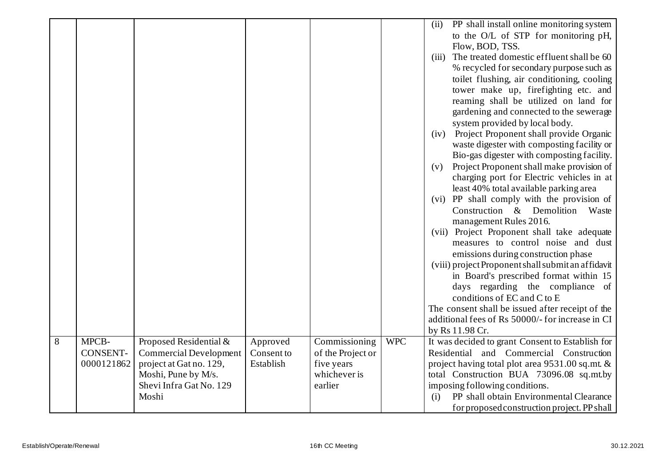|                |                 |                               |            |                   |            | PP shall install online monitoring system<br>(ii)                                 |
|----------------|-----------------|-------------------------------|------------|-------------------|------------|-----------------------------------------------------------------------------------|
|                |                 |                               |            |                   |            | to the O/L of STP for monitoring pH,                                              |
|                |                 |                               |            |                   |            | Flow, BOD, TSS.                                                                   |
|                |                 |                               |            |                   |            | The treated domestic effluent shall be 60<br>(iii)                                |
|                |                 |                               |            |                   |            | % recycled for secondary purpose such as                                          |
|                |                 |                               |            |                   |            | toilet flushing, air conditioning, cooling                                        |
|                |                 |                               |            |                   |            | tower make up, firefighting etc. and                                              |
|                |                 |                               |            |                   |            | reaming shall be utilized on land for                                             |
|                |                 |                               |            |                   |            | gardening and connected to the sewerage                                           |
|                |                 |                               |            |                   |            | system provided by local body.                                                    |
|                |                 |                               |            |                   |            | (iv) Project Proponent shall provide Organic                                      |
|                |                 |                               |            |                   |            | waste digester with composting facility or                                        |
|                |                 |                               |            |                   |            | Bio-gas digester with composting facility.                                        |
|                |                 |                               |            |                   |            | Project Proponent shall make provision of<br>(v)                                  |
|                |                 |                               |            |                   |            | charging port for Electric vehicles in at                                         |
|                |                 |                               |            |                   |            | least 40% total available parking area                                            |
|                |                 |                               |            |                   |            | (vi) PP shall comply with the provision of                                        |
|                |                 |                               |            |                   |            | Construction & Demolition<br>Waste                                                |
|                |                 |                               |            |                   |            | management Rules 2016.                                                            |
|                |                 |                               |            |                   |            | (vii) Project Proponent shall take adequate<br>measures to control noise and dust |
|                |                 |                               |            |                   |            |                                                                                   |
|                |                 |                               |            |                   |            | emissions during construction phase                                               |
|                |                 |                               |            |                   |            | (viii) project Proponent shall submit an affidavit                                |
|                |                 |                               |            |                   |            | in Board's prescribed format within 15<br>days regarding the compliance of        |
|                |                 |                               |            |                   |            | conditions of EC and C to E                                                       |
|                |                 |                               |            |                   |            | The consent shall be issued after receipt of the                                  |
|                |                 |                               |            |                   |            | additional fees of Rs 50000/- for increase in CI                                  |
|                |                 |                               |            |                   |            | by Rs 11.98 Cr.                                                                   |
| $\overline{8}$ | MPCB-           | Proposed Residential &        | Approved   | Commissioning     | <b>WPC</b> | It was decided to grant Consent to Establish for                                  |
|                | <b>CONSENT-</b> | <b>Commercial Development</b> | Consent to | of the Project or |            | Residential and Commercial Construction                                           |
|                | 0000121862      | project at Gat no. 129,       | Establish  | five years        |            | project having total plot area 9531.00 sq.mt. &                                   |
|                |                 | Moshi, Pune by M/s.           |            | whichever is      |            | total Construction BUA 73096.08 sq.mt.by                                          |
|                |                 | Shevi Infra Gat No. 129       |            | earlier           |            | imposing following conditions.                                                    |
|                |                 | Moshi                         |            |                   |            | PP shall obtain Environmental Clearance<br>(i)                                    |
|                |                 |                               |            |                   |            | for proposed construction project. PP shall                                       |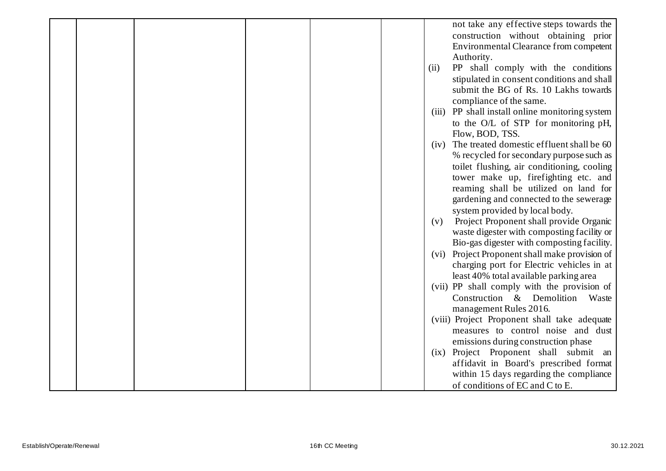|  |  |  |      | not take any effective steps towards the                                         |
|--|--|--|------|----------------------------------------------------------------------------------|
|  |  |  |      | construction without obtaining prior                                             |
|  |  |  |      | Environmental Clearance from competent                                           |
|  |  |  |      | Authority.                                                                       |
|  |  |  | (ii) | PP shall comply with the conditions                                              |
|  |  |  |      | stipulated in consent conditions and shall                                       |
|  |  |  |      | submit the BG of Rs. 10 Lakhs towards                                            |
|  |  |  |      | compliance of the same.                                                          |
|  |  |  |      | (iii) PP shall install online monitoring system                                  |
|  |  |  |      | to the O/L of STP for monitoring pH,                                             |
|  |  |  |      | Flow, BOD, TSS.                                                                  |
|  |  |  | (iv) | The treated domestic effluent shall be 60                                        |
|  |  |  |      | % recycled for secondary purpose such as                                         |
|  |  |  |      | toilet flushing, air conditioning, cooling                                       |
|  |  |  |      | tower make up, firefighting etc. and                                             |
|  |  |  |      | reaming shall be utilized on land for                                            |
|  |  |  |      | gardening and connected to the sewerage                                          |
|  |  |  |      | system provided by local body.                                                   |
|  |  |  | (v)  | Project Proponent shall provide Organic                                          |
|  |  |  |      | waste digester with composting facility or                                       |
|  |  |  |      | Bio-gas digester with composting facility.                                       |
|  |  |  |      | (vi) Project Proponent shall make provision of                                   |
|  |  |  |      | charging port for Electric vehicles in at                                        |
|  |  |  |      | least 40% total available parking area                                           |
|  |  |  |      | (vii) PP shall comply with the provision of                                      |
|  |  |  |      | Construction & Demolition<br>Waste                                               |
|  |  |  |      | management Rules 2016.                                                           |
|  |  |  |      | (viii) Project Proponent shall take adequate                                     |
|  |  |  |      | measures to control noise and dust                                               |
|  |  |  |      | emissions during construction phase                                              |
|  |  |  |      | (ix) Project Proponent shall submit an<br>affidavit in Board's prescribed format |
|  |  |  |      | within 15 days regarding the compliance                                          |
|  |  |  |      | of conditions of EC and C to E.                                                  |
|  |  |  |      |                                                                                  |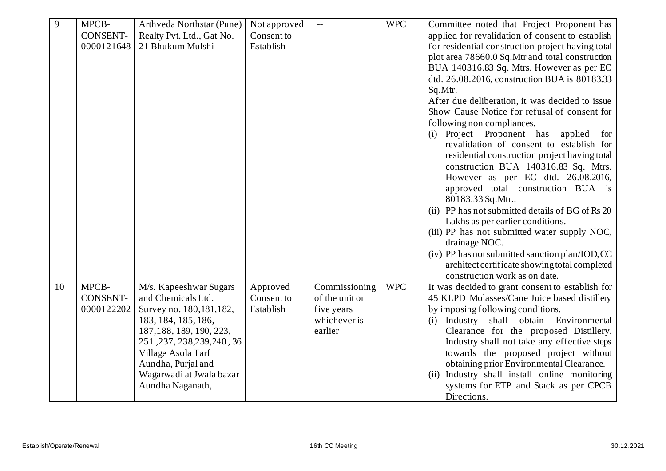| 9  | MPCB-           | Arthveda Northstar (Pune)   | Not approved | $ -$           | <b>WPC</b> | Committee noted that Project Proponent has        |
|----|-----------------|-----------------------------|--------------|----------------|------------|---------------------------------------------------|
|    | <b>CONSENT-</b> | Realty Pvt. Ltd., Gat No.   | Consent to   |                |            | applied for revalidation of consent to establish  |
|    | 0000121648      | 21 Bhukum Mulshi            | Establish    |                |            | for residential construction project having total |
|    |                 |                             |              |                |            | plot area 78660.0 Sq.Mtr and total construction   |
|    |                 |                             |              |                |            | BUA 140316.83 Sq. Mtrs. However as per EC         |
|    |                 |                             |              |                |            | dtd. 26.08.2016, construction BUA is 80183.33     |
|    |                 |                             |              |                |            | Sq.Mtr.                                           |
|    |                 |                             |              |                |            | After due deliberation, it was decided to issue   |
|    |                 |                             |              |                |            | Show Cause Notice for refusal of consent for      |
|    |                 |                             |              |                |            | following non compliances.                        |
|    |                 |                             |              |                |            | (i) Project Proponent has<br>applied<br>for       |
|    |                 |                             |              |                |            | revalidation of consent to establish for          |
|    |                 |                             |              |                |            | residential construction project having total     |
|    |                 |                             |              |                |            | construction BUA 140316.83 Sq. Mtrs.              |
|    |                 |                             |              |                |            | However as per EC dtd. 26.08.2016,                |
|    |                 |                             |              |                |            | approved total construction BUA is                |
|    |                 |                             |              |                |            | 80183.33 Sq.Mtr                                   |
|    |                 |                             |              |                |            | (ii) PP has not submitted details of BG of Rs 20  |
|    |                 |                             |              |                |            | Lakhs as per earlier conditions.                  |
|    |                 |                             |              |                |            | (iii) PP has not submitted water supply NOC,      |
|    |                 |                             |              |                |            | drainage NOC.                                     |
|    |                 |                             |              |                |            | (iv) PP has not submitted sanction plan/IOD, CC   |
|    |                 |                             |              |                |            | architect certificate showing total completed     |
|    |                 |                             |              |                |            | construction work as on date.                     |
| 10 | MPCB-           | M/s. Kapeeshwar Sugars      | Approved     | Commissioning  | <b>WPC</b> | It was decided to grant consent to establish for  |
|    | <b>CONSENT-</b> | and Chemicals Ltd.          | Consent to   | of the unit or |            | 45 KLPD Molasses/Cane Juice based distillery      |
|    | 0000122202      | Survey no. 180, 181, 182,   | Establish    | five years     |            | by imposing following conditions.                 |
|    |                 | 183, 184, 185, 186,         |              | whichever is   |            | Industry shall obtain Environmental<br>(i)        |
|    |                 | 187, 188, 189, 190, 223,    |              | earlier        |            | Clearance for the proposed Distillery.            |
|    |                 | 251, 237, 238, 239, 240, 36 |              |                |            | Industry shall not take any effective steps       |
|    |                 | Village Asola Tarf          |              |                |            | towards the proposed project without              |
|    |                 | Aundha, Purjal and          |              |                |            | obtaining prior Environmental Clearance.          |
|    |                 | Wagarwadi at Jwala bazar    |              |                |            | (ii) Industry shall install online monitoring     |
|    |                 | Aundha Naganath,            |              |                |            | systems for ETP and Stack as per CPCB             |
|    |                 |                             |              |                |            | Directions.                                       |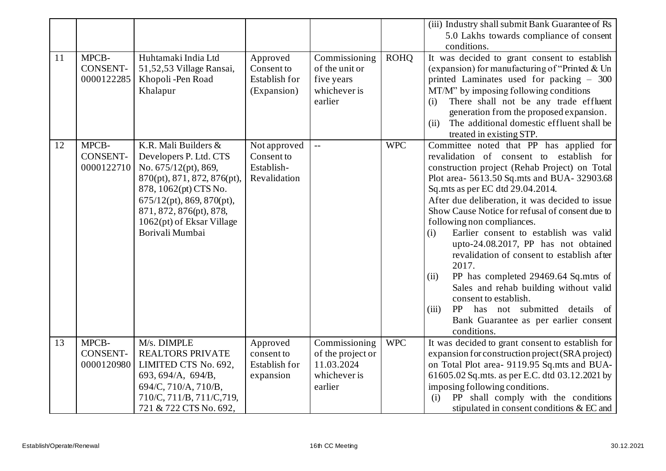|    |                 |                              |                      |                           |             | (iii) Industry shall submit Bank Guarantee of Rs  |
|----|-----------------|------------------------------|----------------------|---------------------------|-------------|---------------------------------------------------|
|    |                 |                              |                      |                           |             | 5.0 Lakhs towards compliance of consent           |
|    |                 |                              |                      |                           |             | conditions.                                       |
| 11 | MPCB-           | Huhtamaki India Ltd          | Approved             | Commissioning             | <b>ROHQ</b> | It was decided to grant consent to establish      |
|    | <b>CONSENT-</b> | 51,52,53 Village Ransai,     | Consent to           | of the unit or            |             | (expansion) for manufacturing of "Printed & Un    |
|    | 0000122285      | Khopoli -Pen Road            | <b>Establish for</b> | five years                |             | printed Laminates used for packing - 300          |
|    |                 | Khalapur                     | (Expansion)          | whichever is              |             | MT/M" by imposing following conditions            |
|    |                 |                              |                      | earlier                   |             | There shall not be any trade effluent<br>(i)      |
|    |                 |                              |                      |                           |             | generation from the proposed expansion.           |
|    |                 |                              |                      |                           |             | The additional domestic effluent shall be<br>(ii) |
|    |                 |                              |                      |                           |             | treated in existing STP.                          |
| 12 | MPCB-           | K.R. Mali Builders &         | Not approved         | $\mathbb{L}^{\mathbb{L}}$ | <b>WPC</b>  | Committee noted that PP has applied for           |
|    | <b>CONSENT-</b> | Developers P. Ltd. CTS       | Consent to           |                           |             | revalidation of consent to establish for          |
|    | 0000122710      | No. 675/12(pt), 869,         | Establish-           |                           |             | construction project (Rehab Project) on Total     |
|    |                 | 870(pt), 871, 872, 876(pt),  | Revalidation         |                           |             | Plot area- 5613.50 Sq.mts and BUA- 32903.68       |
|    |                 | 878, 1062(pt) CTS No.        |                      |                           |             | Sq.mts as per EC dtd 29.04.2014.                  |
|    |                 | $675/12(pt)$ , 869, 870(pt), |                      |                           |             | After due deliberation, it was decided to issue   |
|    |                 | 871, 872, 876(pt), 878,      |                      |                           |             | Show Cause Notice for refusal of consent due to   |
|    |                 | 1062(pt) of Eksar Village    |                      |                           |             | following non compliances.                        |
|    |                 | Borivali Mumbai              |                      |                           |             | Earlier consent to establish was valid<br>(i)     |
|    |                 |                              |                      |                           |             | upto-24.08.2017, PP has not obtained              |
|    |                 |                              |                      |                           |             | revalidation of consent to establish after        |
|    |                 |                              |                      |                           |             | 2017.                                             |
|    |                 |                              |                      |                           |             | PP has completed 29469.64 Sq.mts of<br>(ii)       |
|    |                 |                              |                      |                           |             | Sales and rehab building without valid            |
|    |                 |                              |                      |                           |             | consent to establish.                             |
|    |                 |                              |                      |                           |             | PP<br>has not submitted details of<br>(iii)       |
|    |                 |                              |                      |                           |             | Bank Guarantee as per earlier consent             |
|    |                 |                              |                      |                           |             | conditions.                                       |
| 13 | MPCB-           | M/s. DIMPLE                  | Approved             | Commissioning             | <b>WPC</b>  | It was decided to grant consent to establish for  |
|    | CONSENT-        | <b>REALTORS PRIVATE</b>      | consent to           | of the project or         |             | expansion for construction project (SRA project)  |
|    | 0000120980      | LIMITED CTS No. 692,         | <b>Establish for</b> | 11.03.2024                |             | on Total Plot area- 9119.95 Sq.mts and BUA-       |
|    |                 | 693, 694/A, 694/B,           | expansion            | whichever is              |             | 61605.02 Sq.mts. as per E.C. dtd 03.12.2021 by    |
|    |                 | 694/C, 710/A, 710/B,         |                      | earlier                   |             | imposing following conditions.                    |
|    |                 | 710/C, 711/B, 711/C, 719,    |                      |                           |             | PP shall comply with the conditions<br>(i)        |
|    |                 | 721 & 722 CTS No. 692,       |                      |                           |             | stipulated in consent conditions & EC and         |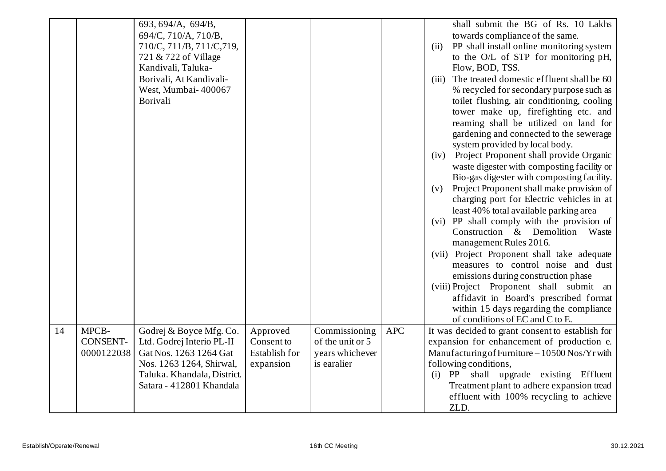|    |                                        | 693, 694/A, 694/B,<br>694/C, 710/A, 710/B,<br>710/C, 711/B, 711/C, 719,<br>721 & 722 of Village<br>Kandivali, Taluka-<br>Borivali, At Kandivali-<br>West, Mumbai-400067<br>Borivali |                                                             |                                                                     |            | shall submit the BG of Rs. 10 Lakhs<br>towards compliance of the same.<br>PP shall install online monitoring system<br>(ii)<br>to the O/L of STP for monitoring pH,<br>Flow, BOD, TSS.<br>The treated domestic effluent shall be 60<br>(iii)<br>% recycled for secondary purpose such as<br>toilet flushing, air conditioning, cooling<br>tower make up, firefighting etc. and<br>reaming shall be utilized on land for<br>gardening and connected to the sewerage<br>system provided by local body.<br>(iv) Project Proponent shall provide Organic<br>waste digester with composting facility or<br>Bio-gas digester with composting facility.<br>Project Proponent shall make provision of<br>(v)<br>charging port for Electric vehicles in at<br>least 40% total available parking area<br>(vi) PP shall comply with the provision of<br>Construction & Demolition<br>Waste<br>management Rules 2016.<br>(vii) Project Proponent shall take adequate<br>measures to control noise and dust<br>emissions during construction phase<br>(viii) Project Proponent shall submit an<br>affidavit in Board's prescribed format<br>within 15 days regarding the compliance<br>of conditions of EC and C to E. |
|----|----------------------------------------|-------------------------------------------------------------------------------------------------------------------------------------------------------------------------------------|-------------------------------------------------------------|---------------------------------------------------------------------|------------|-----------------------------------------------------------------------------------------------------------------------------------------------------------------------------------------------------------------------------------------------------------------------------------------------------------------------------------------------------------------------------------------------------------------------------------------------------------------------------------------------------------------------------------------------------------------------------------------------------------------------------------------------------------------------------------------------------------------------------------------------------------------------------------------------------------------------------------------------------------------------------------------------------------------------------------------------------------------------------------------------------------------------------------------------------------------------------------------------------------------------------------------------------------------------------------------------------------|
| 14 | MPCB-<br><b>CONSENT-</b><br>0000122038 | Godrej & Boyce Mfg. Co.<br>Ltd. Godrej Interio PL-II<br>Gat Nos. 1263 1264 Gat<br>Nos. 1263 1264, Shirwal,<br>Taluka. Khandala, District.<br>Satara - 412801 Khandala               | Approved<br>Consent to<br><b>Establish for</b><br>expansion | Commissioning<br>of the unit or 5<br>years whichever<br>is earalier | <b>APC</b> | It was decided to grant consent to establish for<br>expansion for enhancement of production e.<br>Manufacturing of Furniture - 10500 Nos/Yr with<br>following conditions,<br>(i) PP shall upgrade existing Effluent<br>Treatment plant to adhere expansion tread<br>effluent with 100% recycling to achieve<br>ZLD.                                                                                                                                                                                                                                                                                                                                                                                                                                                                                                                                                                                                                                                                                                                                                                                                                                                                                       |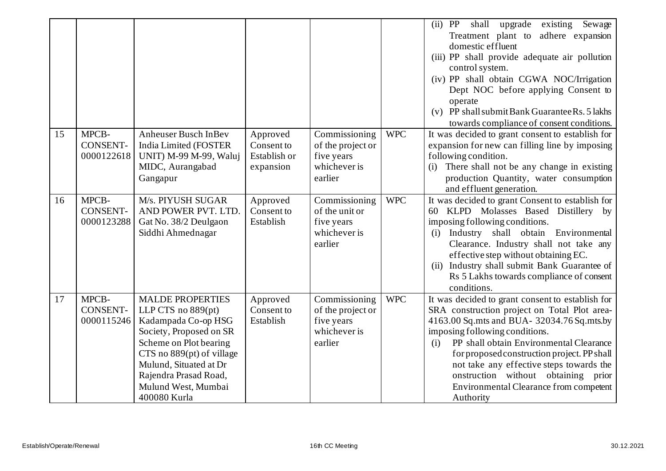|    |                                        |                                                                                                                                                                                                                                                    |                                                     |                                                                             |            | shall upgrade<br>Sewage<br>$(ii)$ PP<br>existing<br>Treatment plant to adhere expansion<br>domestic effluent<br>(iii) PP shall provide adequate air pollution<br>control system.<br>(iv) PP shall obtain CGWA NOC/Irrigation<br>Dept NOC before applying Consent to<br>operate<br>(v) PP shall submit Bank Guarantee Rs. 5 lakhs<br>towards compliance of consent conditions.                                               |
|----|----------------------------------------|----------------------------------------------------------------------------------------------------------------------------------------------------------------------------------------------------------------------------------------------------|-----------------------------------------------------|-----------------------------------------------------------------------------|------------|-----------------------------------------------------------------------------------------------------------------------------------------------------------------------------------------------------------------------------------------------------------------------------------------------------------------------------------------------------------------------------------------------------------------------------|
| 15 | MPCB-<br><b>CONSENT-</b><br>0000122618 | <b>Anheuser Busch InBev</b><br>India Limited (FOSTER<br>UNIT) M-99 M-99, Waluj<br>MIDC, Aurangabad<br>Gangapur                                                                                                                                     | Approved<br>Consent to<br>Establish or<br>expansion | Commissioning<br>of the project or<br>five years<br>whichever is<br>earlier | <b>WPC</b> | It was decided to grant consent to establish for<br>expansion for new can filling line by imposing<br>following condition.<br>There shall not be any change in existing<br>(i)<br>production Quantity, water consumption<br>and effluent generation.                                                                                                                                                                        |
| 16 | MPCB-<br><b>CONSENT-</b><br>0000123288 | M/s. PIYUSH SUGAR<br>AND POWER PVT. LTD.<br>Gat No. 38/2 Deulgaon<br>Siddhi Ahmednagar                                                                                                                                                             | Approved<br>Consent to<br>Establish                 | Commissioning<br>of the unit or<br>five years<br>whichever is<br>earlier    | <b>WPC</b> | It was decided to grant Consent to establish for<br>60 KLPD Molasses Based Distillery by<br>imposing following conditions.<br>Industry shall obtain Environmental<br>(i)<br>Clearance. Industry shall not take any<br>effective step without obtaining EC.<br>(ii) Industry shall submit Bank Guarantee of<br>Rs 5 Lakhs towards compliance of consent<br>conditions.                                                       |
| 17 | MPCB-<br>CONSENT-<br>0000115246        | <b>MALDE PROPERTIES</b><br>LLP CTS no $889(pt)$<br>Kadampada Co-op HSG<br>Society, Proposed on SR<br>Scheme on Plot bearing<br>CTS no 889(pt) of village<br>Mulund, Situated at Dr<br>Rajendra Prasad Road,<br>Mulund West, Mumbai<br>400080 Kurla | Approved<br>Consent to<br>Establish                 | Commissioning<br>of the project or<br>five years<br>whichever is<br>earlier | <b>WPC</b> | It was decided to grant consent to establish for<br>SRA construction project on Total Plot area-<br>4163.00 Sq.mts and BUA- 32034.76 Sq.mts.by<br>imposing following conditions.<br>PP shall obtain Environmental Clearance<br>(i)<br>for proposed construction project. PP shall<br>not take any effective steps towards the<br>onstruction without obtaining prior<br>Environmental Clearance from competent<br>Authority |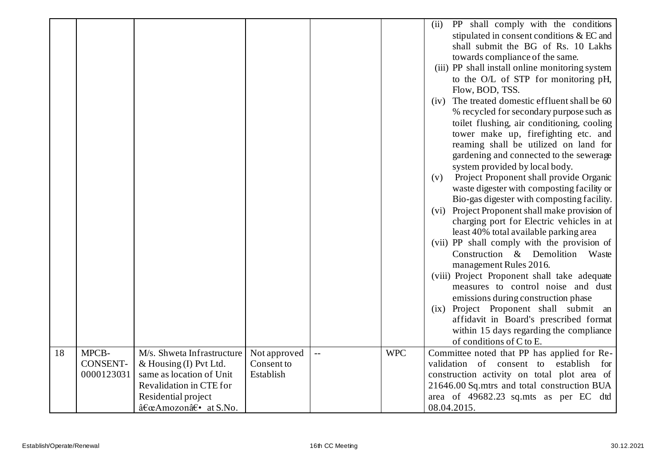|    |                 |                            |              |     |            | PP shall comply with the conditions<br>(ii)     |
|----|-----------------|----------------------------|--------------|-----|------------|-------------------------------------------------|
|    |                 |                            |              |     |            | stipulated in consent conditions & EC and       |
|    |                 |                            |              |     |            | shall submit the BG of Rs. 10 Lakhs             |
|    |                 |                            |              |     |            | towards compliance of the same.                 |
|    |                 |                            |              |     |            | (iii) PP shall install online monitoring system |
|    |                 |                            |              |     |            |                                                 |
|    |                 |                            |              |     |            | to the O/L of STP for monitoring pH,            |
|    |                 |                            |              |     |            | Flow, BOD, TSS.                                 |
|    |                 |                            |              |     |            | (iv) The treated domestic effluent shall be 60  |
|    |                 |                            |              |     |            | % recycled for secondary purpose such as        |
|    |                 |                            |              |     |            | toilet flushing, air conditioning, cooling      |
|    |                 |                            |              |     |            | tower make up, firefighting etc. and            |
|    |                 |                            |              |     |            | reaming shall be utilized on land for           |
|    |                 |                            |              |     |            | gardening and connected to the sewerage         |
|    |                 |                            |              |     |            | system provided by local body.                  |
|    |                 |                            |              |     |            | Project Proponent shall provide Organic<br>(v)  |
|    |                 |                            |              |     |            | waste digester with composting facility or      |
|    |                 |                            |              |     |            | Bio-gas digester with composting facility.      |
|    |                 |                            |              |     |            | (vi) Project Proponent shall make provision of  |
|    |                 |                            |              |     |            | charging port for Electric vehicles in at       |
|    |                 |                            |              |     |            | least 40% total available parking area          |
|    |                 |                            |              |     |            | (vii) PP shall comply with the provision of     |
|    |                 |                            |              |     |            | Construction & Demolition Waste                 |
|    |                 |                            |              |     |            | management Rules 2016.                          |
|    |                 |                            |              |     |            |                                                 |
|    |                 |                            |              |     |            | (viii) Project Proponent shall take adequate    |
|    |                 |                            |              |     |            | measures to control noise and dust              |
|    |                 |                            |              |     |            | emissions during construction phase             |
|    |                 |                            |              |     |            | (ix) Project Proponent shall submit an          |
|    |                 |                            |              |     |            | affidavit in Board's prescribed format          |
|    |                 |                            |              |     |            | within 15 days regarding the compliance         |
|    |                 |                            |              |     |            | of conditions of C to E.                        |
| 18 | MPCB-           | M/s. Shweta Infrastructure | Not approved | $-$ | <b>WPC</b> | Committee noted that PP has applied for Re-     |
|    | <b>CONSENT-</b> | & Housing (I) Pvt Ltd.     | Consent to   |     |            | of consent to establish<br>validation<br>for    |
|    | 0000123031      | same as location of Unit   | Establish    |     |            | construction activity on total plot area of     |
|    |                 | Revalidation in CTE for    |              |     |            | 21646.00 Sq.mtrs and total construction BUA     |
|    |                 | Residential project        |              |     |            | area of 49682.23 sq.mts as per EC dtd           |
|    |                 | "Amozon― at S.No.          |              |     |            | 08.04.2015.                                     |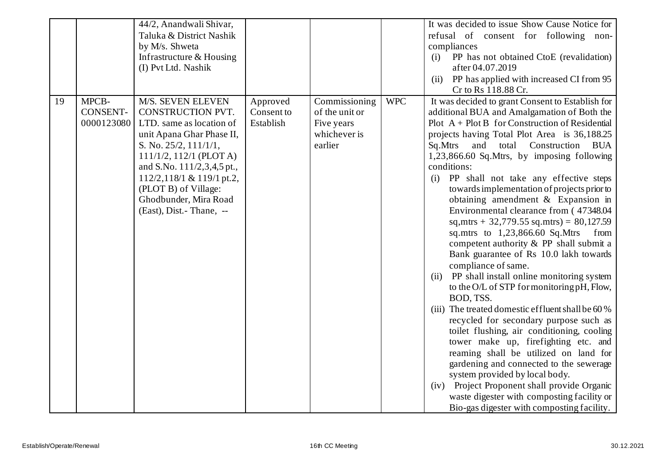|    |                 | 44/2, Anandwali Shivar,      |            |                |            | It was decided to issue Show Cause Notice for                                        |
|----|-----------------|------------------------------|------------|----------------|------------|--------------------------------------------------------------------------------------|
|    |                 | Taluka & District Nashik     |            |                |            | refusal of consent for following non-                                                |
|    |                 | by M/s. Shweta               |            |                |            | compliances                                                                          |
|    |                 | Infrastructure & Housing     |            |                |            | PP has not obtained CtoE (revalidation)<br>(i)                                       |
|    |                 | (I) Pvt Ltd. Nashik          |            |                |            | after 04.07.2019                                                                     |
|    |                 |                              |            |                |            | PP has applied with increased CI from 95<br>(ii)                                     |
|    |                 |                              |            |                |            | Cr to Rs 118.88 Cr.                                                                  |
| 19 | MPCB-           | M/S. SEVEN ELEVEN            | Approved   | Commissioning  | <b>WPC</b> | It was decided to grant Consent to Establish for                                     |
|    | <b>CONSENT-</b> | CONSTRUCTION PVT.            | Consent to | of the unit or |            | additional BUA and Amalgamation of Both the                                          |
|    | 0000123080      | LTD. same as location of     | Establish  | Five years     |            | Plot $A + Plot B$ for Construction of Residential                                    |
|    |                 | unit Apana Ghar Phase II,    |            | whichever is   |            | projects having Total Plot Area is 36,188.25                                         |
|    |                 | S. No. $25/2$ , $111/1/1$ ,  |            | earlier        |            | total<br>Construction<br>Sq.Mtrs<br>and<br><b>BUA</b>                                |
|    |                 | $111/1/2$ , $112/1$ (PLOT A) |            |                |            | 1,23,866.60 Sq.Mtrs, by imposing following                                           |
|    |                 | and S.No. 111/2,3,4,5 pt.,   |            |                |            | conditions:                                                                          |
|    |                 | 112/2,118/1 & 119/1 pt.2,    |            |                |            | PP shall not take any effective steps<br>(i)                                         |
|    |                 | (PLOT B) of Village:         |            |                |            | towards implementation of projects prior to                                          |
|    |                 | Ghodbunder, Mira Road        |            |                |            | obtaining amendment $&$ Expansion in                                                 |
|    |                 | (East), Dist. - Thane, --    |            |                |            | Environmental clearance from (47348.04)                                              |
|    |                 |                              |            |                |            | sq, mtrs + 32,779.55 sq. mtrs) = $80,127.59$                                         |
|    |                 |                              |            |                |            | sq.mtrs to 1,23,866.60 Sq.Mtrs<br>from                                               |
|    |                 |                              |            |                |            | competent authority & PP shall submit a                                              |
|    |                 |                              |            |                |            | Bank guarantee of Rs 10.0 lakh towards                                               |
|    |                 |                              |            |                |            | compliance of same.                                                                  |
|    |                 |                              |            |                |            | PP shall install online monitoring system<br>(ii)                                    |
|    |                 |                              |            |                |            | to the O/L of STP for monitoring pH, Flow,                                           |
|    |                 |                              |            |                |            | BOD, TSS.                                                                            |
|    |                 |                              |            |                |            | (iii) The treated domestic effluent shall be 60 %                                    |
|    |                 |                              |            |                |            | recycled for secondary purpose such as<br>toilet flushing, air conditioning, cooling |
|    |                 |                              |            |                |            | tower make up, firefighting etc. and                                                 |
|    |                 |                              |            |                |            | reaming shall be utilized on land for                                                |
|    |                 |                              |            |                |            | gardening and connected to the sewerage                                              |
|    |                 |                              |            |                |            | system provided by local body.                                                       |
|    |                 |                              |            |                |            | (iv) Project Proponent shall provide Organic                                         |
|    |                 |                              |            |                |            | waste digester with composting facility or                                           |
|    |                 |                              |            |                |            |                                                                                      |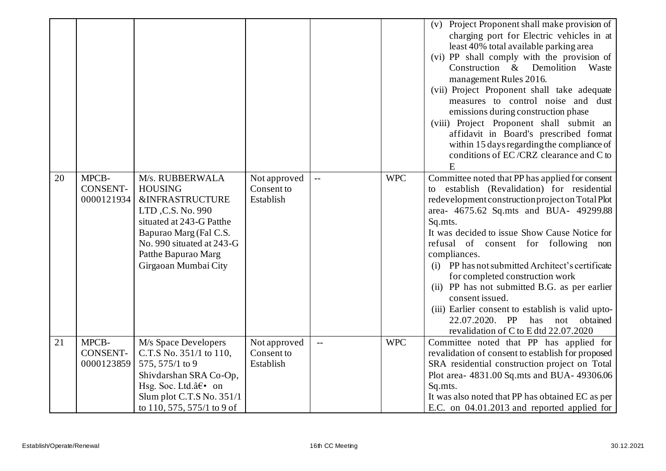|    |                                        |                                                                                                                                                                                                                        |                                         |                                               |            | (v) Project Proponent shall make provision of<br>charging port for Electric vehicles in at<br>least 40% total available parking area<br>(vi) PP shall comply with the provision of<br>Construction & Demolition<br>Waste<br>management Rules 2016.<br>(vii) Project Proponent shall take adequate<br>measures to control noise and dust<br>emissions during construction phase<br>(viii) Project Proponent shall submit an<br>affidavit in Board's prescribed format<br>within 15 days regarding the compliance of<br>conditions of EC/CRZ clearance and C to<br>E                                                       |
|----|----------------------------------------|------------------------------------------------------------------------------------------------------------------------------------------------------------------------------------------------------------------------|-----------------------------------------|-----------------------------------------------|------------|--------------------------------------------------------------------------------------------------------------------------------------------------------------------------------------------------------------------------------------------------------------------------------------------------------------------------------------------------------------------------------------------------------------------------------------------------------------------------------------------------------------------------------------------------------------------------------------------------------------------------|
| 20 | MPCB-<br><b>CONSENT-</b><br>0000121934 | M/s. RUBBERWALA<br><b>HOUSING</b><br><b>&amp;INFRASTRUCTURE</b><br>LTD, C.S. No. 990<br>situated at 243-G Patthe<br>Bapurao Marg (Fal C.S.<br>No. 990 situated at 243-G<br>Patthe Bapurao Marg<br>Girgaoan Mumbai City | Not approved<br>Consent to<br>Establish | $\mathord{\hspace{1pt}\text{--}\hspace{1pt}}$ | <b>WPC</b> | Committee noted that PP has applied for consent<br>establish (Revalidation) for residential<br>to<br>redevelopment construction project on Total Plot<br>area- 4675.62 Sq.mts and BUA- 49299.88<br>Sq.mts.<br>It was decided to issue Show Cause Notice for<br>refusal of consent for following non<br>compliances.<br>(i) PP has not submitted Architect's certificate<br>for completed construction work<br>(ii) PP has not submitted B.G. as per earlier<br>consent issued.<br>(iii) Earlier consent to establish is valid upto-<br>22.07.2020. PP<br>has<br>not<br>obtained<br>revalidation of C to E dtd 22.07.2020 |
| 21 | MPCB-<br><b>CONSENT-</b><br>0000123859 | M/s Space Developers<br>C.T.S No. 351/1 to 110,<br>575, 575/1 to 9<br>Shivdarshan SRA Co-Op,<br>Hsg. Soc. Ltd.― on<br>Slum plot C.T.S No. $351/1$<br>to 110, 575, 575/1 to 9 of                                        | Not approved<br>Consent to<br>Establish | $\sim$ $\sim$                                 | <b>WPC</b> | Committee noted that PP has applied for<br>revalidation of consent to establish for proposed<br>SRA residential construction project on Total<br>Plot area- 4831.00 Sq.mts and BUA- 49306.06<br>Sq.mts.<br>It was also noted that PP has obtained EC as per<br>E.C. on 04.01.2013 and reported applied for                                                                                                                                                                                                                                                                                                               |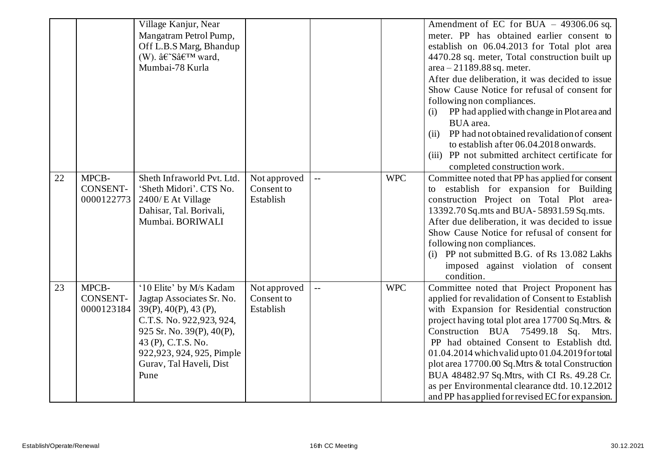|    |                                        | Village Kanjur, Near<br>Mangatram Petrol Pump,<br>Off L.B.S Marg, Bhandup<br>(W). â€~S' ward,<br>Mumbai-78 Kurla                                                                                                            |                                         |                           |            | Amendment of EC for BUA $-$ 49306.06 sq.<br>meter. PP has obtained earlier consent to<br>establish on 06.04.2013 for Total plot area<br>4470.28 sq. meter, Total construction built up<br>$area - 21189.88 sq. meter.$<br>After due deliberation, it was decided to issue<br>Show Cause Notice for refusal of consent for<br>following non compliances.<br>PP had applied with change in Plot area and<br>(i)<br>BUA area.<br>PP had not obtained revalidation of consent<br>(ii)<br>to establish after 06.04.2018 onwards.<br>(iii) PP not submitted architect certificate for<br>completed construction work. |
|----|----------------------------------------|-----------------------------------------------------------------------------------------------------------------------------------------------------------------------------------------------------------------------------|-----------------------------------------|---------------------------|------------|-----------------------------------------------------------------------------------------------------------------------------------------------------------------------------------------------------------------------------------------------------------------------------------------------------------------------------------------------------------------------------------------------------------------------------------------------------------------------------------------------------------------------------------------------------------------------------------------------------------------|
| 22 | MPCB-<br><b>CONSENT-</b><br>0000122773 | Sheth Infraworld Pvt. Ltd.<br>'Sheth Midori'. CTS No.<br>2400/ E At Village<br>Dahisar, Tal. Borivali,<br>Mumbai. BORIWALI                                                                                                  | Not approved<br>Consent to<br>Establish | $\overline{a}$            | <b>WPC</b> | Committee noted that PP has applied for consent<br>establish for expansion for Building<br>to<br>construction Project on Total Plot area-<br>13392.70 Sq.mts and BUA-58931.59 Sq.mts.<br>After due deliberation, it was decided to issue<br>Show Cause Notice for refusal of consent for<br>following non compliances.<br>(i) PP not submitted B.G. of Rs 13.082 Lakhs<br>imposed against violation of consent<br>condition.                                                                                                                                                                                    |
| 23 | MPCB-<br><b>CONSENT-</b><br>0000123184 | '10 Elite' by M/s Kadam<br>Jagtap Associates Sr. No.<br>39(P), 40(P), 43(P),<br>C.T.S. No. 922,923, 924,<br>925 Sr. No. 39(P), 40(P),<br>43 (P), C.T.S. No.<br>922,923, 924, 925, Pimple<br>Gurav, Tal Haveli, Dist<br>Pune | Not approved<br>Consent to<br>Establish | $\mathbb{L}^{\mathbb{L}}$ | <b>WPC</b> | Committee noted that Project Proponent has<br>applied for revalidation of Consent to Establish<br>with Expansion for Residential construction<br>project having total plot area 17700 Sq. Mtrs. &<br>Construction BUA 75499.18 Sq. Mtrs.<br>PP had obtained Consent to Establish dtd.<br>01.04.2014 which valid upto 01.04.2019 for total<br>plot area 17700.00 Sq. Mtrs & total Construction<br>BUA 48482.97 Sq. Mtrs, with CI Rs. 49.28 Cr.<br>as per Environmental clearance dtd. 10.12.2012<br>and PP has applied for revised EC for expansion.                                                             |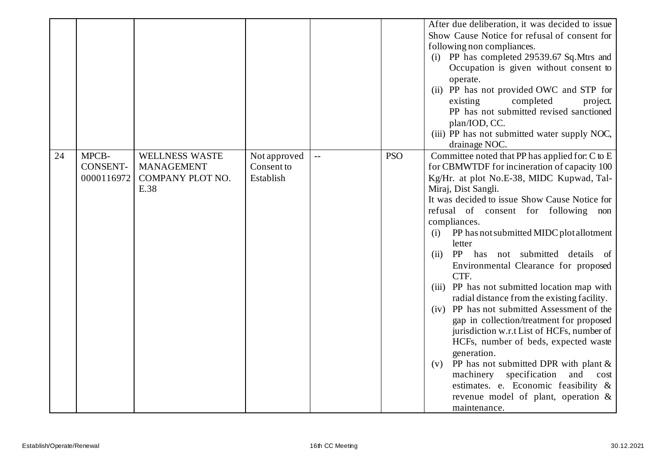|    |                 |                       |              |                          |            | After due deliberation, it was decided to issue |
|----|-----------------|-----------------------|--------------|--------------------------|------------|-------------------------------------------------|
|    |                 |                       |              |                          |            | Show Cause Notice for refusal of consent for    |
|    |                 |                       |              |                          |            | following non compliances.                      |
|    |                 |                       |              |                          |            | (i) PP has completed 29539.67 Sq.Mtrs and       |
|    |                 |                       |              |                          |            | Occupation is given without consent to          |
|    |                 |                       |              |                          |            | operate.                                        |
|    |                 |                       |              |                          |            | (ii) PP has not provided OWC and STP for        |
|    |                 |                       |              |                          |            | completed<br>existing<br>project.               |
|    |                 |                       |              |                          |            | PP has not submitted revised sanctioned         |
|    |                 |                       |              |                          |            | plan/IOD, CC.                                   |
|    |                 |                       |              |                          |            | (iii) PP has not submitted water supply NOC,    |
|    |                 |                       |              |                          |            | drainage NOC.                                   |
| 24 | MPCB-           | <b>WELLNESS WASTE</b> | Not approved | $\overline{\phantom{a}}$ | <b>PSO</b> | Committee noted that PP has applied for: C to E |
|    | <b>CONSENT-</b> | <b>MANAGEMENT</b>     | Consent to   |                          |            | for CBMWTDF for incineration of capacity 100    |
|    | 0000116972      | COMPANY PLOT NO.      | Establish    |                          |            | Kg/Hr. at plot No.E-38, MIDC Kupwad, Tal-       |
|    |                 | E.38                  |              |                          |            | Miraj, Dist Sangli.                             |
|    |                 |                       |              |                          |            | It was decided to issue Show Cause Notice for   |
|    |                 |                       |              |                          |            | refusal of consent for following non            |
|    |                 |                       |              |                          |            | compliances.                                    |
|    |                 |                       |              |                          |            | PP has not submitted MIDC plot allotment<br>(i) |
|    |                 |                       |              |                          |            | letter                                          |
|    |                 |                       |              |                          |            | PP has not submitted details of<br>(ii)         |
|    |                 |                       |              |                          |            | Environmental Clearance for proposed            |
|    |                 |                       |              |                          |            | CTF.                                            |
|    |                 |                       |              |                          |            | (iii) PP has not submitted location map with    |
|    |                 |                       |              |                          |            | radial distance from the existing facility.     |
|    |                 |                       |              |                          |            | (iv) PP has not submitted Assessment of the     |
|    |                 |                       |              |                          |            | gap in collection/treatment for proposed        |
|    |                 |                       |              |                          |            | jurisdiction w.r.t List of HCFs, number of      |
|    |                 |                       |              |                          |            | HCFs, number of beds, expected waste            |
|    |                 |                       |              |                          |            | generation.                                     |
|    |                 |                       |              |                          |            | PP has not submitted DPR with plant $\&$<br>(v) |
|    |                 |                       |              |                          |            | specification<br>machinery<br>and<br>cost       |
|    |                 |                       |              |                          |            | estimates. e. Economic feasibility &            |
|    |                 |                       |              |                          |            | revenue model of plant, operation &             |
|    |                 |                       |              |                          |            | maintenance.                                    |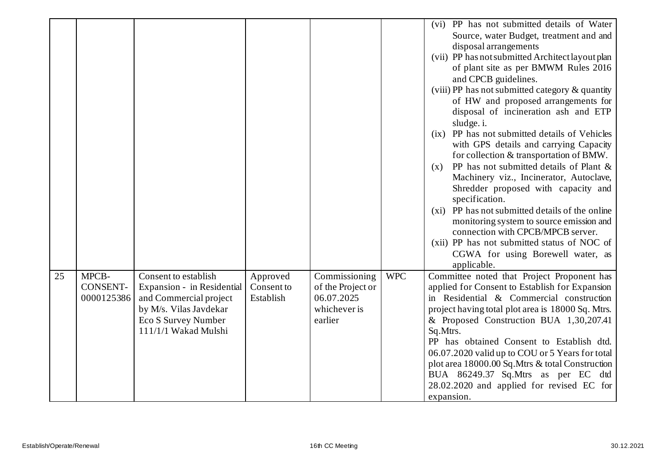|    |                                        |                                                                                                                                                       |                                     |                                                                             |            | (vi) PP has not submitted details of Water<br>Source, water Budget, treatment and and<br>disposal arrangements<br>(vii) PP has not submitted Architect layout plan<br>of plant site as per BMWM Rules 2016<br>and CPCB guidelines.<br>(viii) PP has not submitted category & quantity<br>of HW and proposed arrangements for<br>disposal of incineration ash and ETP<br>sludge. i.<br>PP has not submitted details of Vehicles<br>(ix)<br>with GPS details and carrying Capacity<br>for collection & transportation of BMW.<br>PP has not submitted details of Plant &<br>(x)<br>Machinery viz., Incinerator, Autoclave,<br>Shredder proposed with capacity and<br>specification.<br>(xi) PP has not submitted details of the online<br>monitoring system to source emission and<br>connection with CPCB/MPCB server.<br>(xii) PP has not submitted status of NOC of |
|----|----------------------------------------|-------------------------------------------------------------------------------------------------------------------------------------------------------|-------------------------------------|-----------------------------------------------------------------------------|------------|----------------------------------------------------------------------------------------------------------------------------------------------------------------------------------------------------------------------------------------------------------------------------------------------------------------------------------------------------------------------------------------------------------------------------------------------------------------------------------------------------------------------------------------------------------------------------------------------------------------------------------------------------------------------------------------------------------------------------------------------------------------------------------------------------------------------------------------------------------------------|
|    |                                        |                                                                                                                                                       |                                     |                                                                             |            | CGWA for using Borewell water, as<br>applicable.                                                                                                                                                                                                                                                                                                                                                                                                                                                                                                                                                                                                                                                                                                                                                                                                                     |
| 25 | MPCB-<br><b>CONSENT-</b><br>0000125386 | Consent to establish<br>Expansion - in Residential<br>and Commercial project<br>by M/s. Vilas Javdekar<br>Eco S Survey Number<br>111/1/1 Wakad Mulshi | Approved<br>Consent to<br>Establish | Commissioning<br>of the Project or<br>06.07.2025<br>whichever is<br>earlier | <b>WPC</b> | Committee noted that Project Proponent has<br>applied for Consent to Establish for Expansion<br>in Residential & Commercial construction<br>project having total plot area is 18000 Sq. Mtrs.<br>& Proposed Construction BUA 1,30,207.41<br>Sq.Mtrs.<br>PP has obtained Consent to Establish dtd.<br>06.07.2020 valid up to COU or 5 Years for total<br>plot area 18000.00 Sq.Mtrs & total Construction<br>BUA 86249.37 Sq.Mtrs as per EC dtd<br>28.02.2020 and applied for revised EC for<br>expansion.                                                                                                                                                                                                                                                                                                                                                             |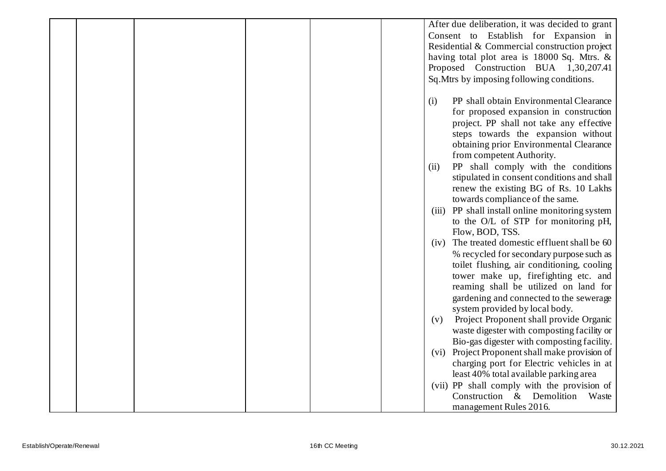|  |  |  | After due deliberation, it was decided to grant    |
|--|--|--|----------------------------------------------------|
|  |  |  | Consent to Establish for Expansion in              |
|  |  |  | Residential & Commercial construction project      |
|  |  |  | having total plot area is 18000 Sq. Mtrs. &        |
|  |  |  | Proposed Construction BUA 1,30,207.41              |
|  |  |  | Sq. Mtrs by imposing following conditions.         |
|  |  |  |                                                    |
|  |  |  | PP shall obtain Environmental Clearance<br>(i)     |
|  |  |  | for proposed expansion in construction             |
|  |  |  |                                                    |
|  |  |  | project. PP shall not take any effective           |
|  |  |  | steps towards the expansion without                |
|  |  |  | obtaining prior Environmental Clearance            |
|  |  |  | from competent Authority.                          |
|  |  |  | PP shall comply with the conditions<br>(ii)        |
|  |  |  | stipulated in consent conditions and shall         |
|  |  |  | renew the existing BG of Rs. 10 Lakhs              |
|  |  |  | towards compliance of the same.                    |
|  |  |  | PP shall install online monitoring system<br>(iii) |
|  |  |  | to the O/L of STP for monitoring pH,               |
|  |  |  | Flow, BOD, TSS.                                    |
|  |  |  | The treated domestic effluent shall be 60<br>(iv)  |
|  |  |  | % recycled for secondary purpose such as           |
|  |  |  | toilet flushing, air conditioning, cooling         |
|  |  |  | tower make up, firefighting etc. and               |
|  |  |  | reaming shall be utilized on land for              |
|  |  |  | gardening and connected to the sewerage            |
|  |  |  | system provided by local body.                     |
|  |  |  | Project Proponent shall provide Organic<br>(v)     |
|  |  |  | waste digester with composting facility or         |
|  |  |  | Bio-gas digester with composting facility.         |
|  |  |  |                                                    |
|  |  |  | Project Proponent shall make provision of<br>(vi)  |
|  |  |  | charging port for Electric vehicles in at          |
|  |  |  | least 40% total available parking area             |
|  |  |  | (vii) PP shall comply with the provision of        |
|  |  |  | Construction & Demolition<br>Waste                 |
|  |  |  | management Rules 2016.                             |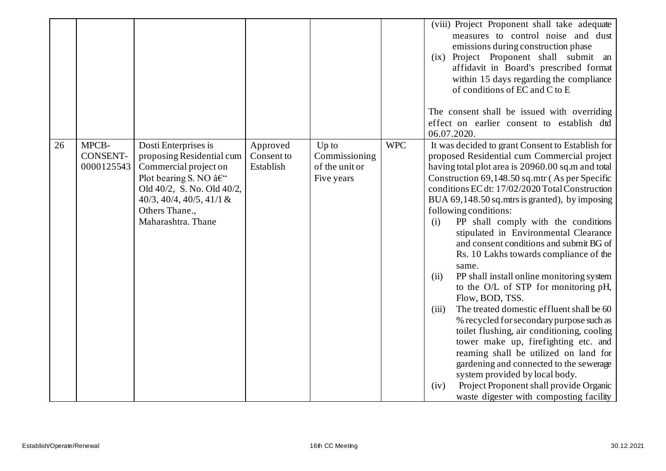|    |                                        |                                                                                                                                                                                                                                     |                                     |                                                          |            | (viii) Project Proponent shall take adequate<br>measures to control noise and dust<br>emissions during construction phase<br>(ix) Project Proponent shall submit an<br>affidavit in Board's prescribed format<br>within 15 days regarding the compliance<br>of conditions of EC and C to E<br>The consent shall be issued with overriding<br>effect on earlier consent to establish dtd<br>06.07.2020.                                                                                                                                                                                                                                                                                                                                                                                                                                                                                                                                                                                                                                                |
|----|----------------------------------------|-------------------------------------------------------------------------------------------------------------------------------------------------------------------------------------------------------------------------------------|-------------------------------------|----------------------------------------------------------|------------|-------------------------------------------------------------------------------------------------------------------------------------------------------------------------------------------------------------------------------------------------------------------------------------------------------------------------------------------------------------------------------------------------------------------------------------------------------------------------------------------------------------------------------------------------------------------------------------------------------------------------------------------------------------------------------------------------------------------------------------------------------------------------------------------------------------------------------------------------------------------------------------------------------------------------------------------------------------------------------------------------------------------------------------------------------|
| 26 | MPCB-<br><b>CONSENT-</b><br>0000125543 | Dosti Enterprises is<br>proposing Residential cum<br>Commercial project on<br>Plot bearing S. NO $\hat{a}\in\tilde{C}$<br>Old 40/2, S. No. Old 40/2,<br>$40/3$ , $40/4$ , $40/5$ , $41/1$ &<br>Others Thane.,<br>Maharashtra. Thane | Approved<br>Consent to<br>Establish | $Up$ to<br>Commissioning<br>of the unit or<br>Five years | <b>WPC</b> | It was decided to grant Consent to Establish for<br>proposed Residential cum Commercial project<br>having total plot area is 20960.00 sq.m and total<br>Construction 69,148.50 sq.mtr (As per Specific<br>conditions EC dt: 17/02/2020 Total Construction<br>BUA 69,148.50 sq.mtrs is granted), by imposing<br>following conditions:<br>PP shall comply with the conditions<br>(i)<br>stipulated in Environmental Clearance<br>and consent conditions and submit BG of<br>Rs. 10 Lakhs towards compliance of the<br>same.<br>PP shall install online monitoring system<br>(ii)<br>to the O/L of STP for monitoring pH,<br>Flow, BOD, TSS.<br>The treated domestic effluent shall be 60<br>(iii)<br>% recycled for secondary purpose such as<br>toilet flushing, air conditioning, cooling<br>tower make up, firefighting etc. and<br>reaming shall be utilized on land for<br>gardening and connected to the sewerage<br>system provided by local body.<br>Project Proponent shall provide Organic<br>(iv)<br>waste digester with composting facility |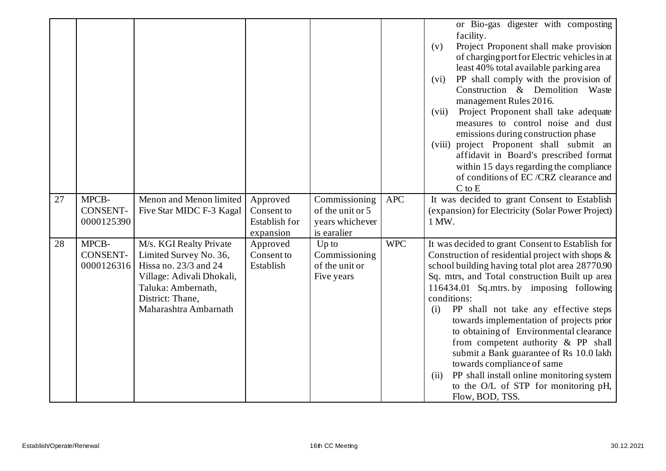|    |                                        |                                                                                                                                                                            |                                                             |                                                                     |            | or Bio-gas digester with composting<br>facility.<br>Project Proponent shall make provision<br>(v)<br>of charging port for Electric vehicles in at<br>least 40% total available parking area<br>PP shall comply with the provision of<br>(vi)<br>Construction & Demolition<br>Waste<br>management Rules 2016.<br>Project Proponent shall take adequate<br>(vii)<br>measures to control noise and dust<br>emissions during construction phase<br>(viii) project Proponent shall submit an<br>affidavit in Board's prescribed format<br>within 15 days regarding the compliance<br>of conditions of EC /CRZ clearance and<br>$C$ to $E$           |
|----|----------------------------------------|----------------------------------------------------------------------------------------------------------------------------------------------------------------------------|-------------------------------------------------------------|---------------------------------------------------------------------|------------|------------------------------------------------------------------------------------------------------------------------------------------------------------------------------------------------------------------------------------------------------------------------------------------------------------------------------------------------------------------------------------------------------------------------------------------------------------------------------------------------------------------------------------------------------------------------------------------------------------------------------------------------|
| 27 | MPCB-<br><b>CONSENT-</b><br>0000125390 | Menon and Menon limited<br>Five Star MIDC F-3 Kagal                                                                                                                        | Approved<br>Consent to<br><b>Establish for</b><br>expansion | Commissioning<br>of the unit or 5<br>years whichever<br>is earalier | <b>APC</b> | It was decided to grant Consent to Establish<br>(expansion) for Electricity (Solar Power Project)<br>1 MW.                                                                                                                                                                                                                                                                                                                                                                                                                                                                                                                                     |
| 28 | MPCB-<br><b>CONSENT-</b><br>0000126316 | M/s. KGI Realty Private<br>Limited Survey No. 36,<br>Hissa no. 23/3 and 24<br>Village: Adivali Dhokali,<br>Taluka: Ambernath,<br>District: Thane,<br>Maharashtra Ambarnath | Approved<br>Consent to<br>Establish                         | $Up$ to<br>Commissioning<br>of the unit or<br>Five years            | <b>WPC</b> | It was decided to grant Consent to Establish for<br>Construction of residential project with shops $\&$<br>school building having total plot area 28770.90<br>Sq. mtrs, and Total construction Built up area<br>116434.01 Sq.mtrs. by imposing following<br>conditions:<br>PP shall not take any effective steps<br>(i)<br>towards implementation of projects prior<br>to obtaining of Environmental clearance<br>from competent authority & PP shall<br>submit a Bank guarantee of Rs 10.0 lakh<br>towards compliance of same<br>PP shall install online monitoring system<br>(ii)<br>to the O/L of STP for monitoring pH,<br>Flow, BOD, TSS. |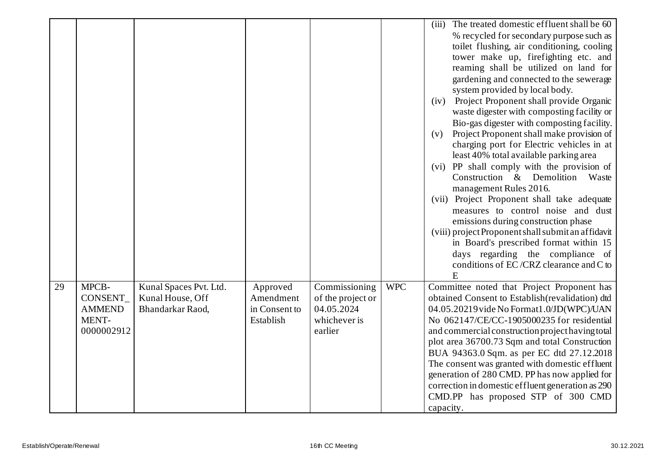|    |                                                           |                                                                |                                                     |                                                                             |            | The treated domestic effluent shall be 60<br>(iii)<br>% recycled for secondary purpose such as<br>toilet flushing, air conditioning, cooling<br>tower make up, firefighting etc. and                                                                                                                                                                                                                                                                                                                                                                  |
|----|-----------------------------------------------------------|----------------------------------------------------------------|-----------------------------------------------------|-----------------------------------------------------------------------------|------------|-------------------------------------------------------------------------------------------------------------------------------------------------------------------------------------------------------------------------------------------------------------------------------------------------------------------------------------------------------------------------------------------------------------------------------------------------------------------------------------------------------------------------------------------------------|
|    |                                                           |                                                                |                                                     |                                                                             |            | reaming shall be utilized on land for<br>gardening and connected to the sewerage<br>system provided by local body.                                                                                                                                                                                                                                                                                                                                                                                                                                    |
|    |                                                           |                                                                |                                                     |                                                                             |            | (iv) Project Proponent shall provide Organic<br>waste digester with composting facility or<br>Bio-gas digester with composting facility.                                                                                                                                                                                                                                                                                                                                                                                                              |
|    |                                                           |                                                                |                                                     |                                                                             |            | Project Proponent shall make provision of<br>(v)<br>charging port for Electric vehicles in at<br>least 40% total available parking area                                                                                                                                                                                                                                                                                                                                                                                                               |
|    |                                                           |                                                                |                                                     |                                                                             |            | (vi) PP shall comply with the provision of<br>Construction & Demolition<br>Waste<br>management Rules 2016.                                                                                                                                                                                                                                                                                                                                                                                                                                            |
|    |                                                           |                                                                |                                                     |                                                                             |            | (vii) Project Proponent shall take adequate<br>measures to control noise and dust                                                                                                                                                                                                                                                                                                                                                                                                                                                                     |
|    |                                                           |                                                                |                                                     |                                                                             |            | emissions during construction phase<br>(viii) project Proponent shall submit an affidavit<br>in Board's prescribed format within 15                                                                                                                                                                                                                                                                                                                                                                                                                   |
|    |                                                           |                                                                |                                                     |                                                                             |            | days regarding the compliance of<br>conditions of EC/CRZ clearance and C to<br>E                                                                                                                                                                                                                                                                                                                                                                                                                                                                      |
| 29 | MPCB-<br>CONSENT_<br><b>AMMEND</b><br>MENT-<br>0000002912 | Kunal Spaces Pvt. Ltd.<br>Kunal House, Off<br>Bhandarkar Raod, | Approved<br>Amendment<br>in Consent to<br>Establish | Commissioning<br>of the project or<br>04.05.2024<br>whichever is<br>earlier | <b>WPC</b> | Committee noted that Project Proponent has<br>obtained Consent to Establish(revalidation) dtd<br>04.05.20219 vide No Format1.0/JD(WPC)/UAN<br>No 062147/CE/CC-1905000235 for residential<br>and commercial construction project having total<br>plot area 36700.73 Sqm and total Construction<br>BUA 94363.0 Sqm. as per EC dtd 27.12.2018<br>The consent was granted with domestic effluent<br>generation of 280 CMD. PP has now applied for<br>correction in domestic effluent generation as 290<br>CMD.PP has proposed STP of 300 CMD<br>capacity. |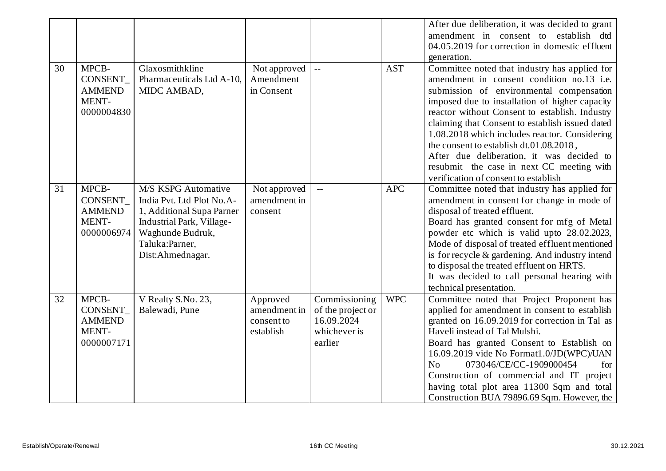|    |                                                                 |                                                                                                                                                                             |                                                     |                                                                             |            | After due deliberation, it was decided to grant                                                                                                                                                                                                                                                                                                                                                                                                                                                                             |
|----|-----------------------------------------------------------------|-----------------------------------------------------------------------------------------------------------------------------------------------------------------------------|-----------------------------------------------------|-----------------------------------------------------------------------------|------------|-----------------------------------------------------------------------------------------------------------------------------------------------------------------------------------------------------------------------------------------------------------------------------------------------------------------------------------------------------------------------------------------------------------------------------------------------------------------------------------------------------------------------------|
|    |                                                                 |                                                                                                                                                                             |                                                     |                                                                             |            | amendment in consent to establish dtd                                                                                                                                                                                                                                                                                                                                                                                                                                                                                       |
|    |                                                                 |                                                                                                                                                                             |                                                     |                                                                             |            | 04.05.2019 for correction in domestic effluent                                                                                                                                                                                                                                                                                                                                                                                                                                                                              |
|    |                                                                 |                                                                                                                                                                             |                                                     |                                                                             |            | generation.                                                                                                                                                                                                                                                                                                                                                                                                                                                                                                                 |
| 30 | MPCB-<br>CONSENT<br><b>AMMEND</b><br>MENT-<br>0000004830        | Glaxosmithkline<br>Pharmaceuticals Ltd A-10,<br>MIDC AMBAD,                                                                                                                 | Not approved<br>Amendment<br>in Consent             | $\sim$ $\sim$                                                               | <b>AST</b> | Committee noted that industry has applied for<br>amendment in consent condition no.13 i.e.<br>submission of environmental compensation<br>imposed due to installation of higher capacity<br>reactor without Consent to establish. Industry<br>claiming that Consent to establish issued dated<br>1.08.2018 which includes reactor. Considering<br>the consent to establish dt.01.08.2018,<br>After due deliberation, it was decided to<br>resubmit the case in next CC meeting with<br>verification of consent to establish |
| 31 | MPCB-<br><b>CONSENT</b><br><b>AMMEND</b><br>MENT-<br>0000006974 | <b>M/S KSPG Automative</b><br>India Pvt. Ltd Plot No.A-<br>1, Additional Supa Parner<br>Industrial Park, Village-<br>Waghunde Budruk,<br>Taluka:Parner,<br>Dist:Ahmednagar. | Not approved<br>amendment in<br>consent             | $\mathbf{L}$                                                                | <b>APC</b> | Committee noted that industry has applied for<br>amendment in consent for change in mode of<br>disposal of treated effluent.<br>Board has granted consent for mfg of Metal<br>powder etc which is valid upto 28.02.2023,<br>Mode of disposal of treated effluent mentioned<br>is for recycle & gardening. And industry intend<br>to disposal the treated effluent on HRTS.<br>It was decided to call personal hearing with<br>technical presentation.                                                                       |
| 32 | MPCB-<br>CONSENT_<br><b>AMMEND</b><br>MENT-<br>0000007171       | V Realty S.No. 23,<br>Balewadi, Pune                                                                                                                                        | Approved<br>amendment in<br>consent to<br>establish | Commissioning<br>of the project or<br>16.09.2024<br>whichever is<br>earlier | <b>WPC</b> | Committee noted that Project Proponent has<br>applied for amendment in consent to establish<br>granted on 16.09.2019 for correction in Tal as<br>Haveli instead of Tal Mulshi.<br>Board has granted Consent to Establish on<br>16.09.2019 vide No Format1.0/JD(WPC)/UAN<br>073046/CE/CC-1909000454<br>No<br>for<br>Construction of commercial and IT project<br>having total plot area 11300 Sqm and total<br>Construction BUA 79896.69 Sqm. However, the                                                                   |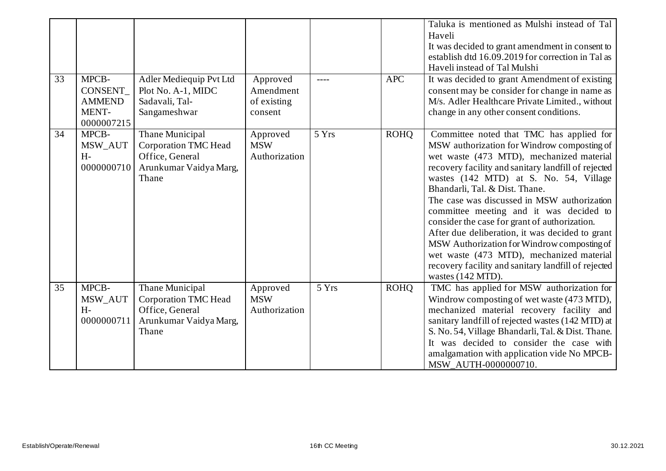| 33 | MPCB-<br>CONSENT_<br><b>AMMEND</b><br>MENT-<br>0000007215 | Adler Mediequip Pvt Ltd<br>Plot No. A-1, MIDC<br>Sadavali, Tal-<br>Sangameshwar                      | Approved<br>Amendment<br>of existing<br>consent |       | <b>APC</b>  | Taluka is mentioned as Mulshi instead of Tal<br>Haveli<br>It was decided to grant amendment in consent to<br>establish dtd 16.09.2019 for correction in Tal as<br>Haveli instead of Tal Mulshi<br>It was decided to grant Amendment of existing<br>consent may be consider for change in name as<br>M/s. Adler Healthcare Private Limited., without<br>change in any other consent conditions.                                                                                                                                                                                                                                              |
|----|-----------------------------------------------------------|------------------------------------------------------------------------------------------------------|-------------------------------------------------|-------|-------------|---------------------------------------------------------------------------------------------------------------------------------------------------------------------------------------------------------------------------------------------------------------------------------------------------------------------------------------------------------------------------------------------------------------------------------------------------------------------------------------------------------------------------------------------------------------------------------------------------------------------------------------------|
| 34 | MPCB-<br>MSW_AUT<br>$H -$<br>0000000710                   | Thane Municipal<br><b>Corporation TMC Head</b><br>Office, General<br>Arunkumar Vaidya Marg,<br>Thane | Approved<br><b>MSW</b><br>Authorization         | 5 Yrs | <b>ROHQ</b> | Committee noted that TMC has applied for<br>MSW authorization for Windrow composting of<br>wet waste (473 MTD), mechanized material<br>recovery facility and sanitary landfill of rejected<br>wastes (142 MTD) at S. No. 54, Village<br>Bhandarli, Tal. & Dist. Thane.<br>The case was discussed in MSW authorization<br>committee meeting and it was decided to<br>consider the case for grant of authorization.<br>After due deliberation, it was decided to grant<br>MSW Authorization for Windrow composting of<br>wet waste (473 MTD), mechanized material<br>recovery facility and sanitary landfill of rejected<br>wastes (142 MTD). |
| 35 | MPCB-<br>MSW_AUT<br>$H-$<br>0000000711                    | Thane Municipal<br><b>Corporation TMC Head</b><br>Office, General<br>Arunkumar Vaidya Marg,<br>Thane | Approved<br><b>MSW</b><br>Authorization         | 5 Yrs | <b>ROHQ</b> | TMC has applied for MSW authorization for<br>Windrow composting of wet waste (473 MTD),<br>mechanized material recovery facility and<br>sanitary landfill of rejected wastes (142 MTD) at<br>S. No. 54, Village Bhandarli, Tal. & Dist. Thane.<br>It was decided to consider the case with<br>amalgamation with application vide No MPCB-<br>MSW_AUTH-0000000710.                                                                                                                                                                                                                                                                           |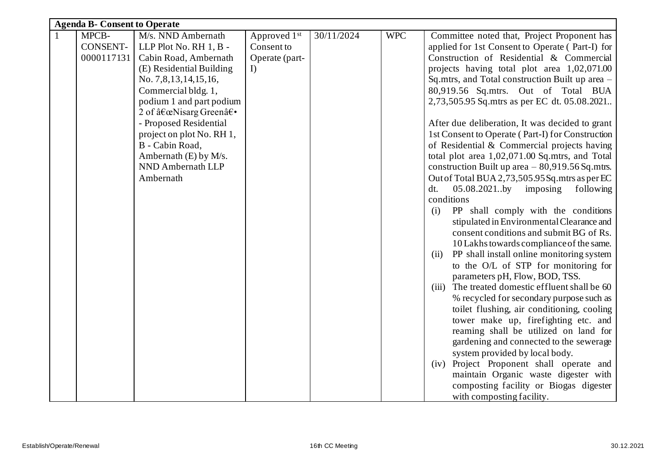|              | <b>Agenda B- Consent to Operate</b> |                           |                |            |            |                                                    |  |  |  |  |
|--------------|-------------------------------------|---------------------------|----------------|------------|------------|----------------------------------------------------|--|--|--|--|
| $\mathbf{1}$ | MPCB-                               | M/s. NND Ambernath        | Approved 1st   | 30/11/2024 | <b>WPC</b> | Committee noted that, Project Proponent has        |  |  |  |  |
|              | CONSENT-                            | LLP Plot No. RH 1, B -    | Consent to     |            |            | applied for 1st Consent to Operate (Part-I) for    |  |  |  |  |
|              | 0000117131                          | Cabin Road, Ambernath     | Operate (part- |            |            | Construction of Residential & Commercial           |  |  |  |  |
|              |                                     | (E) Residential Building  | $\Gamma$       |            |            | projects having total plot area 1,02,071.00        |  |  |  |  |
|              |                                     | No. 7,8,13,14,15,16,      |                |            |            | Sq.mtrs, and Total construction Built up area -    |  |  |  |  |
|              |                                     | Commercial bldg. 1,       |                |            |            | 80,919.56 Sq.mtrs. Out of Total BUA                |  |  |  |  |
|              |                                     | podium 1 and part podium  |                |            |            | 2,73,505.95 Sq.mtrs as per EC dt. 05.08.2021       |  |  |  |  |
|              |                                     | 2 of "Nisarg Green―       |                |            |            |                                                    |  |  |  |  |
|              |                                     | - Proposed Residential    |                |            |            | After due deliberation, It was decided to grant    |  |  |  |  |
|              |                                     | project on plot No. RH 1, |                |            |            | 1st Consent to Operate (Part-I) for Construction   |  |  |  |  |
|              |                                     | B - Cabin Road,           |                |            |            | of Residential & Commercial projects having        |  |  |  |  |
|              |                                     | Ambernath $(E)$ by M/s.   |                |            |            | total plot area 1,02,071.00 Sq.mtrs, and Total     |  |  |  |  |
|              |                                     | NND Ambernath LLP         |                |            |            | construction Built up area $-80,919.56$ Sq.mtrs.   |  |  |  |  |
|              |                                     | Ambernath                 |                |            |            | Out of Total BUA 2,73,505.95 Sq. mtrs as per EC    |  |  |  |  |
|              |                                     |                           |                |            |            | 05.08.2021.by<br>imposing<br>following<br>dt.      |  |  |  |  |
|              |                                     |                           |                |            |            | conditions                                         |  |  |  |  |
|              |                                     |                           |                |            |            | PP shall comply with the conditions<br>(i)         |  |  |  |  |
|              |                                     |                           |                |            |            | stipulated in Environmental Clearance and          |  |  |  |  |
|              |                                     |                           |                |            |            | consent conditions and submit BG of Rs.            |  |  |  |  |
|              |                                     |                           |                |            |            | 10 Lakhs towards compliance of the same.           |  |  |  |  |
|              |                                     |                           |                |            |            | PP shall install online monitoring system<br>(ii)  |  |  |  |  |
|              |                                     |                           |                |            |            | to the O/L of STP for monitoring for               |  |  |  |  |
|              |                                     |                           |                |            |            | parameters pH, Flow, BOD, TSS.                     |  |  |  |  |
|              |                                     |                           |                |            |            | The treated domestic effluent shall be 60<br>(iii) |  |  |  |  |
|              |                                     |                           |                |            |            | % recycled for secondary purpose such as           |  |  |  |  |
|              |                                     |                           |                |            |            | toilet flushing, air conditioning, cooling         |  |  |  |  |
|              |                                     |                           |                |            |            | tower make up, firefighting etc. and               |  |  |  |  |
|              |                                     |                           |                |            |            | reaming shall be utilized on land for              |  |  |  |  |
|              |                                     |                           |                |            |            | gardening and connected to the sewerage            |  |  |  |  |
|              |                                     |                           |                |            |            | system provided by local body.                     |  |  |  |  |
|              |                                     |                           |                |            |            | (iv) Project Proponent shall operate and           |  |  |  |  |
|              |                                     |                           |                |            |            | maintain Organic waste digester with               |  |  |  |  |
|              |                                     |                           |                |            |            | composting facility or Biogas digester             |  |  |  |  |
|              |                                     |                           |                |            |            | with composting facility.                          |  |  |  |  |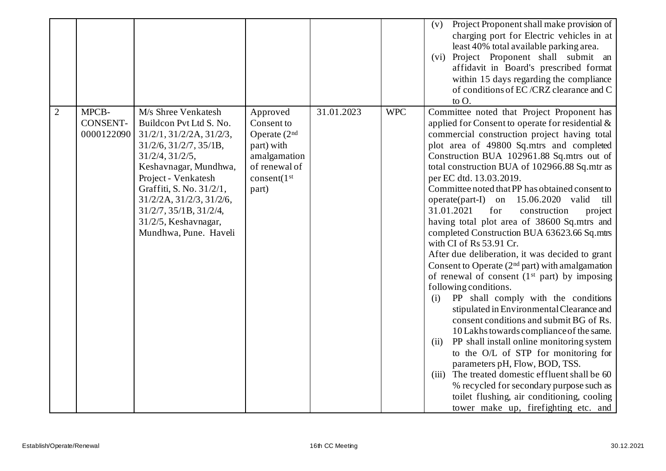|                |                                 |                                                                                                                                                                                                                                                                                                                                       |                                                                                                                                     |            |            | Project Proponent shall make provision of<br>(v)<br>charging port for Electric vehicles in at<br>least 40% total available parking area.<br>(vi) Project Proponent shall submit an<br>affidavit in Board's prescribed format<br>within 15 days regarding the compliance<br>of conditions of EC/CRZ clearance and C<br>to O.                                                                                                                                                                                                                                                                                                                                                                                                                                                                                                                                                                                                                                                                                                                                                                                                                                                                                                                                                                         |
|----------------|---------------------------------|---------------------------------------------------------------------------------------------------------------------------------------------------------------------------------------------------------------------------------------------------------------------------------------------------------------------------------------|-------------------------------------------------------------------------------------------------------------------------------------|------------|------------|-----------------------------------------------------------------------------------------------------------------------------------------------------------------------------------------------------------------------------------------------------------------------------------------------------------------------------------------------------------------------------------------------------------------------------------------------------------------------------------------------------------------------------------------------------------------------------------------------------------------------------------------------------------------------------------------------------------------------------------------------------------------------------------------------------------------------------------------------------------------------------------------------------------------------------------------------------------------------------------------------------------------------------------------------------------------------------------------------------------------------------------------------------------------------------------------------------------------------------------------------------------------------------------------------------|
| $\overline{2}$ | MPCB-<br>CONSENT-<br>0000122090 | M/s Shree Venkatesh<br>Buildcon Pvt Ltd S. No.<br>$31/2/1$ , $31/2/2A$ , $31/2/3$ ,<br>$31/2/6$ , $31/2/7$ , $35/1B$ ,<br>31/2/4, 31/2/5,<br>Keshavnagar, Mundhwa,<br>Project - Venkatesh<br>Graffiti, S. No. 31/2/1,<br>31/2/2A, 31/2/3, 31/2/6,<br>$31/2/7$ , $35/1B$ , $31/2/4$ ,<br>31/2/5, Keshavnagar,<br>Mundhwa, Pune. Haveli | Approved<br>Consent to<br>Operate $(2nd$<br>part) with<br>amalgamation<br>of renewal of<br>$\text{consent}(1^{\text{st}})$<br>part) | 31.01.2023 | <b>WPC</b> | Committee noted that Project Proponent has<br>applied for Consent to operate for residential $\&$<br>commercial construction project having total<br>plot area of 49800 Sq.mtrs and completed<br>Construction BUA 102961.88 Sq.mtrs out of<br>total construction BUA of 102966.88 Sq.mtr as<br>per EC dtd. 13.03.2019.<br>Committee noted that PP has obtained consent to<br>15.06.2020 valid<br>$operator(part-I)$<br>till<br>on<br>31.01.2021<br>for<br>construction<br>project<br>having total plot area of 38600 Sq.mtrs and<br>completed Construction BUA 63623.66 Sq.mtrs<br>with CI of Rs 53.91 Cr.<br>After due deliberation, it was decided to grant<br>Consent to Operate $(2nd$ part) with amalgamation<br>of renewal of consent $(1st$ part) by imposing<br>following conditions.<br>PP shall comply with the conditions<br>(i)<br>stipulated in Environmental Clearance and<br>consent conditions and submit BG of Rs.<br>10 Lakhs towards compliance of the same.<br>PP shall install online monitoring system<br>(ii)<br>to the O/L of STP for monitoring for<br>parameters pH, Flow, BOD, TSS.<br>(iii) The treated domestic effluent shall be 60<br>% recycled for secondary purpose such as<br>toilet flushing, air conditioning, cooling<br>tower make up, firefighting etc. and |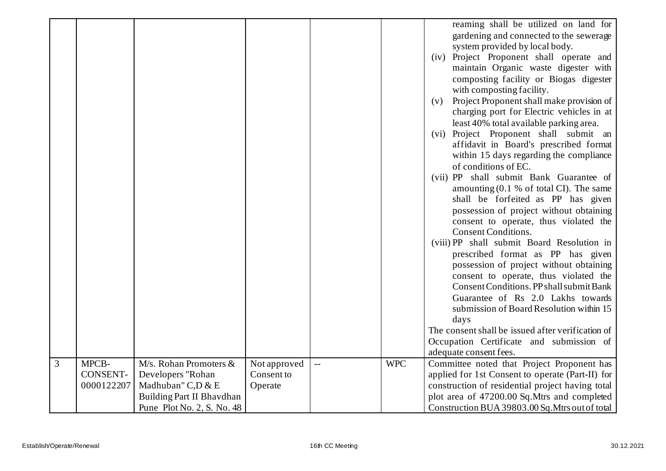|                |                          |                                             |                            |                          |            | reaming shall be utilized on land for<br>gardening and connected to the sewerage<br>system provided by local body.<br>Project Proponent shall operate and<br>(iv)<br>maintain Organic waste digester with<br>composting facility or Biogas digester<br>with composting facility.<br>Project Proponent shall make provision of<br>(v)<br>charging port for Electric vehicles in at<br>least 40% total available parking area.<br>(vi) Project Proponent shall submit an<br>affidavit in Board's prescribed format<br>within 15 days regarding the compliance<br>of conditions of EC.<br>(vii) PP shall submit Bank Guarantee of<br>amounting $(0.1 \% \text{ of total CI})$ . The same<br>shall be forfeited as PP has given<br>possession of project without obtaining<br>consent to operate, thus violated the<br><b>Consent Conditions.</b><br>(viii) PP shall submit Board Resolution in<br>prescribed format as PP has given<br>possession of project without obtaining<br>consent to operate, thus violated the<br>Consent Conditions. PP shall submit Bank<br>Guarantee of Rs 2.0 Lakhs towards<br>submission of Board Resolution within 15<br>days<br>The consent shall be issued after verification of<br>Occupation Certificate and submission of<br>adequate consent fees. |
|----------------|--------------------------|---------------------------------------------|----------------------------|--------------------------|------------|--------------------------------------------------------------------------------------------------------------------------------------------------------------------------------------------------------------------------------------------------------------------------------------------------------------------------------------------------------------------------------------------------------------------------------------------------------------------------------------------------------------------------------------------------------------------------------------------------------------------------------------------------------------------------------------------------------------------------------------------------------------------------------------------------------------------------------------------------------------------------------------------------------------------------------------------------------------------------------------------------------------------------------------------------------------------------------------------------------------------------------------------------------------------------------------------------------------------------------------------------------------------------------------|
| $\overline{3}$ | MPCB-<br><b>CONSENT-</b> | M/s. Rohan Promoters &<br>Developers "Rohan | Not approved<br>Consent to | $\overline{\phantom{a}}$ | <b>WPC</b> | Committee noted that Project Proponent has<br>applied for 1st Consent to operate (Part-II) for                                                                                                                                                                                                                                                                                                                                                                                                                                                                                                                                                                                                                                                                                                                                                                                                                                                                                                                                                                                                                                                                                                                                                                                       |
|                | 0000122207               | Madhuban" C,D & E                           | Operate                    |                          |            | construction of residential project having total                                                                                                                                                                                                                                                                                                                                                                                                                                                                                                                                                                                                                                                                                                                                                                                                                                                                                                                                                                                                                                                                                                                                                                                                                                     |
|                |                          | Building Part II Bhavdhan                   |                            |                          |            | plot area of 47200.00 Sq.Mtrs and completed                                                                                                                                                                                                                                                                                                                                                                                                                                                                                                                                                                                                                                                                                                                                                                                                                                                                                                                                                                                                                                                                                                                                                                                                                                          |
|                |                          | Pune Plot No. 2, S. No. 48                  |                            |                          |            | Construction BUA 39803.00 Sq. Mtrs out of total                                                                                                                                                                                                                                                                                                                                                                                                                                                                                                                                                                                                                                                                                                                                                                                                                                                                                                                                                                                                                                                                                                                                                                                                                                      |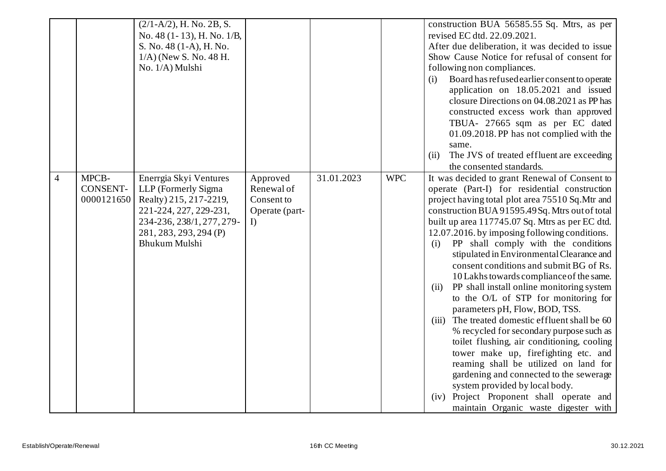|                |                                        | $(2/1-A/2)$ , H. No. 2B, S.<br>No. 48 (1-13), H. No. 1/B,<br>S. No. 48 (1-A), H. No.<br>$1/A$ ) (New S. No. 48 H.<br>No. 1/A) Mulshi                                             |                                                              |            |            | construction BUA 56585.55 Sq. Mtrs, as per<br>revised EC dtd. 22.09.2021.<br>After due deliberation, it was decided to issue<br>Show Cause Notice for refusal of consent for<br>following non compliances.<br>Board has refused earlier consent to operate<br>(i)<br>application on 18.05.2021 and issued<br>closure Directions on 04.08.2021 as PP has<br>constructed excess work than approved<br>TBUA- 27665 sqm as per EC dated<br>01.09.2018. PP has not complied with the<br>same.<br>The JVS of treated effluent are exceeding<br>(ii)<br>the consented standards.                                                                                                                                                                                                                                                                                                                                                                                                                                                   |
|----------------|----------------------------------------|----------------------------------------------------------------------------------------------------------------------------------------------------------------------------------|--------------------------------------------------------------|------------|------------|-----------------------------------------------------------------------------------------------------------------------------------------------------------------------------------------------------------------------------------------------------------------------------------------------------------------------------------------------------------------------------------------------------------------------------------------------------------------------------------------------------------------------------------------------------------------------------------------------------------------------------------------------------------------------------------------------------------------------------------------------------------------------------------------------------------------------------------------------------------------------------------------------------------------------------------------------------------------------------------------------------------------------------|
| $\overline{4}$ | MPCB-<br><b>CONSENT-</b><br>0000121650 | Enerrgia Skyi Ventures<br>LLP (Formerly Sigma<br>Realty) 215, 217-2219,<br>221-224, 227, 229-231,<br>234-236, 238/1, 277, 279-<br>281, 283, 293, 294 (P)<br><b>Bhukum Mulshi</b> | Approved<br>Renewal of<br>Consent to<br>Operate (part-<br>I) | 31.01.2023 | <b>WPC</b> | It was decided to grant Renewal of Consent to<br>operate (Part-I) for residential construction<br>project having total plot area 75510 Sq. Mtr and<br>construction BUA 91595.49Sq. Mtrs out of total<br>built up area 117745.07 Sq. Mtrs as per EC dtd.<br>12.07.2016. by imposing following conditions.<br>PP shall comply with the conditions<br>(i)<br>stipulated in Environmental Clearance and<br>consent conditions and submit BG of Rs.<br>10 Lakhs towards compliance of the same.<br>PP shall install online monitoring system<br>(ii)<br>to the O/L of STP for monitoring for<br>parameters pH, Flow, BOD, TSS.<br>The treated domestic effluent shall be 60<br>(iii)<br>% recycled for secondary purpose such as<br>toilet flushing, air conditioning, cooling<br>tower make up, firefighting etc. and<br>reaming shall be utilized on land for<br>gardening and connected to the sewerage<br>system provided by local body.<br>(iv) Project Proponent shall operate and<br>maintain Organic waste digester with |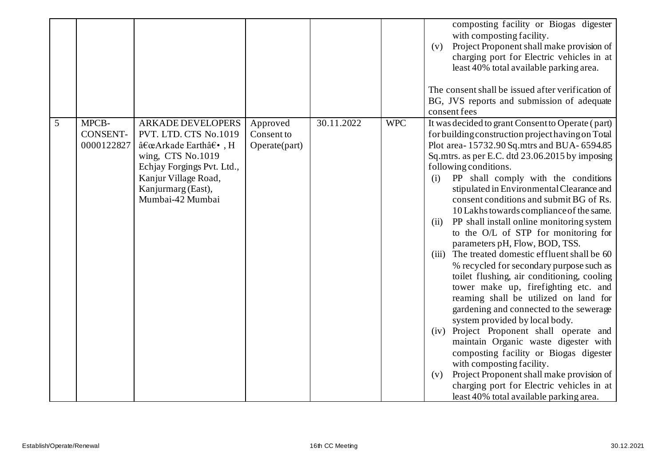|   |                                        |                                                                                                                                                                                             |                                         |            |            | composting facility or Biogas digester<br>with composting facility.<br>Project Proponent shall make provision of<br>(v)<br>charging port for Electric vehicles in at<br>least 40% total available parking area.<br>The consent shall be issued after verification of<br>BG, JVS reports and submission of adequate<br>consent fees                                                                                                                                                                                                                                                                                                                                                                                                                                                                                                                                                                                                                                                                                                                                                                                                                                  |
|---|----------------------------------------|---------------------------------------------------------------------------------------------------------------------------------------------------------------------------------------------|-----------------------------------------|------------|------------|---------------------------------------------------------------------------------------------------------------------------------------------------------------------------------------------------------------------------------------------------------------------------------------------------------------------------------------------------------------------------------------------------------------------------------------------------------------------------------------------------------------------------------------------------------------------------------------------------------------------------------------------------------------------------------------------------------------------------------------------------------------------------------------------------------------------------------------------------------------------------------------------------------------------------------------------------------------------------------------------------------------------------------------------------------------------------------------------------------------------------------------------------------------------|
| 5 | MPCB-<br><b>CONSENT-</b><br>0000122827 | <b>ARKADE DEVELOPERS</b><br>PVT. LTD. CTS No.1019<br>"Arkade Earth―, H<br>wing, CTS No.1019<br>Echjay Forgings Pvt. Ltd.,<br>Kanjur Village Road,<br>Kanjurmarg (East),<br>Mumbai-42 Mumbai | Approved<br>Consent to<br>Operate(part) | 30.11.2022 | <b>WPC</b> | It was decided to grant Consent to Operate (part)<br>for building construction project having on Total<br>Plot area-15732.90 Sq.mtrs and BUA-6594.85<br>Sq.mtrs. as per E.C. dtd 23.06.2015 by imposing<br>following conditions.<br>PP shall comply with the conditions<br>(i)<br>stipulated in Environmental Clearance and<br>consent conditions and submit BG of Rs.<br>10 Lakhs towards compliance of the same.<br>PP shall install online monitoring system<br>(ii)<br>to the O/L of STP for monitoring for<br>parameters pH, Flow, BOD, TSS.<br>(iii) The treated domestic effluent shall be 60<br>% recycled for secondary purpose such as<br>toilet flushing, air conditioning, cooling<br>tower make up, firefighting etc. and<br>reaming shall be utilized on land for<br>gardening and connected to the sewerage<br>system provided by local body.<br>(iv) Project Proponent shall operate and<br>maintain Organic waste digester with<br>composting facility or Biogas digester<br>with composting facility.<br>Project Proponent shall make provision of<br>(v)<br>charging port for Electric vehicles in at<br>least 40% total available parking area. |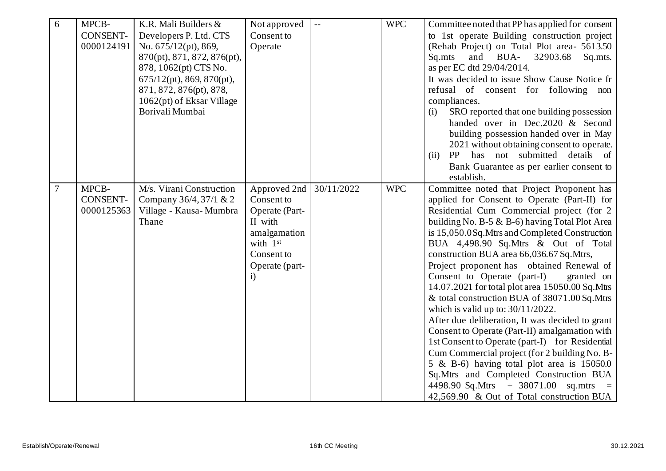| 6 | MPCB-           | K.R. Mali Builders &         | Not approved   | $\overline{\phantom{a}}$ | <b>WPC</b> | Committee noted that PP has applied for consent  |
|---|-----------------|------------------------------|----------------|--------------------------|------------|--------------------------------------------------|
|   | <b>CONSENT-</b> | Developers P. Ltd. CTS       | Consent to     |                          |            | to 1st operate Building construction project     |
|   | 0000124191      | No. $675/12(pt)$ , 869,      | Operate        |                          |            | (Rehab Project) on Total Plot area- 5613.50      |
|   |                 | 870(pt), 871, 872, 876(pt),  |                |                          |            | and BUA-<br>32903.68<br>Sq.mts<br>Sq.mts.        |
|   |                 | 878, 1062(pt) CTS No.        |                |                          |            | as per EC dtd 29/04/2014.                        |
|   |                 | $675/12(pt)$ , 869, 870(pt), |                |                          |            | It was decided to issue Show Cause Notice fr     |
|   |                 | 871, 872, 876(pt), 878,      |                |                          |            | refusal of consent for following non             |
|   |                 | 1062(pt) of Eksar Village    |                |                          |            | compliances.                                     |
|   |                 | Borivali Mumbai              |                |                          |            | SRO reported that one building possession<br>(i) |
|   |                 |                              |                |                          |            | handed over in Dec.2020 & Second                 |
|   |                 |                              |                |                          |            | building possession handed over in May           |
|   |                 |                              |                |                          |            | 2021 without obtaining consent to operate.       |
|   |                 |                              |                |                          |            | has not submitted details of<br>PP<br>(ii)       |
|   |                 |                              |                |                          |            | Bank Guarantee as per earlier consent to         |
|   |                 |                              |                |                          |            | establish.                                       |
| 7 | MPCB-           | M/s. Virani Construction     | Approved 2nd   | 30/11/2022               | <b>WPC</b> | Committee noted that Project Proponent has       |
|   | <b>CONSENT-</b> | Company 36/4, 37/1 & 2       | Consent to     |                          |            | applied for Consent to Operate (Part-II) for     |
|   | 0000125363      | Village - Kausa-Mumbra       | Operate (Part- |                          |            | Residential Cum Commercial project (for 2        |
|   |                 | Thane                        | II with        |                          |            | building No. B-5 & B-6) having Total Plot Area   |
|   |                 |                              | amalgamation   |                          |            | is 15,050.0Sq.Mtrs and Completed Construction    |
|   |                 |                              | with 1st       |                          |            | BUA 4,498.90 Sq.Mtrs & Out of Total              |
|   |                 |                              | Consent to     |                          |            | construction BUA area 66,036.67 Sq.Mtrs,         |
|   |                 |                              | Operate (part- |                          |            | Project proponent has obtained Renewal of        |
|   |                 |                              | $\mathbf{i}$   |                          |            | Consent to Operate (part-I)<br>granted on        |
|   |                 |                              |                |                          |            | 14.07.2021 for total plot area 15050.00 Sq. Mtrs |
|   |                 |                              |                |                          |            | & total construction BUA of 38071.00 Sq.Mtrs     |
|   |                 |                              |                |                          |            | which is valid up to: $30/11/2022$ .             |
|   |                 |                              |                |                          |            | After due deliberation, It was decided to grant  |
|   |                 |                              |                |                          |            | Consent to Operate (Part-II) amalgamation with   |
|   |                 |                              |                |                          |            | 1st Consent to Operate (part-I) for Residential  |
|   |                 |                              |                |                          |            | Cum Commercial project (for 2 building No. B-    |
|   |                 |                              |                |                          |            | 5 & B-6) having total plot area is $15050.0$     |
|   |                 |                              |                |                          |            | Sq.Mtrs and Completed Construction BUA           |
|   |                 |                              |                |                          |            | 4498.90 Sq.Mtrs + 38071.00 sq.mtrs =             |
|   |                 |                              |                |                          |            | 42,569.90 & Out of Total construction BUA        |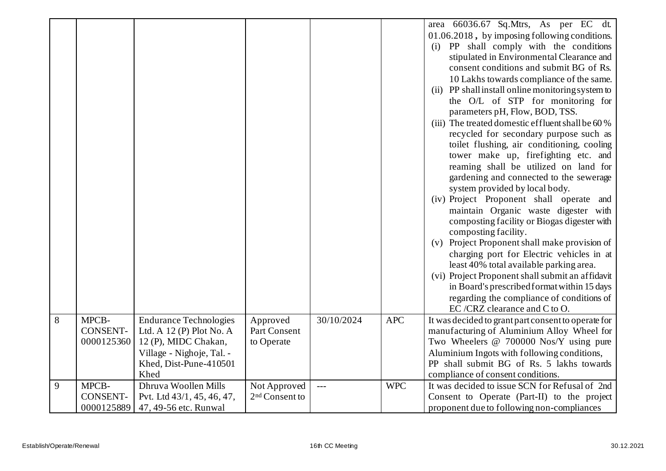|   |                 |                               |                            |            |            | area 66036.67 Sq.Mtrs, As per EC dt.                |
|---|-----------------|-------------------------------|----------------------------|------------|------------|-----------------------------------------------------|
|   |                 |                               |                            |            |            | 01.06.2018, by imposing following conditions.       |
|   |                 |                               |                            |            |            | (i) PP shall comply with the conditions             |
|   |                 |                               |                            |            |            | stipulated in Environmental Clearance and           |
|   |                 |                               |                            |            |            | consent conditions and submit BG of Rs.             |
|   |                 |                               |                            |            |            | 10 Lakhs towards compliance of the same.            |
|   |                 |                               |                            |            |            | (ii) PP shall install online monitoring system to   |
|   |                 |                               |                            |            |            | the O/L of STP for monitoring for                   |
|   |                 |                               |                            |            |            | parameters pH, Flow, BOD, TSS.                      |
|   |                 |                               |                            |            |            | (iii) The treated domestic effluent shall be 60 %   |
|   |                 |                               |                            |            |            | recycled for secondary purpose such as              |
|   |                 |                               |                            |            |            | toilet flushing, air conditioning, cooling          |
|   |                 |                               |                            |            |            | tower make up, firefighting etc. and                |
|   |                 |                               |                            |            |            | reaming shall be utilized on land for               |
|   |                 |                               |                            |            |            | gardening and connected to the sewerage             |
|   |                 |                               |                            |            |            | system provided by local body.                      |
|   |                 |                               |                            |            |            | (iv) Project Proponent shall operate and            |
|   |                 |                               |                            |            |            | maintain Organic waste digester with                |
|   |                 |                               |                            |            |            | composting facility or Biogas digester with         |
|   |                 |                               |                            |            |            | composting facility.                                |
|   |                 |                               |                            |            |            | (v) Project Proponent shall make provision of       |
|   |                 |                               |                            |            |            |                                                     |
|   |                 |                               |                            |            |            | charging port for Electric vehicles in at           |
|   |                 |                               |                            |            |            | least 40% total available parking area.             |
|   |                 |                               |                            |            |            | (vi) Project Proponent shall submit an affidavit    |
|   |                 |                               |                            |            |            | in Board's prescribed format within 15 days         |
|   |                 |                               |                            |            |            | regarding the compliance of conditions of           |
|   |                 |                               |                            |            |            | EC/CRZ clearance and C to O.                        |
| 8 | MPCB-           | <b>Endurance Technologies</b> | Approved                   | 30/10/2024 | <b>APC</b> | It was decided to grant part consent to operate for |
|   | <b>CONSENT-</b> | Ltd. A $12(P)$ Plot No. A     | Part Consent               |            |            | manufacturing of Aluminium Alloy Wheel for          |
|   | 0000125360      | 12 (P), MIDC Chakan,          | to Operate                 |            |            | Two Wheelers @ 700000 Nos/Y using pure              |
|   |                 | Village - Nighoje, Tal. -     |                            |            |            | Aluminium Ingots with following conditions,         |
|   |                 | Khed, Dist-Pune-410501        |                            |            |            | PP shall submit BG of Rs. 5 lakhs towards           |
|   |                 | Khed                          |                            |            |            | compliance of consent conditions.                   |
| 9 | MPCB-           | Dhruva Woollen Mills          | Not Approved               | $---$      | <b>WPC</b> | It was decided to issue SCN for Refusal of 2nd      |
|   | CONSENT-        | Pvt. Ltd 43/1, 45, 46, 47,    | 2 <sup>nd</sup> Consent to |            |            | Consent to Operate (Part-II) to the project         |
|   | 0000125889      | 47, 49-56 etc. Runwal         |                            |            |            | proponent due to following non-compliances          |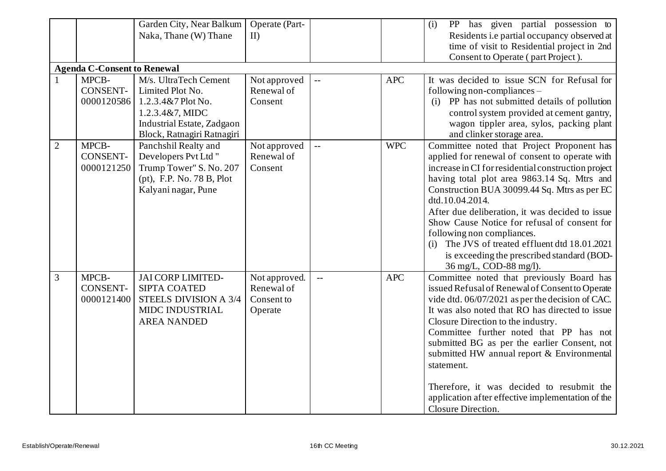|                |                                    | Garden City, Near Balkum   | Operate (Part- |                          |            | PP has given partial possession to<br>(i)           |  |  |  |  |  |
|----------------|------------------------------------|----------------------------|----------------|--------------------------|------------|-----------------------------------------------------|--|--|--|--|--|
|                |                                    | Naka, Thane (W) Thane      | II             |                          |            | Residents i.e partial occupancy observed at         |  |  |  |  |  |
|                |                                    |                            |                |                          |            | time of visit to Residential project in 2nd         |  |  |  |  |  |
|                |                                    |                            |                |                          |            | Consent to Operate (part Project).                  |  |  |  |  |  |
|                | <b>Agenda C-Consent to Renewal</b> |                            |                |                          |            |                                                     |  |  |  |  |  |
|                | MPCB-                              | M/s. UltraTech Cement      | Not approved   | $\overline{\phantom{a}}$ | <b>APC</b> | It was decided to issue SCN for Refusal for         |  |  |  |  |  |
|                | <b>CONSENT-</b>                    | Limited Plot No.           | Renewal of     |                          |            | following non-compliances -                         |  |  |  |  |  |
|                | 0000120586                         | $1.2.3.4\&7$ Plot No.      | Consent        |                          |            | (i) PP has not submitted details of pollution       |  |  |  |  |  |
|                |                                    | 1.2.3.4&7, MIDC            |                |                          |            | control system provided at cement gantry,           |  |  |  |  |  |
|                |                                    | Industrial Estate, Zadgaon |                |                          |            | wagon tippler area, sylos, packing plant            |  |  |  |  |  |
|                |                                    | Block, Ratnagiri Ratnagiri |                |                          |            | and clinker storage area.                           |  |  |  |  |  |
| $\overline{2}$ | MPCB-                              | Panchshil Realty and       | Not approved   | $\overline{a}$           | <b>WPC</b> | Committee noted that Project Proponent has          |  |  |  |  |  |
|                | <b>CONSENT-</b>                    | Developers Pvt Ltd "       | Renewal of     |                          |            | applied for renewal of consent to operate with      |  |  |  |  |  |
|                | 0000121250                         | Trump Tower" S. No. 207    | Consent        |                          |            | increase in CI for residential construction project |  |  |  |  |  |
|                |                                    | (pt), F.P. No. 78 B, Plot  |                |                          |            | having total plot area 9863.14 Sq. Mtrs and         |  |  |  |  |  |
|                |                                    | Kalyani nagar, Pune        |                |                          |            | Construction BUA 30099.44 Sq. Mtrs as per EC        |  |  |  |  |  |
|                |                                    |                            |                |                          |            | dtd.10.04.2014.                                     |  |  |  |  |  |
|                |                                    |                            |                |                          |            | After due deliberation, it was decided to issue     |  |  |  |  |  |
|                |                                    |                            |                |                          |            | Show Cause Notice for refusal of consent for        |  |  |  |  |  |
|                |                                    |                            |                |                          |            | following non compliances.                          |  |  |  |  |  |
|                |                                    |                            |                |                          |            | (i) The JVS of treated effluent dtd 18.01.2021      |  |  |  |  |  |
|                |                                    |                            |                |                          |            | is exceeding the prescribed standard (BOD-          |  |  |  |  |  |
|                |                                    |                            |                |                          |            | 36 mg/L, COD-88 mg/l).                              |  |  |  |  |  |
| 3              | MPCB-                              | <b>JAI CORP LIMITED-</b>   | Not approved.  | $\mathbf{L}$             | <b>APC</b> | Committee noted that previously Board has           |  |  |  |  |  |
|                | <b>CONSENT-</b>                    | SIPTA COATED               | Renewal of     |                          |            | issued Refusal of Renewal of Consent to Operate     |  |  |  |  |  |
|                | 0000121400                         | STEELS DIVISION A 3/4      | Consent to     |                          |            | vide dtd. 06/07/2021 as per the decision of CAC.    |  |  |  |  |  |
|                |                                    | MIDC INDUSTRIAL            | Operate        |                          |            | It was also noted that RO has directed to issue     |  |  |  |  |  |
|                |                                    | <b>AREA NANDED</b>         |                |                          |            | Closure Direction to the industry.                  |  |  |  |  |  |
|                |                                    |                            |                |                          |            | Committee further noted that PP has not             |  |  |  |  |  |
|                |                                    |                            |                |                          |            | submitted BG as per the earlier Consent, not        |  |  |  |  |  |
|                |                                    |                            |                |                          |            | submitted HW annual report & Environmental          |  |  |  |  |  |
|                |                                    |                            |                |                          |            | statement.                                          |  |  |  |  |  |
|                |                                    |                            |                |                          |            |                                                     |  |  |  |  |  |
|                |                                    |                            |                |                          |            | Therefore, it was decided to resubmit the           |  |  |  |  |  |
|                |                                    |                            |                |                          |            | application after effective implementation of the   |  |  |  |  |  |
|                |                                    |                            |                |                          |            | Closure Direction.                                  |  |  |  |  |  |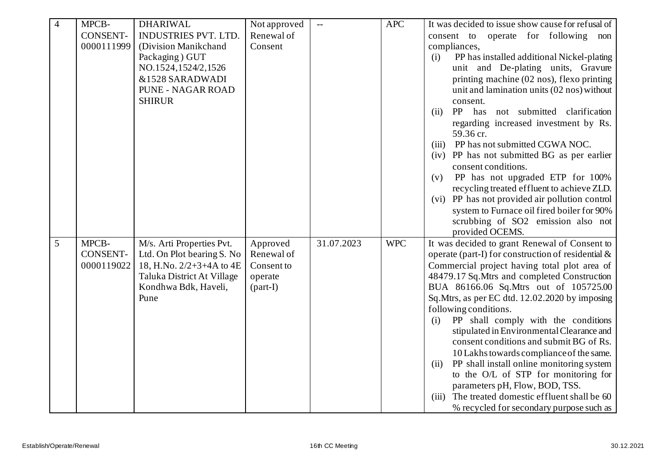| $\overline{4}$ | MPCB-           | <b>DHARIWAL</b>             | Not approved | $\overline{a}$ | <b>APC</b> | It was decided to issue show cause for refusal of  |
|----------------|-----------------|-----------------------------|--------------|----------------|------------|----------------------------------------------------|
|                | <b>CONSENT-</b> | <b>INDUSTRIES PVT. LTD.</b> | Renewal of   |                |            | consent to<br>operate for following non            |
|                | 0000111999      | (Division Manikchand        | Consent      |                |            | compliances,                                       |
|                |                 | Packaging) GUT              |              |                |            | PP has installed additional Nickel-plating<br>(i)  |
|                |                 | NO.1524,1524/2,1526         |              |                |            | unit and De-plating units, Gravure                 |
|                |                 | &1528 SARADWADI             |              |                |            | printing machine (02 nos), flexo printing          |
|                |                 | <b>PUNE - NAGAR ROAD</b>    |              |                |            | unit and lamination units (02 nos) without         |
|                |                 | <b>SHIRUR</b>               |              |                |            | consent.                                           |
|                |                 |                             |              |                |            | PP<br>has not submitted clarification<br>(ii)      |
|                |                 |                             |              |                |            | regarding increased investment by Rs.              |
|                |                 |                             |              |                |            | 59.36 cr.                                          |
|                |                 |                             |              |                |            | PP has not submitted CGWA NOC.<br>(iii)            |
|                |                 |                             |              |                |            | (iv) PP has not submitted BG as per earlier        |
|                |                 |                             |              |                |            | consent conditions.                                |
|                |                 |                             |              |                |            | PP has not upgraded ETP for 100%<br>(v)            |
|                |                 |                             |              |                |            | recycling treated effluent to achieve ZLD.         |
|                |                 |                             |              |                |            | (vi) PP has not provided air pollution control     |
|                |                 |                             |              |                |            | system to Furnace oil fired boiler for 90%         |
|                |                 |                             |              |                |            | scrubbing of SO2 emission also not                 |
|                |                 |                             |              |                |            | provided OCEMS.                                    |
| 5              | MPCB-           | M/s. Arti Properties Pvt.   | Approved     | 31.07.2023     | <b>WPC</b> | It was decided to grant Renewal of Consent to      |
|                | CONSENT-        | Ltd. On Plot bearing S. No  | Renewal of   |                |            | operate (part-I) for construction of residential & |
|                | 0000119022      | 18, H.No. 2/2+3+4A to 4E    | Consent to   |                |            | Commercial project having total plot area of       |
|                |                 | Taluka District At Village  | operate      |                |            | 48479.17 Sq.Mtrs and completed Construction        |
|                |                 | Kondhwa Bdk, Haveli,        | $(part-I)$   |                |            | BUA 86166.06 Sq.Mtrs out of 105725.00              |
|                |                 | Pune                        |              |                |            | Sq.Mtrs, as per EC dtd. 12.02.2020 by imposing     |
|                |                 |                             |              |                |            | following conditions.                              |
|                |                 |                             |              |                |            | PP shall comply with the conditions<br>(i)         |
|                |                 |                             |              |                |            | stipulated in Environmental Clearance and          |
|                |                 |                             |              |                |            | consent conditions and submit BG of Rs.            |
|                |                 |                             |              |                |            | 10 Lakhs towards compliance of the same.           |
|                |                 |                             |              |                |            | PP shall install online monitoring system<br>(ii)  |
|                |                 |                             |              |                |            | to the O/L of STP for monitoring for               |
|                |                 |                             |              |                |            | parameters pH, Flow, BOD, TSS.                     |
|                |                 |                             |              |                |            | The treated domestic effluent shall be 60<br>(iii) |
|                |                 |                             |              |                |            | % recycled for secondary purpose such as           |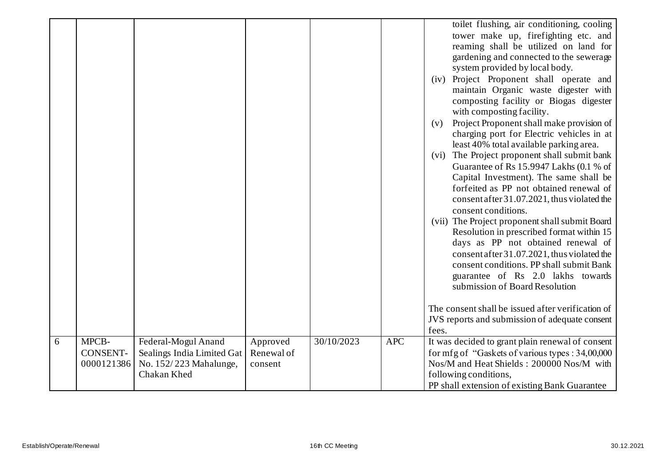|   |                          |                                                   |                        |            |            | toilet flushing, air conditioning, cooling<br>tower make up, firefighting etc. and<br>reaming shall be utilized on land for<br>gardening and connected to the sewerage<br>system provided by local body.<br>(iv) Project Proponent shall operate and<br>maintain Organic waste digester with<br>composting facility or Biogas digester<br>with composting facility.<br>Project Proponent shall make provision of<br>(v)<br>charging port for Electric vehicles in at<br>least 40% total available parking area.<br>The Project proponent shall submit bank<br>(vi)<br>Guarantee of Rs 15.9947 Lakhs (0.1 % of<br>Capital Investment). The same shall be<br>forfeited as PP not obtained renewal of<br>consent after 31.07.2021, thus violated the<br>consent conditions.<br>(vii) The Project proponent shall submit Board<br>Resolution in prescribed format within 15<br>days as PP not obtained renewal of<br>consent after 31.07.2021, thus violated the<br>consent conditions. PP shall submit Bank<br>guarantee of Rs 2.0 lakhs towards<br>submission of Board Resolution<br>The consent shall be issued after verification of<br>JVS reports and submission of adequate consent<br>fees. |
|---|--------------------------|---------------------------------------------------|------------------------|------------|------------|-------------------------------------------------------------------------------------------------------------------------------------------------------------------------------------------------------------------------------------------------------------------------------------------------------------------------------------------------------------------------------------------------------------------------------------------------------------------------------------------------------------------------------------------------------------------------------------------------------------------------------------------------------------------------------------------------------------------------------------------------------------------------------------------------------------------------------------------------------------------------------------------------------------------------------------------------------------------------------------------------------------------------------------------------------------------------------------------------------------------------------------------------------------------------------------------------|
| 6 | MPCB-<br><b>CONSENT-</b> | Federal-Mogul Anand<br>Sealings India Limited Gat | Approved<br>Renewal of | 30/10/2023 | <b>APC</b> | It was decided to grant plain renewal of consent<br>for mfg of "Gaskets of various types : 34,00,000                                                                                                                                                                                                                                                                                                                                                                                                                                                                                                                                                                                                                                                                                                                                                                                                                                                                                                                                                                                                                                                                                            |
|   | 0000121386               | No. 152/223 Mahalunge,                            | consent                |            |            | Nos/M and Heat Shields: 200000 Nos/M with                                                                                                                                                                                                                                                                                                                                                                                                                                                                                                                                                                                                                                                                                                                                                                                                                                                                                                                                                                                                                                                                                                                                                       |
|   |                          | Chakan Khed                                       |                        |            |            | following conditions,                                                                                                                                                                                                                                                                                                                                                                                                                                                                                                                                                                                                                                                                                                                                                                                                                                                                                                                                                                                                                                                                                                                                                                           |
|   |                          |                                                   |                        |            |            | PP shall extension of existing Bank Guarantee                                                                                                                                                                                                                                                                                                                                                                                                                                                                                                                                                                                                                                                                                                                                                                                                                                                                                                                                                                                                                                                                                                                                                   |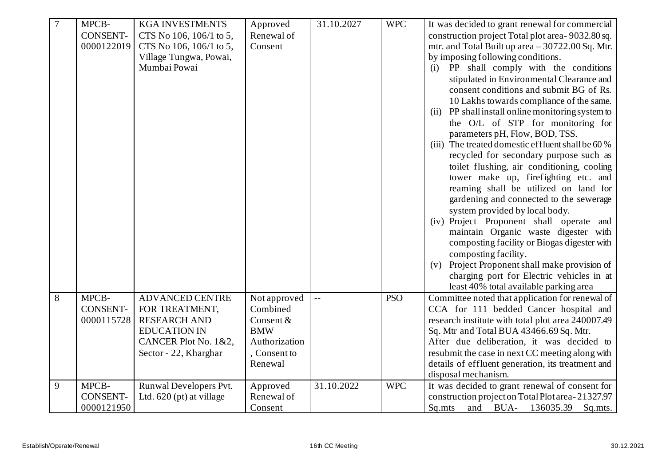| $\boldsymbol{7}$ | MPCB-           | <b>KGA INVESTMENTS</b>   | Approved      | 31.10.2027 | <b>WPC</b> | It was decided to grant renewal for commercial    |
|------------------|-----------------|--------------------------|---------------|------------|------------|---------------------------------------------------|
|                  | <b>CONSENT-</b> | CTS No 106, 106/1 to 5,  | Renewal of    |            |            | construction project Total plot area-9032.80 sq.  |
|                  | 0000122019      | CTS No 106, 106/1 to 5,  | Consent       |            |            | mtr. and Total Built up area $-30722.00$ Sq. Mtr. |
|                  |                 | Village Tungwa, Powai,   |               |            |            | by imposing following conditions.                 |
|                  |                 | Mumbai Powai             |               |            |            | PP shall comply with the conditions<br>(i)        |
|                  |                 |                          |               |            |            | stipulated in Environmental Clearance and         |
|                  |                 |                          |               |            |            | consent conditions and submit BG of Rs.           |
|                  |                 |                          |               |            |            | 10 Lakhs towards compliance of the same.          |
|                  |                 |                          |               |            |            | (ii) PP shall install online monitoring system to |
|                  |                 |                          |               |            |            | the O/L of STP for monitoring for                 |
|                  |                 |                          |               |            |            | parameters pH, Flow, BOD, TSS.                    |
|                  |                 |                          |               |            |            | (iii) The treated domestic effluent shall be 60 % |
|                  |                 |                          |               |            |            | recycled for secondary purpose such as            |
|                  |                 |                          |               |            |            | toilet flushing, air conditioning, cooling        |
|                  |                 |                          |               |            |            | tower make up, firefighting etc. and              |
|                  |                 |                          |               |            |            | reaming shall be utilized on land for             |
|                  |                 |                          |               |            |            | gardening and connected to the sewerage           |
|                  |                 |                          |               |            |            | system provided by local body.                    |
|                  |                 |                          |               |            |            | (iv) Project Proponent shall operate and          |
|                  |                 |                          |               |            |            | maintain Organic waste digester with              |
|                  |                 |                          |               |            |            | composting facility or Biogas digester with       |
|                  |                 |                          |               |            |            | composting facility.                              |
|                  |                 |                          |               |            |            | (v) Project Proponent shall make provision of     |
|                  |                 |                          |               |            |            | charging port for Electric vehicles in at         |
|                  |                 |                          |               |            |            | least 40% total available parking area            |
| 8                | MPCB-           | <b>ADVANCED CENTRE</b>   | Not approved  |            | <b>PSO</b> | Committee noted that application for renewal of   |
|                  | <b>CONSENT-</b> | FOR TREATMENT,           | Combined      |            |            | CCA for 111 bedded Cancer hospital and            |
|                  | 0000115728      | <b>RESEARCH AND</b>      | Consent &     |            |            | research institute with total plot area 240007.49 |
|                  |                 | <b>EDUCATION IN</b>      | <b>BMW</b>    |            |            | Sq. Mtr and Total BUA 43466.69 Sq. Mtr.           |
|                  |                 | CANCER Plot No. 1&2,     | Authorization |            |            | After due deliberation, it was decided to         |
|                  |                 | Sector - 22, Kharghar    | , Consent to  |            |            | resubmit the case in next CC meeting along with   |
|                  |                 |                          | Renewal       |            |            | details of effluent generation, its treatment and |
|                  |                 |                          |               |            |            | disposal mechanism.                               |
| 9                | MPCB-           | Runwal Developers Pvt.   | Approved      | 31.10.2022 | <b>WPC</b> | It was decided to grant renewal of consent for    |
|                  | <b>CONSENT-</b> | Ltd. 620 (pt) at village | Renewal of    |            |            | construction project on Total Plot area-21327.97  |
|                  | 0000121950      |                          | Consent       |            |            | Sq.mts<br>136035.39<br>and<br>BUA-<br>Sq.mts.     |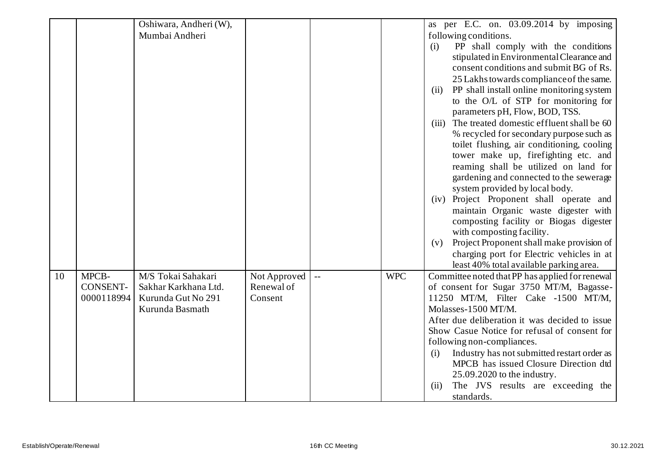|    |                 | Oshiwara, Andheri (W), |                            |                          |            | as per E.C. on. 03.09.2014 by imposing                                                      |
|----|-----------------|------------------------|----------------------------|--------------------------|------------|---------------------------------------------------------------------------------------------|
|    |                 | Mumbai Andheri         |                            |                          |            | following conditions.                                                                       |
|    |                 |                        |                            |                          |            | PP shall comply with the conditions<br>(i)                                                  |
|    |                 |                        |                            |                          |            | stipulated in Environmental Clearance and                                                   |
|    |                 |                        |                            |                          |            | consent conditions and submit BG of Rs.                                                     |
|    |                 |                        |                            |                          |            | 25 Lakhs towards compliance of the same.                                                    |
|    |                 |                        |                            |                          |            | PP shall install online monitoring system<br>(ii)                                           |
|    |                 |                        |                            |                          |            | to the O/L of STP for monitoring for                                                        |
|    |                 |                        |                            |                          |            | parameters pH, Flow, BOD, TSS.                                                              |
|    |                 |                        |                            |                          |            | The treated domestic effluent shall be 60<br>(iii)                                          |
|    |                 |                        |                            |                          |            | % recycled for secondary purpose such as                                                    |
|    |                 |                        |                            |                          |            | toilet flushing, air conditioning, cooling                                                  |
|    |                 |                        |                            |                          |            | tower make up, firefighting etc. and                                                        |
|    |                 |                        |                            |                          |            | reaming shall be utilized on land for                                                       |
|    |                 |                        |                            |                          |            | gardening and connected to the sewerage                                                     |
|    |                 |                        |                            |                          |            | system provided by local body.                                                              |
|    |                 |                        |                            |                          |            | (iv) Project Proponent shall operate and                                                    |
|    |                 |                        |                            |                          |            | maintain Organic waste digester with                                                        |
|    |                 |                        |                            |                          |            | composting facility or Biogas digester                                                      |
|    |                 |                        |                            |                          |            | with composting facility.                                                                   |
|    |                 |                        |                            |                          |            | Project Proponent shall make provision of<br>(v)                                            |
|    |                 |                        |                            |                          |            | charging port for Electric vehicles in at                                                   |
|    | MPCB-           | M/S Tokai Sahakari     |                            |                          | <b>WPC</b> | least 40% total available parking area.                                                     |
| 10 | <b>CONSENT-</b> | Sakhar Karkhana Ltd.   | Not Approved<br>Renewal of | $\overline{\phantom{a}}$ |            | Committee noted that PP has applied for renewal<br>of consent for Sugar 3750 MT/M, Bagasse- |
|    | 0000118994      | Kurunda Gut No 291     | Consent                    |                          |            | 11250 MT/M, Filter Cake -1500 MT/M,                                                         |
|    |                 | Kurunda Basmath        |                            |                          |            | Molasses-1500 MT/M.                                                                         |
|    |                 |                        |                            |                          |            | After due deliberation it was decided to issue                                              |
|    |                 |                        |                            |                          |            | Show Casue Notice for refusal of consent for                                                |
|    |                 |                        |                            |                          |            | following non-compliances.                                                                  |
|    |                 |                        |                            |                          |            | Industry has not submitted restart order as<br>(i)                                          |
|    |                 |                        |                            |                          |            | MPCB has issued Closure Direction dtd                                                       |
|    |                 |                        |                            |                          |            | 25.09.2020 to the industry.                                                                 |
|    |                 |                        |                            |                          |            | The JVS results are exceeding the<br>(ii)                                                   |
|    |                 |                        |                            |                          |            | standards.                                                                                  |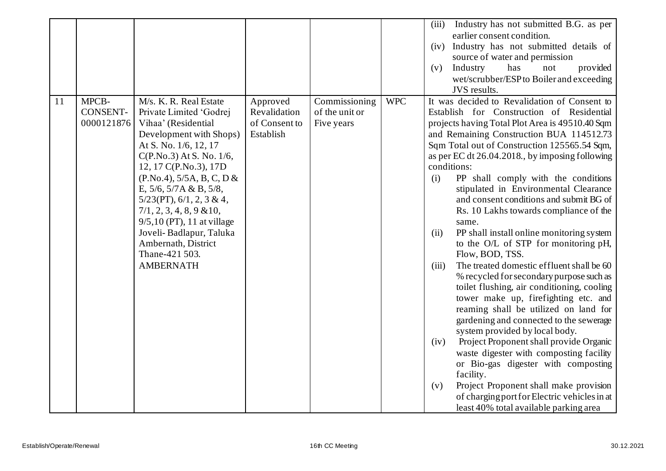|    |                                        |                                                                                                                                                                                                                                                                                                                                                                                                                                                  |                                                        |                                               |            | Industry has not submitted B.G. as per<br>(iii)<br>earlier consent condition.<br>Industry has not submitted details of<br>(iv)<br>source of water and permission<br>Industry<br>has<br>provided<br>(v)<br>not<br>wet/scrubber/ESP to Boiler and exceeding<br>JVS results.                                                                                                                                                                                                                                                                                                                                                                                                                                                                                                                                                                                                                                                                                                                                                                                                                                                                                                                                                    |
|----|----------------------------------------|--------------------------------------------------------------------------------------------------------------------------------------------------------------------------------------------------------------------------------------------------------------------------------------------------------------------------------------------------------------------------------------------------------------------------------------------------|--------------------------------------------------------|-----------------------------------------------|------------|------------------------------------------------------------------------------------------------------------------------------------------------------------------------------------------------------------------------------------------------------------------------------------------------------------------------------------------------------------------------------------------------------------------------------------------------------------------------------------------------------------------------------------------------------------------------------------------------------------------------------------------------------------------------------------------------------------------------------------------------------------------------------------------------------------------------------------------------------------------------------------------------------------------------------------------------------------------------------------------------------------------------------------------------------------------------------------------------------------------------------------------------------------------------------------------------------------------------------|
| 11 | MPCB-<br><b>CONSENT-</b><br>0000121876 | M/s. K. R. Real Estate<br>Private Limited 'Godrej<br>Vihaa' (Residential<br>Development with Shops)<br>At S. No. 1/6, 12, 17<br>$C(P.No.3)$ At S. No. 1/6,<br>12, 17 C(P.No.3), 17D<br>(P.No.4), 5/5A, B, C, D &<br>E, $5/6$ , $5/7A & B$ , $5/8$ ,<br>$5/23(PT)$ , $6/1$ , $2$ , $3 & 4$ ,<br>$7/1, 2, 3, 4, 8, 9 \& 10,$<br>9/5,10 (PT), 11 at village<br>Joveli-Badlapur, Taluka<br>Ambernath, District<br>Thane-421 503.<br><b>AMBERNATH</b> | Approved<br>Revalidation<br>of Consent to<br>Establish | Commissioning<br>of the unit or<br>Five years | <b>WPC</b> | It was decided to Revalidation of Consent to<br>Establish for Construction of Residential<br>projects having Total Plot Area is 49510.40 Sqm<br>and Remaining Construction BUA 114512.73<br>Sqm Total out of Construction 125565.54 Sqm,<br>as per EC dt $26.04.2018$ , by imposing following<br>conditions:<br>PP shall comply with the conditions<br>(i)<br>stipulated in Environmental Clearance<br>and consent conditions and submit BG of<br>Rs. 10 Lakhs towards compliance of the<br>same.<br>PP shall install online monitoring system<br>(ii)<br>to the O/L of STP for monitoring pH,<br>Flow, BOD, TSS.<br>The treated domestic effluent shall be 60<br>(iii)<br>% recycled for secondary purpose such as<br>toilet flushing, air conditioning, cooling<br>tower make up, firefighting etc. and<br>reaming shall be utilized on land for<br>gardening and connected to the sewerage<br>system provided by local body.<br>Project Proponent shall provide Organic<br>(iv)<br>waste digester with composting facility<br>or Bio-gas digester with composting<br>facility.<br>Project Proponent shall make provision<br>(v)<br>of charging port for Electric vehicles in at<br>least 40% total available parking area |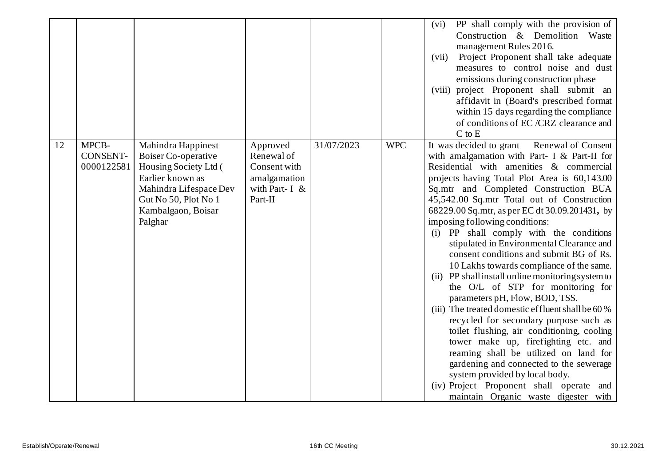|    |       |                               |                                                                                                                                                                           |                                                                                      |            |            | PP shall comply with the provision of<br>(vi)<br>Construction & Demolition Waste<br>management Rules 2016.<br>Project Proponent shall take adequate<br>(vii)<br>measures to control noise and dust<br>emissions during construction phase<br>(viii) project Proponent shall submit an<br>affidavit in (Board's prescribed format<br>within 15 days regarding the compliance<br>of conditions of EC/CRZ clearance and<br>$C$ to $E$                                                                                                                                                                                                                                                                                                                                                                                                                                                                                                                                                                                                                                                      |
|----|-------|-------------------------------|---------------------------------------------------------------------------------------------------------------------------------------------------------------------------|--------------------------------------------------------------------------------------|------------|------------|-----------------------------------------------------------------------------------------------------------------------------------------------------------------------------------------------------------------------------------------------------------------------------------------------------------------------------------------------------------------------------------------------------------------------------------------------------------------------------------------------------------------------------------------------------------------------------------------------------------------------------------------------------------------------------------------------------------------------------------------------------------------------------------------------------------------------------------------------------------------------------------------------------------------------------------------------------------------------------------------------------------------------------------------------------------------------------------------|
| 12 | MPCB- | <b>CONSENT-</b><br>0000122581 | Mahindra Happinest<br>Boiser Co-operative<br>Housing Society Ltd (<br>Earlier known as<br>Mahindra Lifespace Dev<br>Gut No 50, Plot No 1<br>Kambalgaon, Boisar<br>Palghar | Approved<br>Renewal of<br>Consent with<br>amalgamation<br>with Part-I $&$<br>Part-II | 31/07/2023 | <b>WPC</b> | It was decided to grant<br><b>Renewal of Consent</b><br>with amalgamation with Part- I & Part-II for<br>Residential with amenities & commercial<br>projects having Total Plot Area is 60,143.00<br>Sq.mtr and Completed Construction BUA<br>45,542.00 Sq.mtr Total out of Construction<br>68229.00 Sq.mtr, as per EC dt 30.09.201431, by<br>imposing following conditions:<br>(i) PP shall comply with the conditions<br>stipulated in Environmental Clearance and<br>consent conditions and submit BG of Rs.<br>10 Lakhs towards compliance of the same.<br>PP shall install online monitoring system to<br>(11)<br>the O/L of STP for monitoring for<br>parameters pH, Flow, BOD, TSS.<br>(iii) The treated domestic effluent shall be 60 %<br>recycled for secondary purpose such as<br>toilet flushing, air conditioning, cooling<br>tower make up, firefighting etc. and<br>reaming shall be utilized on land for<br>gardening and connected to the sewerage<br>system provided by local body.<br>(iv) Project Proponent shall operate and<br>maintain Organic waste digester with |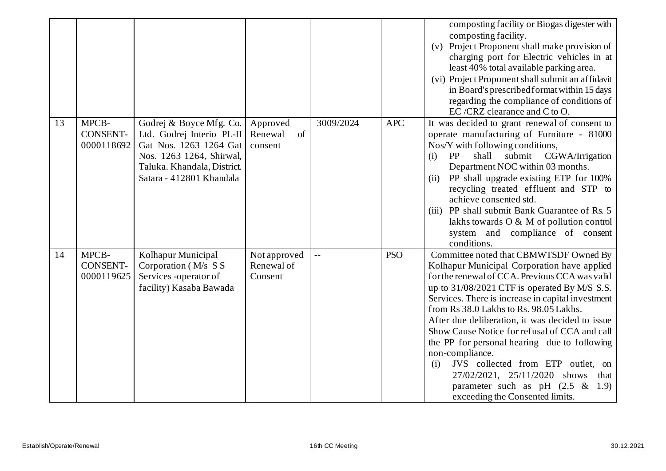|    |                                        |                                                                                                                                                                       |                                       |                |            | composting facility or Biogas digester with<br>composting facility.<br>Project Proponent shall make provision of<br>(v)<br>charging port for Electric vehicles in at<br>least 40% total available parking area.<br>(vi) Project Proponent shall submit an affidavit<br>in Board's prescribed format within 15 days<br>regarding the compliance of conditions of<br>EC /CRZ clearance and C to O.                                                                                                                                                                                                                            |
|----|----------------------------------------|-----------------------------------------------------------------------------------------------------------------------------------------------------------------------|---------------------------------------|----------------|------------|-----------------------------------------------------------------------------------------------------------------------------------------------------------------------------------------------------------------------------------------------------------------------------------------------------------------------------------------------------------------------------------------------------------------------------------------------------------------------------------------------------------------------------------------------------------------------------------------------------------------------------|
| 13 | MPCB-<br><b>CONSENT-</b><br>0000118692 | Godrej & Boyce Mfg. Co.<br>Ltd. Godrej Interio PL-II<br>Gat Nos. 1263 1264 Gat<br>Nos. 1263 1264, Shirwal,<br>Taluka. Khandala, District.<br>Satara - 412801 Khandala | Approved<br>Renewal<br>of<br>consent  | 3009/2024      | <b>APC</b> | It was decided to grant renewal of consent to<br>operate manufacturing of Furniture - 81000<br>Nos/Y with following conditions,<br>PP<br>shall submit CGWA/Irrigation<br>(i)<br>Department NOC within 03 months.<br>PP shall upgrade existing ETP for 100%<br>(ii)<br>recycling treated effluent and STP to<br>achieve consented std.<br>(iii) PP shall submit Bank Guarantee of Rs. 5<br>lakhs towards $O & M$ of pollution control<br>system and compliance of consent<br>conditions.                                                                                                                                     |
| 14 | MPCB-<br>CONSENT-<br>0000119625        | Kolhapur Municipal<br>Corporation (M/s S S<br>Services -operator of<br>facility) Kasaba Bawada                                                                        | Not approved<br>Renewal of<br>Consent | $\overline{a}$ | <b>PSO</b> | Committee noted that CBMWTSDF Owned By<br>Kolhapur Municipal Corporation have applied<br>for the renewal of CCA. Previous CCA was valid<br>up to 31/08/2021 CTF is operated By M/S S.S.<br>Services. There is increase in capital investment<br>from Rs 38.0 Lakhs to Rs. 98.05 Lakhs.<br>After due deliberation, it was decided to issue<br>Show Cause Notice for refusal of CCA and call<br>the PP for personal hearing due to following<br>non-compliance.<br>JVS collected from ETP outlet, on<br>(i)<br>27/02/2021, 25/11/2020 shows<br>that<br>parameter such as pH $(2.5 \& 1.9)$<br>exceeding the Consented limits. |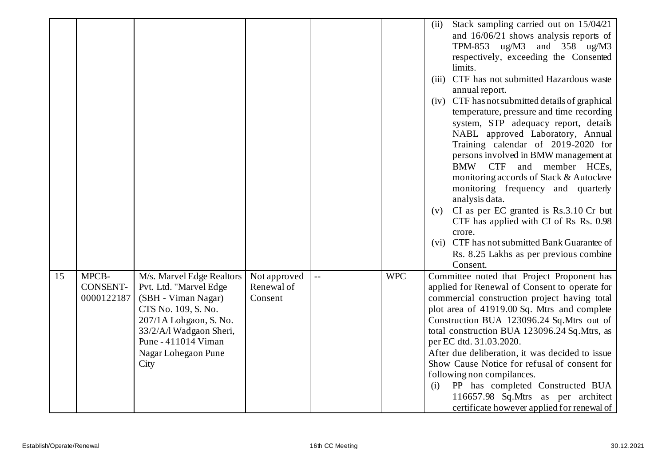|    |                               |                                               |                       |     |            | Stack sampling carried out on 15/04/21<br>(ii)                                              |
|----|-------------------------------|-----------------------------------------------|-----------------------|-----|------------|---------------------------------------------------------------------------------------------|
|    |                               |                                               |                       |     |            | and $16/06/21$ shows analysis reports of                                                    |
|    |                               |                                               |                       |     |            | TPM-853 $\mu$ g/M3 and 358 $\mu$ g/M3<br>respectively, exceeding the Consented              |
|    |                               |                                               |                       |     |            | limits.                                                                                     |
|    |                               |                                               |                       |     |            | CTF has not submitted Hazardous waste<br>(iii)                                              |
|    |                               |                                               |                       |     |            | annual report.                                                                              |
|    |                               |                                               |                       |     |            | (iv) CTF has not submitted details of graphical                                             |
|    |                               |                                               |                       |     |            | temperature, pressure and time recording                                                    |
|    |                               |                                               |                       |     |            | system, STP adequacy report, details                                                        |
|    |                               |                                               |                       |     |            | NABL approved Laboratory, Annual                                                            |
|    |                               |                                               |                       |     |            | Training calendar of 2019-2020 for                                                          |
|    |                               |                                               |                       |     |            | persons involved in BMW management at                                                       |
|    |                               |                                               |                       |     |            | <b>BMW</b><br><b>CTF</b><br>and member HCEs,<br>monitoring accords of Stack & Autoclave     |
|    |                               |                                               |                       |     |            | monitoring frequency and quarterly                                                          |
|    |                               |                                               |                       |     |            | analysis data.                                                                              |
|    |                               |                                               |                       |     |            | CI as per EC granted is Rs.3.10 Cr but<br>(v)                                               |
|    |                               |                                               |                       |     |            | CTF has applied with CI of Rs Rs. 0.98                                                      |
|    |                               |                                               |                       |     |            | crore.                                                                                      |
|    |                               |                                               |                       |     |            | (vi) CTF has not submitted Bank Guarantee of                                                |
|    |                               |                                               |                       |     |            | Rs. 8.25 Lakhs as per previous combine                                                      |
|    |                               |                                               |                       |     |            | Consent.                                                                                    |
| 15 | MPCB-                         | M/s. Marvel Edge Realtors                     | Not approved          | $-$ | <b>WPC</b> | Committee noted that Project Proponent has                                                  |
|    | <b>CONSENT-</b><br>0000122187 | Pvt. Ltd. "Marvel Edge<br>(SBH - Viman Nagar) | Renewal of<br>Consent |     |            | applied for Renewal of Consent to operate for                                               |
|    |                               | CTS No. 109, S. No.                           |                       |     |            | commercial construction project having total<br>plot area of 41919.00 Sq. Mtrs and complete |
|    |                               | 207/1A Lohgaon, S. No.                        |                       |     |            | Construction BUA 123096.24 Sq.Mtrs out of                                                   |
|    |                               | 33/2/A/l Wadgaon Sheri,                       |                       |     |            | total construction BUA 123096.24 Sq.Mtrs, as                                                |
|    |                               | Pune - 411014 Viman                           |                       |     |            | per EC dtd. 31.03.2020.                                                                     |
|    |                               | Nagar Lohegaon Pune                           |                       |     |            | After due deliberation, it was decided to issue                                             |
|    |                               | City                                          |                       |     |            | Show Cause Notice for refusal of consent for                                                |
|    |                               |                                               |                       |     |            | following non compilances.                                                                  |
|    |                               |                                               |                       |     |            | PP has completed Constructed BUA<br>(i)                                                     |
|    |                               |                                               |                       |     |            | 116657.98 Sq.Mtrs as per architect                                                          |
|    |                               |                                               |                       |     |            | certificate however applied for renewal of                                                  |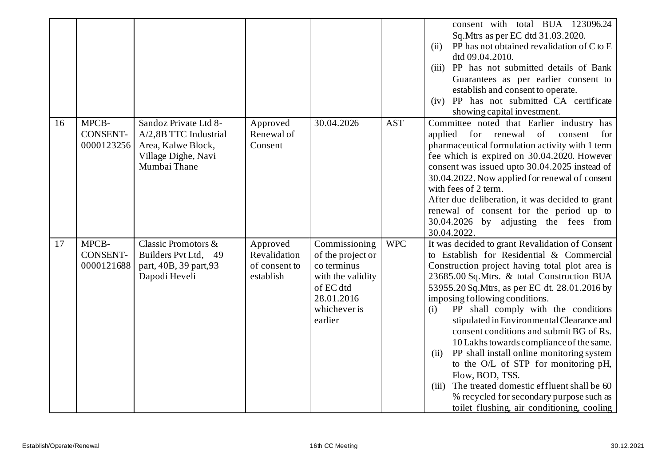|    |                                        |                                                                                                             |                                                        |                                                                                                                              |            | consent with total BUA 123096.24<br>Sq. Mtrs as per EC dtd 31.03.2020.<br>PP has not obtained revalidation of C to E<br>(ii)<br>dtd 09.04.2010.<br>PP has not submitted details of Bank<br>(iii)<br>Guarantees as per earlier consent to<br>establish and consent to operate.<br>(iv) PP has not submitted CA certificate<br>showing capital investment.                                                                                                                                                                                                                                                                                                                                                                           |
|----|----------------------------------------|-------------------------------------------------------------------------------------------------------------|--------------------------------------------------------|------------------------------------------------------------------------------------------------------------------------------|------------|------------------------------------------------------------------------------------------------------------------------------------------------------------------------------------------------------------------------------------------------------------------------------------------------------------------------------------------------------------------------------------------------------------------------------------------------------------------------------------------------------------------------------------------------------------------------------------------------------------------------------------------------------------------------------------------------------------------------------------|
| 16 | MPCB-<br>CONSENT-<br>0000123256        | Sandoz Private Ltd 8-<br>A/2,8B TTC Industrial<br>Area, Kalwe Block,<br>Village Dighe, Navi<br>Mumbai Thane | Approved<br>Renewal of<br>Consent                      | 30.04.2026                                                                                                                   | <b>AST</b> | Committee noted that Earlier industry has<br>applied<br>for renewal of<br>consent<br>for<br>pharmaceutical formulation activity with 1 term<br>fee which is expired on 30.04.2020. However<br>consent was issued upto 30.04.2025 instead of<br>30.04.2022. Now applied for renewal of consent<br>with fees of 2 term.<br>After due deliberation, it was decided to grant<br>renewal of consent for the period up to<br>30.04.2026 by adjusting the fees from<br>30.04.2022.                                                                                                                                                                                                                                                        |
| 17 | MPCB-<br><b>CONSENT-</b><br>0000121688 | Classic Promotors &<br>Builders Pvt Ltd, 49<br>part, 40B, 39 part, 93<br>Dapodi Heveli                      | Approved<br>Revalidation<br>of consent to<br>establish | Commissioning<br>of the project or<br>co terminus<br>with the validity<br>of EC dtd<br>28.01.2016<br>whichever is<br>earlier | <b>WPC</b> | It was decided to grant Revalidation of Consent<br>to Establish for Residential & Commercial<br>Construction project having total plot area is<br>23685.00 Sq.Mtrs. & total Construction BUA<br>53955.20 Sq. Mtrs, as per EC dt. 28.01.2016 by<br>imposing following conditions.<br>PP shall comply with the conditions<br>(i)<br>stipulated in Environmental Clearance and<br>consent conditions and submit BG of Rs.<br>10 Lakhs towards compliance of the same.<br>PP shall install online monitoring system<br>(ii)<br>to the O/L of STP for monitoring pH,<br>Flow, BOD, TSS.<br>The treated domestic effluent shall be 60<br>(iii)<br>% recycled for secondary purpose such as<br>toilet flushing, air conditioning, cooling |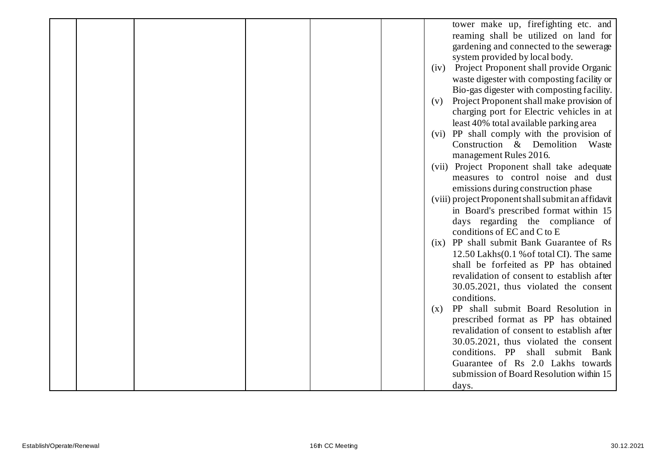|  |  |  | tower make up, firefighting etc. and               |
|--|--|--|----------------------------------------------------|
|  |  |  | reaming shall be utilized on land for              |
|  |  |  | gardening and connected to the sewerage            |
|  |  |  | system provided by local body.                     |
|  |  |  | Project Proponent shall provide Organic<br>(iv)    |
|  |  |  | waste digester with composting facility or         |
|  |  |  | Bio-gas digester with composting facility.         |
|  |  |  | Project Proponent shall make provision of<br>(v)   |
|  |  |  | charging port for Electric vehicles in at          |
|  |  |  | least 40% total available parking area             |
|  |  |  | (vi) PP shall comply with the provision of         |
|  |  |  | Construction & Demolition Waste                    |
|  |  |  | management Rules 2016.                             |
|  |  |  | (vii) Project Proponent shall take adequate        |
|  |  |  | measures to control noise and dust                 |
|  |  |  | emissions during construction phase                |
|  |  |  | (viii) project Proponent shall submit an affidavit |
|  |  |  | in Board's prescribed format within 15             |
|  |  |  | days regarding the compliance of                   |
|  |  |  | conditions of EC and C to E                        |
|  |  |  | PP shall submit Bank Guarantee of Rs<br>(ix)       |
|  |  |  | 12.50 Lakhs(0.1 % of total CI). The same           |
|  |  |  | shall be forfeited as PP has obtained              |
|  |  |  | revalidation of consent to establish after         |
|  |  |  | 30.05.2021, thus violated the consent              |
|  |  |  | conditions.                                        |
|  |  |  | PP shall submit Board Resolution in<br>(X)         |
|  |  |  | prescribed format as PP has obtained               |
|  |  |  | revalidation of consent to establish after         |
|  |  |  | 30.05.2021, thus violated the consent              |
|  |  |  | conditions. PP<br>shall submit Bank                |
|  |  |  | Guarantee of Rs 2.0 Lakhs towards                  |
|  |  |  | submission of Board Resolution within 15           |
|  |  |  | days.                                              |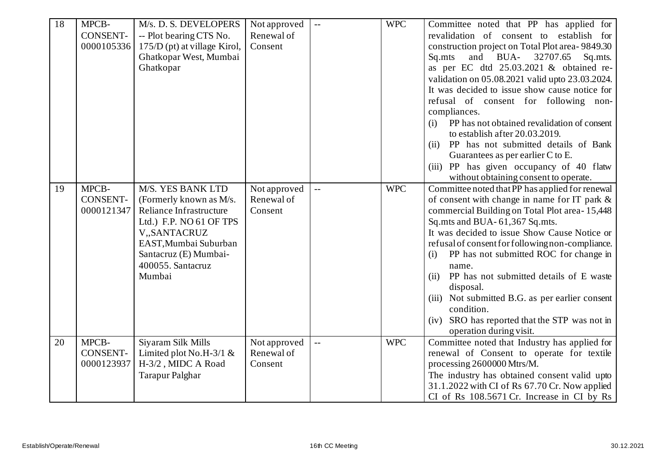| 18 | MPCB-<br><b>CONSENT-</b><br>0000105336 | M/s. D. S. DEVELOPERS<br>-- Plot bearing CTS No.<br>175/D (pt) at village Kirol,<br>Ghatkopar West, Mumbai<br>Ghatkopar                                                                             | Not approved<br>Renewal of<br>Consent | $\overline{\phantom{a}}$ | <b>WPC</b> | Committee noted that PP has applied for<br>revalidation of consent to establish for<br>construction project on Total Plot area-9849.30<br>and BUA-<br>32707.65<br>Sq.mts<br>Sq.mts.<br>as per EC dtd 25.03.2021 & obtained re-<br>validation on 05.08.2021 valid upto 23.03.2024.<br>It was decided to issue show cause notice for<br>refusal of consent for following non-                                                                                                                                                                                  |
|----|----------------------------------------|-----------------------------------------------------------------------------------------------------------------------------------------------------------------------------------------------------|---------------------------------------|--------------------------|------------|--------------------------------------------------------------------------------------------------------------------------------------------------------------------------------------------------------------------------------------------------------------------------------------------------------------------------------------------------------------------------------------------------------------------------------------------------------------------------------------------------------------------------------------------------------------|
|    |                                        |                                                                                                                                                                                                     |                                       |                          |            | compliances.<br>PP has not obtained revalidation of consent<br>(i)<br>to establish after 20.03.2019.<br>PP has not submitted details of Bank<br>(ii)<br>Guarantees as per earlier C to E.<br>(iii) PP has given occupancy of 40 flatw<br>without obtaining consent to operate.                                                                                                                                                                                                                                                                               |
| 19 | MPCB-<br><b>CONSENT-</b><br>0000121347 | M/S. YES BANK LTD<br>(Formerly known as M/s.<br>Reliance Infrastructure<br>Ltd.) F.P. NO 61 OF TPS<br>V,,SANTACRUZ<br>EAST, Mumbai Suburban<br>Santacruz (E) Mumbai-<br>400055. Santacruz<br>Mumbai | Not approved<br>Renewal of<br>Consent | $\mathbf{u}$             | <b>WPC</b> | Committee noted that PP has applied for renewal<br>of consent with change in name for IT park &<br>commercial Building on Total Plot area-15,448<br>Sq.mts and BUA-61,367 Sq.mts.<br>It was decided to issue Show Cause Notice or<br>refusal of consent for following non-compliance.<br>PP has not submitted ROC for change in<br>(i)<br>name.<br>PP has not submitted details of E waste<br>(ii)<br>disposal.<br>(iii) Not submitted B.G. as per earlier consent<br>condition.<br>(iv) SRO has reported that the STP was not in<br>operation during visit. |
| 20 | MPCB-<br><b>CONSENT-</b><br>0000123937 | Siyaram Silk Mills<br>Limited plot No.H-3/1 $&$<br>H-3/2, MIDC A Road<br><b>Tarapur Palghar</b>                                                                                                     | Not approved<br>Renewal of<br>Consent | $\overline{\phantom{a}}$ | <b>WPC</b> | Committee noted that Industry has applied for<br>renewal of Consent to operate for textile<br>processing 2600000 Mtrs/M.<br>The industry has obtained consent valid upto<br>31.1.2022 with CI of Rs 67.70 Cr. Now applied<br>CI of Rs 108.5671 Cr. Increase in CI by Rs                                                                                                                                                                                                                                                                                      |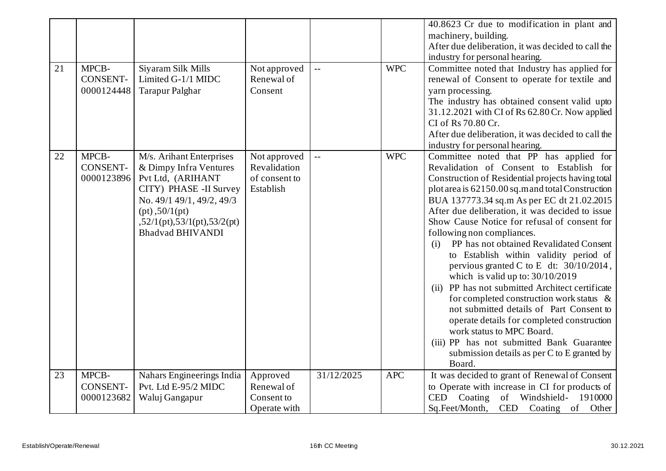|    |                 |                                       |               |                |            | 40.8623 Cr due to modification in plant and           |
|----|-----------------|---------------------------------------|---------------|----------------|------------|-------------------------------------------------------|
|    |                 |                                       |               |                |            | machinery, building.                                  |
|    |                 |                                       |               |                |            | After due deliberation, it was decided to call the    |
|    |                 |                                       |               |                |            | industry for personal hearing.                        |
| 21 | MPCB-           | Siyaram Silk Mills                    | Not approved  | $\perp$ .      | <b>WPC</b> | Committee noted that Industry has applied for         |
|    | <b>CONSENT-</b> | Limited G-1/1 MIDC                    | Renewal of    |                |            | renewal of Consent to operate for textile and         |
|    | 0000124448      | Tarapur Palghar                       | Consent       |                |            | yarn processing.                                      |
|    |                 |                                       |               |                |            | The industry has obtained consent valid upto          |
|    |                 |                                       |               |                |            | 31.12.2021 with CI of Rs 62.80 Cr. Now applied        |
|    |                 |                                       |               |                |            | CI of Rs 70.80 Cr.                                    |
|    |                 |                                       |               |                |            | After due deliberation, it was decided to call the    |
|    |                 |                                       |               |                |            | industry for personal hearing.                        |
| 22 | MPCB-           | M/s. Arihant Enterprises              | Not approved  | $\overline{a}$ | <b>WPC</b> | Committee noted that PP has applied for               |
|    | CONSENT-        | & Dimpy Infra Ventures                | Revalidation  |                |            | Revalidation of Consent to Establish for              |
|    | 0000123896      | Pvt Ltd, (ARIHANT                     | of consent to |                |            | Construction of Residential projects having total     |
|    |                 | CITY) PHASE -II Survey                | Establish     |                |            | plot area is 62150.00 sq.m and total Construction     |
|    |                 | No. 49/1 49/1, 49/2, 49/3             |               |                |            | BUA 137773.34 sq.m As per EC dt 21.02.2015            |
|    |                 | $(pt)$ , 50/1 $(pt)$                  |               |                |            | After due deliberation, it was decided to issue       |
|    |                 | $52/1$ (pt), $53/1$ (pt), $53/2$ (pt) |               |                |            | Show Cause Notice for refusal of consent for          |
|    |                 | <b>Bhadvad BHIVANDI</b>               |               |                |            | following non compliances.                            |
|    |                 |                                       |               |                |            | PP has not obtained Revalidated Consent<br>(i)        |
|    |                 |                                       |               |                |            | to Establish within validity period of                |
|    |                 |                                       |               |                |            | pervious granted C to E dt: $30/10/2014$ ,            |
|    |                 |                                       |               |                |            | which is valid up to: $30/10/2019$                    |
|    |                 |                                       |               |                |            | (ii) PP has not submitted Architect certificate       |
|    |                 |                                       |               |                |            | for completed construction work status $\&$           |
|    |                 |                                       |               |                |            | not submitted details of Part Consent to              |
|    |                 |                                       |               |                |            | operate details for completed construction            |
|    |                 |                                       |               |                |            | work status to MPC Board.                             |
|    |                 |                                       |               |                |            | (iii) PP has not submitted Bank Guarantee             |
|    |                 |                                       |               |                |            | submission details as per C to E granted by<br>Board. |
| 23 | MPCB-           | Nahars Engineerings India             | Approved      | 31/12/2025     | <b>APC</b> | It was decided to grant of Renewal of Consent         |
|    | <b>CONSENT-</b> | Pvt. Ltd E-95/2 MIDC                  | Renewal of    |                |            | to Operate with increase in CI for products of        |
|    | 0000123682      | Waluj Gangapur                        | Consent to    |                |            | of Windshield- 1910000<br>CED Coating                 |
|    |                 |                                       | Operate with  |                |            | CED Coating of Other<br>Sq.Feet/Month,                |
|    |                 |                                       |               |                |            |                                                       |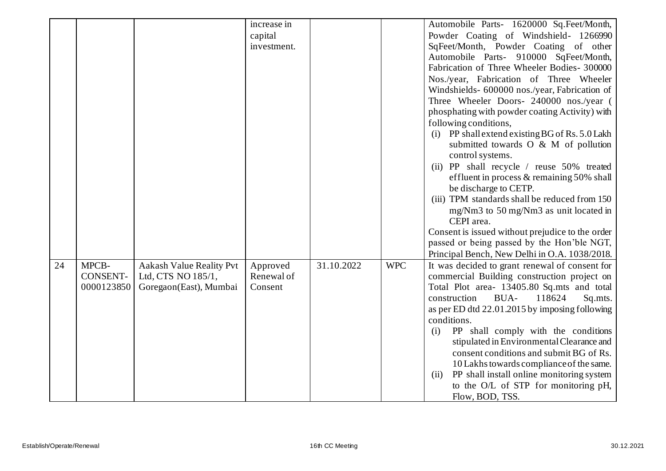|    |                 |                                 | increase in |            |            | Automobile Parts- 1620000 Sq.Feet/Month,          |
|----|-----------------|---------------------------------|-------------|------------|------------|---------------------------------------------------|
|    |                 |                                 | capital     |            |            | Powder Coating of Windshield- 1266990             |
|    |                 |                                 | investment. |            |            | SqFeet/Month, Powder Coating of other             |
|    |                 |                                 |             |            |            | Automobile Parts- 910000 SqFeet/Month,            |
|    |                 |                                 |             |            |            | Fabrication of Three Wheeler Bodies- 300000       |
|    |                 |                                 |             |            |            | Nos./year, Fabrication of Three Wheeler           |
|    |                 |                                 |             |            |            | Windshields- 600000 nos./year, Fabrication of     |
|    |                 |                                 |             |            |            | Three Wheeler Doors- 240000 nos./year (           |
|    |                 |                                 |             |            |            | phosphating with powder coating Activity) with    |
|    |                 |                                 |             |            |            | following conditions,                             |
|    |                 |                                 |             |            |            | (i) PP shall extend existing BG of Rs. 5.0 Lakh   |
|    |                 |                                 |             |            |            | submitted towards O & M of pollution              |
|    |                 |                                 |             |            |            | control systems.                                  |
|    |                 |                                 |             |            |            | (ii) PP shall recycle / reuse 50% treated         |
|    |                 |                                 |             |            |            | effluent in process & remaining 50% shall         |
|    |                 |                                 |             |            |            | be discharge to CETP.                             |
|    |                 |                                 |             |            |            | (iii) TPM standards shall be reduced from 150     |
|    |                 |                                 |             |            |            | mg/Nm3 to 50 mg/Nm3 as unit located in            |
|    |                 |                                 |             |            |            | CEPI area.                                        |
|    |                 |                                 |             |            |            | Consent is issued without prejudice to the order  |
|    |                 |                                 |             |            |            | passed or being passed by the Hon'ble NGT,        |
|    |                 |                                 |             |            |            | Principal Bench, New Delhi in O.A. 1038/2018.     |
| 24 | MPCB-           | <b>Aakash Value Reality Pvt</b> | Approved    | 31.10.2022 | <b>WPC</b> | It was decided to grant renewal of consent for    |
|    | <b>CONSENT-</b> | Ltd, CTS NO 185/1,              | Renewal of  |            |            | commercial Building construction project on       |
|    | 0000123850      | Goregaon(East), Mumbai          | Consent     |            |            | Total Plot area- 13405.80 Sq.mts and total        |
|    |                 |                                 |             |            |            | construction<br>BUA-<br>118624<br>Sq.mts.         |
|    |                 |                                 |             |            |            | as per ED dtd 22.01.2015 by imposing following    |
|    |                 |                                 |             |            |            | conditions.                                       |
|    |                 |                                 |             |            |            | PP shall comply with the conditions<br>(i)        |
|    |                 |                                 |             |            |            | stipulated in Environmental Clearance and         |
|    |                 |                                 |             |            |            | consent conditions and submit BG of Rs.           |
|    |                 |                                 |             |            |            | 10 Lakhs towards compliance of the same.          |
|    |                 |                                 |             |            |            | PP shall install online monitoring system<br>(ii) |
|    |                 |                                 |             |            |            | to the O/L of STP for monitoring pH,              |
|    |                 |                                 |             |            |            | Flow, BOD, TSS.                                   |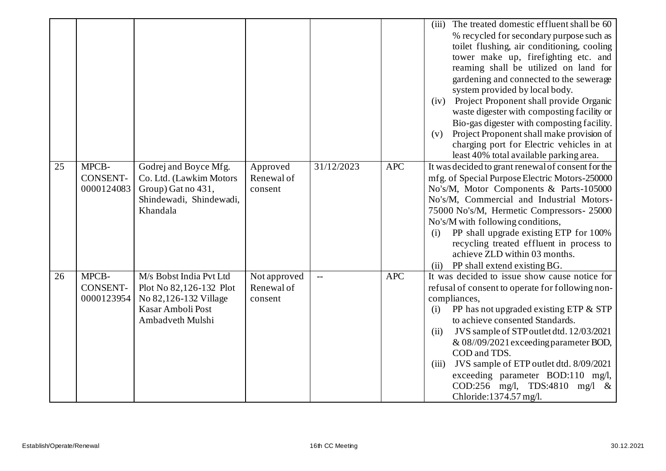|    |                                        |                                                                                                                      |                                       |                          |            | The treated domestic effluent shall be 60<br>(iii)<br>% recycled for secondary purpose such as<br>toilet flushing, air conditioning, cooling<br>tower make up, firefighting etc. and<br>reaming shall be utilized on land for<br>gardening and connected to the sewerage                                                                                                                                                                                                 |
|----|----------------------------------------|----------------------------------------------------------------------------------------------------------------------|---------------------------------------|--------------------------|------------|--------------------------------------------------------------------------------------------------------------------------------------------------------------------------------------------------------------------------------------------------------------------------------------------------------------------------------------------------------------------------------------------------------------------------------------------------------------------------|
|    |                                        |                                                                                                                      |                                       |                          |            | system provided by local body.<br>(iv) Project Proponent shall provide Organic<br>waste digester with composting facility or<br>Bio-gas digester with composting facility.                                                                                                                                                                                                                                                                                               |
|    |                                        |                                                                                                                      |                                       |                          |            | Project Proponent shall make provision of<br>(v)<br>charging port for Electric vehicles in at<br>least 40% total available parking area.                                                                                                                                                                                                                                                                                                                                 |
| 25 | MPCB-<br>CONSENT-<br>0000124083        | Godrej and Boyce Mfg.<br>Co. Ltd. (Lawkim Motors<br>Group) Gat no 431,<br>Shindewadi, Shindewadi,<br>Khandala        | Approved<br>Renewal of<br>consent     | 31/12/2023               | <b>APC</b> | It was decided to grant renewal of consent for the<br>mfg. of Special Purpose Electric Motors-250000<br>No's/M, Motor Components & Parts-105000<br>No's/M, Commercial and Industrial Motors-<br>75000 No's/M, Hermetic Compressors- 25000<br>No's/M with following conditions,<br>PP shall upgrade existing ETP for 100%<br>(i)<br>recycling treated effluent in process to<br>achieve ZLD within 03 months.<br>PP shall extend existing BG.<br>(ii)                     |
| 26 | MPCB-<br><b>CONSENT-</b><br>0000123954 | M/s Bobst India Pvt Ltd<br>Plot No 82,126-132 Plot<br>No 82,126-132 Village<br>Kasar Amboli Post<br>Ambadveth Mulshi | Not approved<br>Renewal of<br>consent | $\overline{\phantom{a}}$ | <b>APC</b> | It was decided to issue show cause notice for<br>refusal of consent to operate for following non-<br>compliances,<br>PP has not upgraded existing ETP & STP<br>(i)<br>to achieve consented Standards.<br>JVS sample of STP outlet dtd. 12/03/2021<br>(ii)<br>$& 08/09/2021$ exceeding parameter BOD,<br>COD and TDS.<br>JVS sample of ETP outlet dtd. 8/09/2021<br>(iii)<br>exceeding parameter BOD:110 mg/l,<br>COD:256 mg/l, TDS:4810 mg/l &<br>Chloride:1374.57 mg/l. |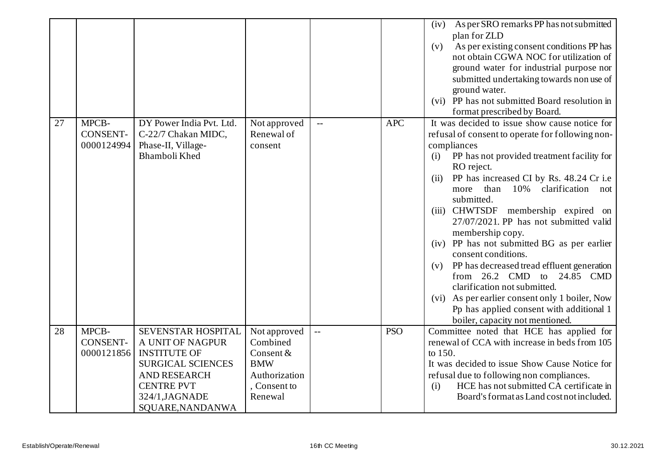|    |                                        |                                                                                                                                                                             |                                                                                                 |                         |            | As per SRO remarks PP has not submitted<br>(iv)<br>plan for ZLD<br>As per existing consent conditions PP has<br>(v)<br>not obtain CGWA NOC for utilization of<br>ground water for industrial purpose nor<br>submitted undertaking towards non use of<br>ground water.                                                                                                                                                                                                                                                                                                                                                                                                                                                              |
|----|----------------------------------------|-----------------------------------------------------------------------------------------------------------------------------------------------------------------------------|-------------------------------------------------------------------------------------------------|-------------------------|------------|------------------------------------------------------------------------------------------------------------------------------------------------------------------------------------------------------------------------------------------------------------------------------------------------------------------------------------------------------------------------------------------------------------------------------------------------------------------------------------------------------------------------------------------------------------------------------------------------------------------------------------------------------------------------------------------------------------------------------------|
|    |                                        |                                                                                                                                                                             |                                                                                                 |                         |            | (vi) PP has not submitted Board resolution in<br>format prescribed by Board.                                                                                                                                                                                                                                                                                                                                                                                                                                                                                                                                                                                                                                                       |
| 27 | MPCB-<br>CONSENT-<br>0000124994        | DY Power India Pvt. Ltd.<br>C-22/7 Chakan MIDC,<br>Phase-II, Village-<br>Bhamboli Khed                                                                                      | Not approved<br>Renewal of<br>consent                                                           |                         | <b>APC</b> | It was decided to issue show cause notice for<br>refusal of consent to operate for following non-<br>compliances<br>PP has not provided treatment facility for<br>(i)<br>RO reject.<br>PP has increased CI by Rs. 48.24 Cr i.e<br>(ii)<br>than<br>10%<br>clarification<br>more<br>not<br>submitted.<br>(iii) CHWTSDF membership expired on<br>27/07/2021. PP has not submitted valid<br>membership copy.<br>(iv) PP has not submitted BG as per earlier<br>consent conditions.<br>PP has decreased tread effluent generation<br>(v)<br>from 26.2 CMD to 24.85 CMD<br>clarification not submitted.<br>(vi) As per earlier consent only 1 boiler, Now<br>Pp has applied consent with additional 1<br>boiler, capacity not mentioned. |
| 28 | MPCB-<br><b>CONSENT-</b><br>0000121856 | SEVENSTAR HOSPITAL<br>A UNIT OF NAGPUR<br><b>INSTITUTE OF</b><br><b>SURGICAL SCIENCES</b><br><b>AND RESEARCH</b><br><b>CENTRE PVT</b><br>324/1, JAGNADE<br>SQUARE, NANDANWA | Not approved<br>Combined<br>Consent &<br><b>BMW</b><br>Authorization<br>, Consent to<br>Renewal | $\mathbb{L} \mathbb{L}$ | <b>PSO</b> | Committee noted that HCE has applied for<br>renewal of CCA with increase in beds from 105<br>to 150.<br>It was decided to issue Show Cause Notice for<br>refusal due to following non compliances.<br>HCE has not submitted CA certificate in<br>(i)<br>Board's format as Land cost not included.                                                                                                                                                                                                                                                                                                                                                                                                                                  |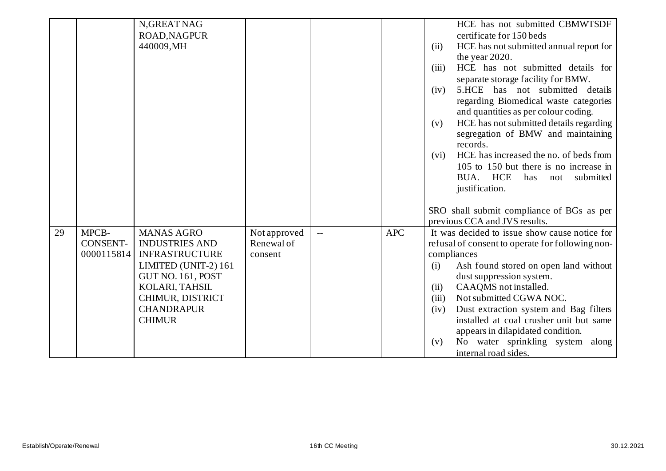|    |                        | N, GREAT NAG                                   |                       |            | HCE has not submitted CBMWTSDF                                                                   |
|----|------------------------|------------------------------------------------|-----------------------|------------|--------------------------------------------------------------------------------------------------|
|    |                        | <b>ROAD, NAGPUR</b>                            |                       |            | certificate for 150 beds                                                                         |
|    |                        | 440009, MH                                     |                       |            | (ii)<br>HCE has not submitted annual report for<br>the year 2020.                                |
|    |                        |                                                |                       |            | HCE has not submitted details for<br>(iii)<br>separate storage facility for BMW.                 |
|    |                        |                                                |                       |            | 5.HCE has not submitted details<br>(iv)<br>regarding Biomedical waste categories                 |
|    |                        |                                                |                       |            | and quantities as per colour coding.                                                             |
|    |                        |                                                |                       |            | HCE has not submitted details regarding<br>(v)<br>segregation of BMW and maintaining<br>records. |
|    |                        |                                                |                       |            | HCE has increased the no. of beds from<br>(vi)                                                   |
|    |                        |                                                |                       |            | 105 to 150 but there is no increase in                                                           |
|    |                        |                                                |                       |            | BUA. HCE<br>has<br>submitted<br>not                                                              |
|    |                        |                                                |                       |            | justification.                                                                                   |
|    |                        |                                                |                       |            | SRO shall submit compliance of BGs as per                                                        |
|    |                        |                                                |                       |            | previous CCA and JVS results.                                                                    |
| 29 | MPCB-                  | <b>MANAS AGRO</b>                              | Not approved          | <b>APC</b> | It was decided to issue show cause notice for                                                    |
|    | CONSENT-<br>0000115814 | <b>INDUSTRIES AND</b><br><b>INFRASTRUCTURE</b> | Renewal of<br>consent |            | refusal of consent to operate for following non-<br>compliances                                  |
|    |                        | LIMITED (UNIT-2) 161                           |                       |            | Ash found stored on open land without<br>(i)                                                     |
|    |                        | <b>GUT NO. 161, POST</b>                       |                       |            | dust suppression system.                                                                         |
|    |                        | KOLARI, TAHSIL                                 |                       |            | CAAQMS not installed.<br>(ii)                                                                    |
|    |                        | CHIMUR, DISTRICT                               |                       |            | Not submitted CGWA NOC.<br>(iii)                                                                 |
|    |                        | <b>CHANDRAPUR</b>                              |                       |            | Dust extraction system and Bag filters<br>(iv)                                                   |
|    |                        | <b>CHIMUR</b>                                  |                       |            | installed at coal crusher unit but same                                                          |
|    |                        |                                                |                       |            | appears in dilapidated condition.                                                                |
|    |                        |                                                |                       |            | No water sprinkling system along<br>(v)<br>internal road sides.                                  |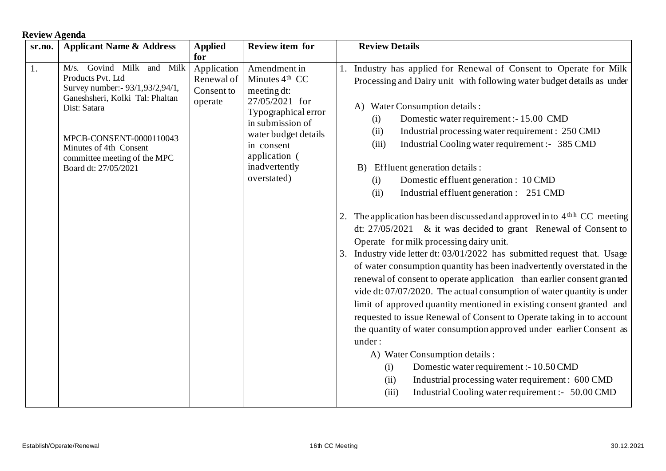## **Review Agenda**

| sr.no. | <b>Applicant Name &amp; Address</b>                                                                                                                                                                                                                | <b>Applied</b>                                            | <b>Review item for</b>                                                                                                                                                                              | <b>Review Details</b>                                                                                                                                                                                                                                                                                                                                                                                                                                                                                                                                                                                                                                                                                                                                                                                                                                                                                                                                                                                                                                                                                                                                                                                                                                                                                                                                                                                                                                                   |
|--------|----------------------------------------------------------------------------------------------------------------------------------------------------------------------------------------------------------------------------------------------------|-----------------------------------------------------------|-----------------------------------------------------------------------------------------------------------------------------------------------------------------------------------------------------|-------------------------------------------------------------------------------------------------------------------------------------------------------------------------------------------------------------------------------------------------------------------------------------------------------------------------------------------------------------------------------------------------------------------------------------------------------------------------------------------------------------------------------------------------------------------------------------------------------------------------------------------------------------------------------------------------------------------------------------------------------------------------------------------------------------------------------------------------------------------------------------------------------------------------------------------------------------------------------------------------------------------------------------------------------------------------------------------------------------------------------------------------------------------------------------------------------------------------------------------------------------------------------------------------------------------------------------------------------------------------------------------------------------------------------------------------------------------------|
| 1.     | M/s. Govind Milk and Milk<br>Products Pvt. Ltd<br>Survey number: - 93/1,93/2,94/1,<br>Ganeshsheri, Kolki Tal: Phaltan<br>Dist: Satara<br>MPCB-CONSENT-0000110043<br>Minutes of 4th Consent<br>committee meeting of the MPC<br>Board dt: 27/05/2021 | for<br>Application<br>Renewal of<br>Consent to<br>operate | Amendment in<br>Minutes $4th$ CC<br>meeting dt:<br>27/05/2021 for<br>Typographical error<br>in submission of<br>water budget details<br>in consent<br>application (<br>inadvertently<br>overstated) | Industry has applied for Renewal of Consent to Operate for Milk<br>Processing and Dairy unit with following water budget details as under<br>A) Water Consumption details :<br>Domestic water requirement :- 15.00 CMD<br>(i)<br>Industrial processing water requirement : 250 CMD<br>(ii)<br>Industrial Cooling water requirement :- 385 CMD<br>(iii)<br>Effluent generation details :<br>B)<br>Domestic effluent generation : 10 CMD<br>(i)<br>Industrial effluent generation : 251 CMD<br>(ii)<br>2. The application has been discussed and approved in to 4 <sup>th h</sup> CC meeting<br>dt: $27/05/2021$ & it was decided to grant Renewal of Consent to<br>Operate for milk processing dairy unit.<br>3. Industry vide letter dt: 03/01/2022 has submitted request that. Usage<br>of water consumption quantity has been inadvertently overstated in the<br>renewal of consent to operate application than earlier consent granted<br>vide dt: $07/07/2020$ . The actual consumption of water quantity is under<br>limit of approved quantity mentioned in existing consent granted and<br>requested to issue Renewal of Consent to Operate taking in to account<br>the quantity of water consumption approved under earlier Consent as<br>under:<br>A) Water Consumption details :<br>Domestic water requirement :- 10.50 CMD<br>(i)<br>Industrial processing water requirement : 600 CMD<br>(ii)<br>Industrial Cooling water requirement :- 50.00 CMD<br>(iii) |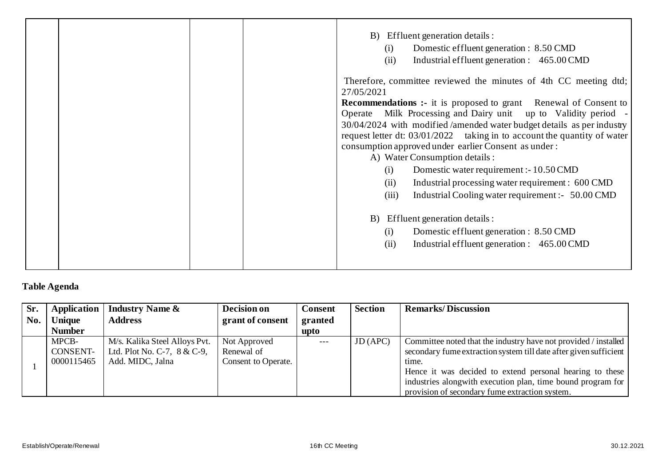|                                                                                                                                                                                                                                                                                                                         |  | B) Effluent generation details :<br>Domestic effluent generation : 8.50 CMD<br>(i)<br>Industrial effluent generation : 465.00 CMD<br>(ii)                                                                                                                                                                                                                                                                                                                                     |
|-------------------------------------------------------------------------------------------------------------------------------------------------------------------------------------------------------------------------------------------------------------------------------------------------------------------------|--|-------------------------------------------------------------------------------------------------------------------------------------------------------------------------------------------------------------------------------------------------------------------------------------------------------------------------------------------------------------------------------------------------------------------------------------------------------------------------------|
| 27/05/2021<br>consumption approved under earlier Consent as under:<br>A) Water Consumption details :<br>Domestic water requirement :- 10.50 CMD<br>(i)<br>(ii)<br>(iii)<br>Effluent generation details :<br>B)<br>Domestic effluent generation : 8.50 CMD<br>(i)<br>Industrial effluent generation : 465.00 CMD<br>(ii) |  | Therefore, committee reviewed the minutes of 4th CC meeting dtd;<br><b>Recommendations :-</b> it is proposed to grant Renewal of Consent to<br>Operate Milk Processing and Dairy unit up to Validity period -<br>30/04/2024 with modified /amended water budget details as per industry<br>request letter dt: 03/01/2022 taking in to account the quantity of water<br>Industrial processing water requirement : 600 CMD<br>Industrial Cooling water requirement :- 50.00 CMD |

**Table Agenda**

| Sr. | <b>Application</b> | <b>Industry Name &amp;</b>    | Decision on         | <b>Consent</b> | <b>Section</b> | <b>Remarks/Discussion</b>                                         |
|-----|--------------------|-------------------------------|---------------------|----------------|----------------|-------------------------------------------------------------------|
| No. | Unique             | <b>Address</b>                | grant of consent    | granted        |                |                                                                   |
|     | <b>Number</b>      |                               |                     | upto           |                |                                                                   |
|     | MPCB-              | M/s. Kalika Steel Alloys Pvt. | Not Approved        |                | JD (APC)       | Committee noted that the industry have not provided / installed   |
|     | <b>CONSENT-</b>    | Ltd. Plot No. C-7, 8 & C-9,   | Renewal of          |                |                | secondary fume extraction system till date after given sufficient |
|     | 0000115465         | Add. MIDC, Jalna              | Consent to Operate. |                |                | time.                                                             |
|     |                    |                               |                     |                |                | Hence it was decided to extend personal hearing to these          |
|     |                    |                               |                     |                |                | industries along with execution plan, time bound program for      |
|     |                    |                               |                     |                |                | provision of secondary fume extraction system.                    |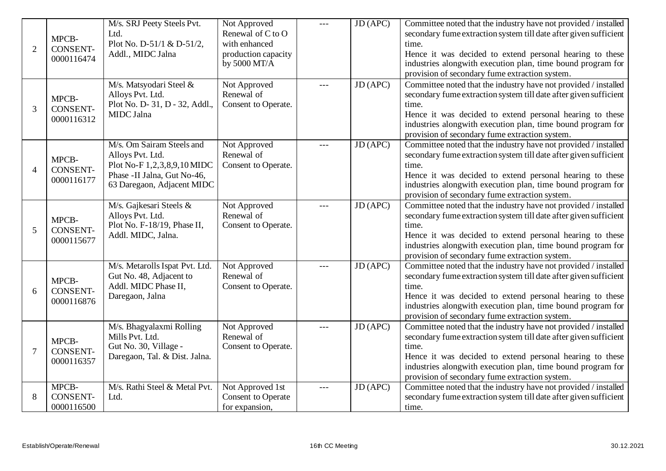| $\overline{2}$ | MPCB-<br><b>CONSENT-</b><br>0000116474 | M/s. SRJ Peety Steels Pvt.<br>Ltd.<br>Plot No. D-51/1 & D-51/2,<br>Addl., MIDC Jalna                                                      | Not Approved<br>Renewal of C to O<br>with enhanced<br>production capacity<br>by 5000 MT/A | $---$ | JD (APC)                     | Committee noted that the industry have not provided / installed<br>secondary fume extraction system till date after given sufficient<br>time.<br>Hence it was decided to extend personal hearing to these<br>industries alongwith execution plan, time bound program for<br>provision of secondary fume extraction system. |
|----------------|----------------------------------------|-------------------------------------------------------------------------------------------------------------------------------------------|-------------------------------------------------------------------------------------------|-------|------------------------------|----------------------------------------------------------------------------------------------------------------------------------------------------------------------------------------------------------------------------------------------------------------------------------------------------------------------------|
| 3              | MPCB-<br><b>CONSENT-</b><br>0000116312 | M/s. Matsyodari Steel &<br>Alloys Pvt. Ltd.<br>Plot No. D-31, D-32, Addl.,<br>MIDC Jalna                                                  | Not Approved<br>Renewal of<br>Consent to Operate.                                         |       | JD (APC)                     | Committee noted that the industry have not provided / installed<br>secondary fume extraction system till date after given sufficient<br>time.<br>Hence it was decided to extend personal hearing to these<br>industries alongwith execution plan, time bound program for<br>provision of secondary fume extraction system. |
| $\overline{4}$ | MPCB-<br><b>CONSENT-</b><br>0000116177 | M/s. Om Sairam Steels and<br>Alloys Pvt. Ltd.<br>Plot No-F 1,2,3,8,9,10 MIDC<br>Phase -II Jalna, Gut No-46,<br>63 Daregaon, Adjacent MIDC | Not Approved<br>Renewal of<br>Consent to Operate.                                         |       | $\overline{\text{JD (APC)}}$ | Committee noted that the industry have not provided / installed<br>secondary fume extraction system till date after given sufficient<br>time.<br>Hence it was decided to extend personal hearing to these<br>industries alongwith execution plan, time bound program for<br>provision of secondary fume extraction system. |
| 5              | MPCB-<br><b>CONSENT-</b><br>0000115677 | M/s. Gajkesari Steels &<br>Alloys Pvt. Ltd.<br>Plot No. F-18/19, Phase II,<br>Addl. MIDC, Jalna.                                          | Not Approved<br>Renewal of<br>Consent to Operate.                                         | $---$ | JD (APC)                     | Committee noted that the industry have not provided / installed<br>secondary fume extraction system till date after given sufficient<br>time.<br>Hence it was decided to extend personal hearing to these<br>industries alongwith execution plan, time bound program for<br>provision of secondary fume extraction system. |
| 6              | MPCB-<br><b>CONSENT-</b><br>0000116876 | M/s. Metarolls Ispat Pvt. Ltd.<br>Gut No. 48, Adjacent to<br>Addl. MIDC Phase II,<br>Daregaon, Jalna                                      | Not Approved<br>Renewal of<br>Consent to Operate.                                         |       | JD (APC)                     | Committee noted that the industry have not provided / installed<br>secondary fume extraction system till date after given sufficient<br>time.<br>Hence it was decided to extend personal hearing to these<br>industries alongwith execution plan, time bound program for<br>provision of secondary fume extraction system. |
| $\overline{7}$ | MPCB-<br><b>CONSENT-</b><br>0000116357 | M/s. Bhagyalaxmi Rolling<br>Mills Pvt. Ltd.<br>Gut No. 30, Village -<br>Daregaon, Tal. & Dist. Jalna.                                     | Not Approved<br>Renewal of<br>Consent to Operate.                                         |       | JD (APC)                     | Committee noted that the industry have not provided / installed<br>secondary fume extraction system till date after given sufficient<br>time.<br>Hence it was decided to extend personal hearing to these<br>industries alongwith execution plan, time bound program for<br>provision of secondary fume extraction system. |
| 8              | MPCB-<br><b>CONSENT-</b><br>0000116500 | M/s. Rathi Steel & Metal Pvt.<br>Ltd.                                                                                                     | Not Approved 1st<br><b>Consent to Operate</b><br>for expansion,                           |       | JD (APC)                     | Committee noted that the industry have not provided / installed<br>secondary fume extraction system till date after given sufficient<br>time.                                                                                                                                                                              |